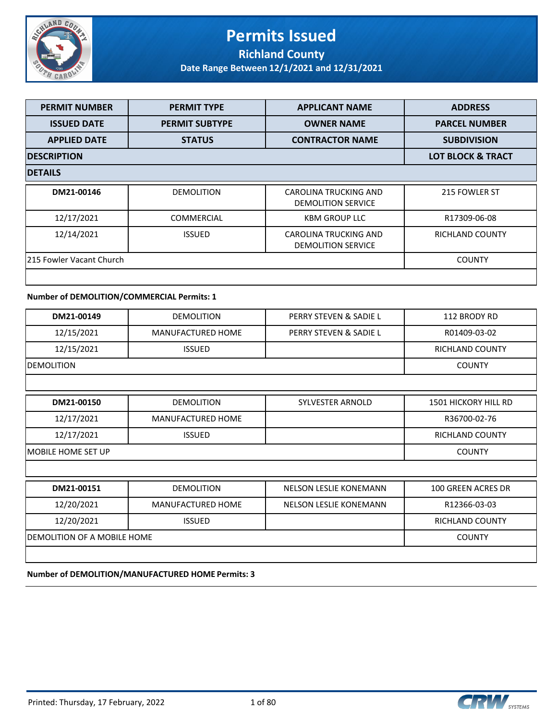

### **Permits Issued Richland County**

**Date Range Between 12/1/2021 and 12/31/2021**

| <b>PERMIT NUMBER</b>     | <b>PERMIT TYPE</b>           | <b>APPLICANT NAME</b>                                     | <b>ADDRESS</b>         |
|--------------------------|------------------------------|-----------------------------------------------------------|------------------------|
| <b>ISSUED DATE</b>       | <b>PERMIT SUBTYPE</b>        | <b>OWNER NAME</b>                                         | <b>PARCEL NUMBER</b>   |
| <b>APPLIED DATE</b>      | <b>STATUS</b>                | <b>CONTRACTOR NAME</b>                                    | <b>SUBDIVISION</b>     |
| <b>IDESCRIPTION</b>      | <b>LOT BLOCK &amp; TRACT</b> |                                                           |                        |
| <b>DETAILS</b>           |                              |                                                           |                        |
| DM21-00146               | <b>DEMOLITION</b>            | CAROLINA TRUCKING AND<br><b>DEMOLITION SERVICE</b>        | 215 FOWLER ST          |
| 12/17/2021               | <b>COMMERCIAL</b>            | <b>KBM GROUP LLC</b>                                      | R17309-06-08           |
| 12/14/2021               | <b>ISSUED</b>                | <b>CAROLINA TRUCKING AND</b><br><b>DEMOLITION SERVICE</b> | <b>RICHLAND COUNTY</b> |
| 215 Fowler Vacant Church | <b>COUNTY</b>                |                                                           |                        |
|                          |                              |                                                           |                        |

### **Number of DEMOLITION/COMMERCIAL Permits: 1**

| DM21-00149                  | <b>DEMOLITION</b>        | PERRY STEVEN & SADIE L        | 112 BRODY RD                |
|-----------------------------|--------------------------|-------------------------------|-----------------------------|
| 12/15/2021                  | <b>MANUFACTURED HOME</b> | PERRY STEVEN & SADIE L        | R01409-03-02                |
| 12/15/2021                  | <b>ISSUED</b>            |                               | RICHLAND COUNTY             |
| <b>DEMOLITION</b>           |                          |                               | <b>COUNTY</b>               |
|                             |                          |                               |                             |
| DM21-00150                  | <b>DEMOLITION</b>        | <b>SYLVESTER ARNOLD</b>       | <b>1501 HICKORY HILL RD</b> |
| 12/17/2021                  | <b>MANUFACTURED HOME</b> |                               | R36700-02-76                |
| 12/17/2021                  | <b>ISSUED</b>            |                               | RICHLAND COUNTY             |
| IMOBILE HOME SET UP         | <b>COUNTY</b>            |                               |                             |
|                             |                          |                               |                             |
| DM21-00151                  | <b>DEMOLITION</b>        | <b>NELSON LESLIE KONEMANN</b> | 100 GREEN ACRES DR          |
| 12/20/2021                  | <b>MANUFACTURED HOME</b> | <b>NELSON LESLIE KONEMANN</b> | R12366-03-03                |
| 12/20/2021                  | <b>ISSUED</b>            |                               | <b>RICHLAND COUNTY</b>      |
| DEMOLITION OF A MOBILE HOME |                          |                               | <b>COUNTY</b>               |

#### **Number of DEMOLITION/MANUFACTURED HOME Permits: 3**

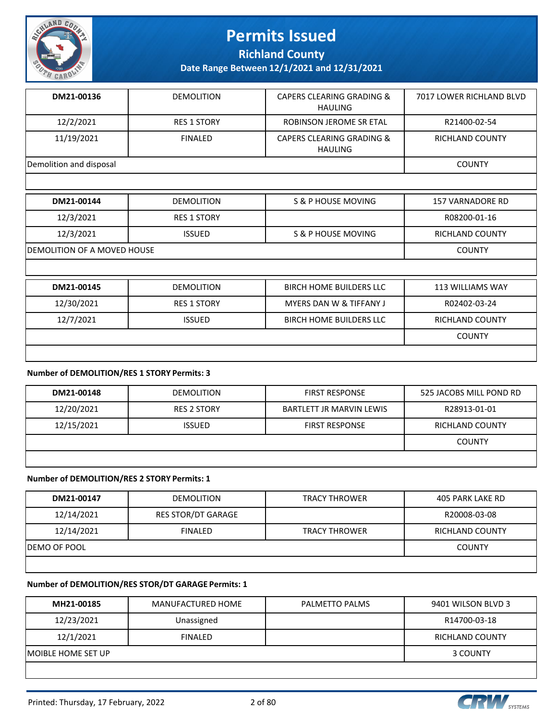

**Richland County**

**Date Range Between 12/1/2021 and 12/31/2021**

| DM21-00136              | <b>DEMOLITION</b>  | CAPERS CLEARING GRADING &<br>HAULING        | 7017 LOWER RICHLAND BLVD |
|-------------------------|--------------------|---------------------------------------------|--------------------------|
| 12/2/2021               | <b>RES 1 STORY</b> | ROBINSON JEROME SR ETAL                     | R21400-02-54             |
| 11/19/2021              | <b>FINALED</b>     | CAPERS CLEARING GRADING &<br><b>HAULING</b> | RICHLAND COUNTY          |
| Demolition and disposal | <b>COUNTY</b>      |                                             |                          |

| DM21-00144 | <b>DEMOLITION</b>                  | S & P HOUSE MOVING                 | <b>157 VARNADORE RD</b> |
|------------|------------------------------------|------------------------------------|-------------------------|
| 12/3/2021  | <b>RES 1 STORY</b>                 |                                    | R08200-01-16            |
| 12/3/2021  | <b>ISSUED</b>                      | S & P HOUSE MOVING                 | <b>RICHLAND COUNTY</b>  |
|            | <b>DEMOLITION OF A MOVED HOUSE</b> |                                    |                         |
|            |                                    |                                    |                         |
| DM21-00145 | <b>DEMOLITION</b>                  | <b>BIRCH HOME BUILDERS LLC</b>     | <b>113 WILLIAMS WAY</b> |
| 12/30/2021 | <b>RES 1 STORY</b>                 | <b>MYERS DAN W &amp; TIFFANY J</b> | R02402-03-24            |
| 12/7/2021  | <b>ISSUED</b>                      | <b>BIRCH HOME BUILDERS LLC</b>     | <b>RICHLAND COUNTY</b>  |
|            |                                    |                                    | <b>COUNTY</b>           |
|            |                                    |                                    |                         |

#### **Number of DEMOLITION/RES 1 STORY Permits: 3**

| DM21-00148 | <b>DEMOLITION</b>  | <b>FIRST RESPONSE</b>           | 525 JACOBS MILL POND RD |
|------------|--------------------|---------------------------------|-------------------------|
| 12/20/2021 | <b>RES 2 STORY</b> | <b>BARTLETT JR MARVIN LEWIS</b> | R28913-01-01            |
| 12/15/2021 | <b>ISSUED</b>      | <b>FIRST RESPONSE</b>           | RICHLAND COUNTY         |
|            |                    |                                 | COUNTY                  |
|            |                    |                                 |                         |

#### **Number of DEMOLITION/RES 2 STORY Permits: 1**

| DM21-00147           | <b>DEMOLITION</b>         | <b>TRACY THROWER</b> | 405 PARK LAKE RD       |
|----------------------|---------------------------|----------------------|------------------------|
| 12/14/2021           | <b>RES STOR/DT GARAGE</b> |                      | R20008-03-08           |
| 12/14/2021           | <b>FINALED</b>            | <b>TRACY THROWER</b> | <b>RICHLAND COUNTY</b> |
| <b>IDEMO OF POOL</b> | <b>COUNTY</b>             |                      |                        |
|                      |                           |                      |                        |

#### **Number of DEMOLITION/RES STOR/DT GARAGE Permits: 1**

| MH21-00185          | MANUFACTURED HOME | PALMETTO PALMS | 9401 WILSON BLVD 3 |
|---------------------|-------------------|----------------|--------------------|
| 12/23/2021          | Unassigned        |                | R14700-03-18       |
| 12/1/2021           | <b>FINALED</b>    |                | RICHLAND COUNTY    |
| IMOIBLE HOME SET UP | 3 COUNTY          |                |                    |
|                     |                   |                |                    |

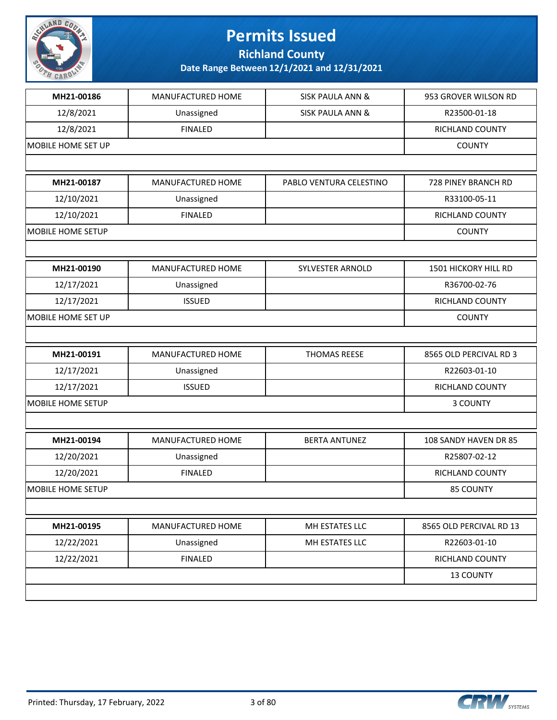

**Richland County**

| MH21-00186<br>12/8/2021<br>12/8/2021<br>MH21-00187<br>12/10/2021<br>12/10/2021<br>MH21-00190<br>12/17/2021<br>12/17/2021<br>MH21-00191<br>12/17/2021 | MANUFACTURED HOME<br>Unassigned<br><b>FINALED</b><br>MANUFACTURED HOME<br>Unassigned<br><b>FINALED</b><br>MANUFACTURED HOME<br>Unassigned<br><b>ISSUED</b><br>MANUFACTURED HOME | <b>SISK PAULA ANN &amp;</b><br><b>SISK PAULA ANN &amp;</b><br>PABLO VENTURA CELESTINO<br>SYLVESTER ARNOLD | 953 GROVER WILSON RD<br>R23500-01-18<br>RICHLAND COUNTY<br><b>COUNTY</b><br>728 PINEY BRANCH RD<br>R33100-05-11<br>RICHLAND COUNTY<br><b>COUNTY</b><br>1501 HICKORY HILL RD<br>R36700-02-76<br>RICHLAND COUNTY<br><b>COUNTY</b> |
|------------------------------------------------------------------------------------------------------------------------------------------------------|---------------------------------------------------------------------------------------------------------------------------------------------------------------------------------|-----------------------------------------------------------------------------------------------------------|---------------------------------------------------------------------------------------------------------------------------------------------------------------------------------------------------------------------------------|
| MOBILE HOME SET UP<br>MOBILE HOME SET UP                                                                                                             |                                                                                                                                                                                 |                                                                                                           |                                                                                                                                                                                                                                 |
|                                                                                                                                                      |                                                                                                                                                                                 |                                                                                                           |                                                                                                                                                                                                                                 |
| MOBILE HOME SETUP                                                                                                                                    |                                                                                                                                                                                 |                                                                                                           |                                                                                                                                                                                                                                 |
|                                                                                                                                                      |                                                                                                                                                                                 |                                                                                                           |                                                                                                                                                                                                                                 |
|                                                                                                                                                      |                                                                                                                                                                                 |                                                                                                           |                                                                                                                                                                                                                                 |
|                                                                                                                                                      |                                                                                                                                                                                 |                                                                                                           |                                                                                                                                                                                                                                 |
|                                                                                                                                                      |                                                                                                                                                                                 |                                                                                                           |                                                                                                                                                                                                                                 |
|                                                                                                                                                      |                                                                                                                                                                                 |                                                                                                           |                                                                                                                                                                                                                                 |
|                                                                                                                                                      |                                                                                                                                                                                 |                                                                                                           |                                                                                                                                                                                                                                 |
|                                                                                                                                                      |                                                                                                                                                                                 |                                                                                                           |                                                                                                                                                                                                                                 |
|                                                                                                                                                      |                                                                                                                                                                                 |                                                                                                           |                                                                                                                                                                                                                                 |
|                                                                                                                                                      |                                                                                                                                                                                 |                                                                                                           |                                                                                                                                                                                                                                 |
|                                                                                                                                                      |                                                                                                                                                                                 |                                                                                                           |                                                                                                                                                                                                                                 |
|                                                                                                                                                      |                                                                                                                                                                                 |                                                                                                           |                                                                                                                                                                                                                                 |
|                                                                                                                                                      |                                                                                                                                                                                 |                                                                                                           |                                                                                                                                                                                                                                 |
|                                                                                                                                                      |                                                                                                                                                                                 | THOMAS REESE                                                                                              | 8565 OLD PERCIVAL RD 3                                                                                                                                                                                                          |
|                                                                                                                                                      | Unassigned                                                                                                                                                                      |                                                                                                           | R22603-01-10                                                                                                                                                                                                                    |
| 12/17/2021                                                                                                                                           | <b>ISSUED</b>                                                                                                                                                                   |                                                                                                           | RICHLAND COUNTY                                                                                                                                                                                                                 |
| <b>MOBILE HOME SETUP</b>                                                                                                                             |                                                                                                                                                                                 |                                                                                                           | 3 COUNTY                                                                                                                                                                                                                        |
|                                                                                                                                                      |                                                                                                                                                                                 |                                                                                                           |                                                                                                                                                                                                                                 |
| MH21-00194                                                                                                                                           | MANUFACTURED HOME                                                                                                                                                               | <b>BERTA ANTUNEZ</b>                                                                                      | 108 SANDY HAVEN DR 85                                                                                                                                                                                                           |
| 12/20/2021                                                                                                                                           | Unassigned                                                                                                                                                                      |                                                                                                           | R25807-02-12                                                                                                                                                                                                                    |
| 12/20/2021                                                                                                                                           | <b>FINALED</b>                                                                                                                                                                  |                                                                                                           | RICHLAND COUNTY                                                                                                                                                                                                                 |
| <b>MOBILE HOME SETUP</b>                                                                                                                             |                                                                                                                                                                                 |                                                                                                           | <b>85 COUNTY</b>                                                                                                                                                                                                                |
|                                                                                                                                                      |                                                                                                                                                                                 |                                                                                                           |                                                                                                                                                                                                                                 |
| MH21-00195                                                                                                                                           | MANUFACTURED HOME                                                                                                                                                               | MH ESTATES LLC                                                                                            | 8565 OLD PERCIVAL RD 13                                                                                                                                                                                                         |
| 12/22/2021                                                                                                                                           | Unassigned                                                                                                                                                                      | MH ESTATES LLC                                                                                            | R22603-01-10                                                                                                                                                                                                                    |
| 12/22/2021                                                                                                                                           | <b>FINALED</b>                                                                                                                                                                  |                                                                                                           | RICHLAND COUNTY                                                                                                                                                                                                                 |
|                                                                                                                                                      |                                                                                                                                                                                 |                                                                                                           | 13 COUNTY                                                                                                                                                                                                                       |
|                                                                                                                                                      |                                                                                                                                                                                 |                                                                                                           |                                                                                                                                                                                                                                 |

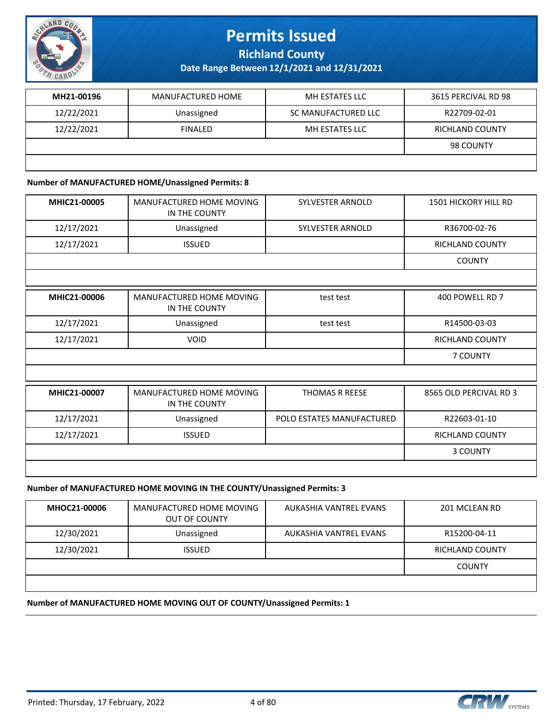

**Richland County**

**Date Range Between 12/1/2021 and 12/31/2021**

| MH21-00196 | MANUFACTURED HOME | MH ESTATES LLC      | 3615 PERCIVAL RD 98 |
|------------|-------------------|---------------------|---------------------|
| 12/22/2021 | Unassigned        | SC MANUFACTURED LLC | R22709-02-01        |
| 12/22/2021 | <b>FINALED</b>    | MH ESTATES LLC      | RICHLAND COUNTY     |
|            |                   |                     | 98 COUNTY           |
|            |                   |                     |                     |

#### **Number of MANUFACTURED HOME/Unassigned Permits: 8**

| MHIC21-00005 | MANUFACTURED HOME MOVING<br>IN THE COUNTY | <b>SYLVESTER ARNOLD</b>   | <b>1501 HICKORY HILL RD</b> |
|--------------|-------------------------------------------|---------------------------|-----------------------------|
| 12/17/2021   | Unassigned                                | <b>SYLVESTER ARNOLD</b>   | R36700-02-76                |
| 12/17/2021   | <b>ISSUED</b>                             |                           | <b>RICHLAND COUNTY</b>      |
|              |                                           |                           | <b>COUNTY</b>               |
|              |                                           |                           |                             |
| MHIC21-00006 | MANUFACTURED HOME MOVING<br>IN THE COUNTY | test test                 | 400 POWELL RD 7             |
| 12/17/2021   | Unassigned                                | test test                 | R14500-03-03                |
| 12/17/2021   | <b>VOID</b>                               |                           | <b>RICHLAND COUNTY</b>      |
|              |                                           |                           | 7 COUNTY                    |
|              |                                           |                           |                             |
| MHIC21-00007 | MANUFACTURED HOME MOVING<br>IN THE COUNTY | <b>THOMAS R REESE</b>     | 8565 OLD PERCIVAL RD 3      |
| 12/17/2021   | Unassigned                                | POLO ESTATES MANUFACTURED | R22603-01-10                |
| 12/17/2021   | <b>ISSUED</b>                             |                           | <b>RICHLAND COUNTY</b>      |
|              |                                           |                           | 3 COUNTY                    |
|              |                                           |                           |                             |

#### **Number of MANUFACTURED HOME MOVING IN THE COUNTY/Unassigned Permits: 3**

| MHOC21-00006 | MANUFACTURED HOME MOVING<br><b>OUT OF COUNTY</b> | AUKASHIA VANTREL EVANS | 201 MCLEAN RD   |
|--------------|--------------------------------------------------|------------------------|-----------------|
| 12/30/2021   | Unassigned                                       | AUKASHIA VANTREL EVANS | R15200-04-11    |
| 12/30/2021   | <b>ISSUED</b>                                    |                        | RICHLAND COUNTY |
|              |                                                  |                        | <b>COUNTY</b>   |
|              |                                                  |                        |                 |

#### **Number of MANUFACTURED HOME MOVING OUT OF COUNTY/Unassigned Permits: 1**

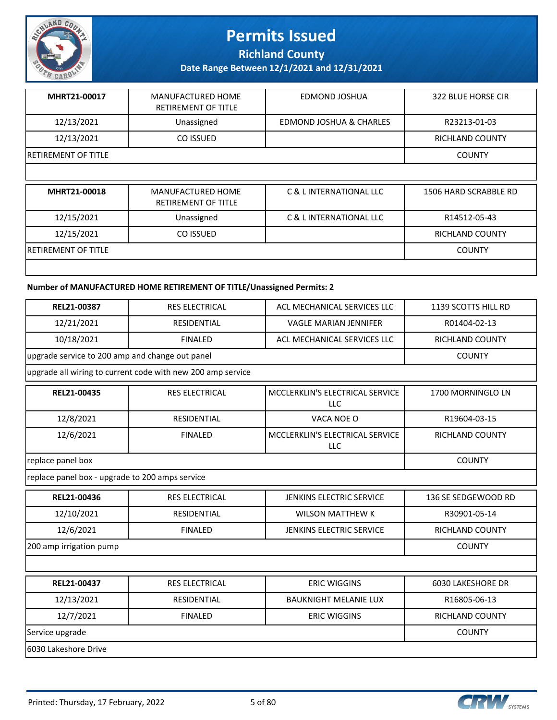

**Richland County**

**Date Range Between 12/1/2021 and 12/31/2021**

| MHRT21-00017               | MANUFACTURED HOME<br><b>RETIREMENT OF TITLE</b> | EDMOND JOSHUA           | 322 BLUE HORSE CIR |
|----------------------------|-------------------------------------------------|-------------------------|--------------------|
| 12/13/2021                 | Unassigned                                      | EDMOND JOSHUA & CHARLES | R23213-01-03       |
| 12/13/2021                 | CO ISSUED                                       |                         | RICHLAND COUNTY    |
| <b>RETIREMENT OF TITLE</b> |                                                 |                         | <b>COUNTY</b>      |
|                            |                                                 |                         |                    |

| MHRT21-00018                | MANUFACTURED HOME<br><b>RETIREMENT OF TITLE</b> | C & L INTERNATIONAL LLC | 1506 HARD SCRABBLE RD |
|-----------------------------|-------------------------------------------------|-------------------------|-----------------------|
| 12/15/2021                  | Unassigned                                      | C & L INTERNATIONAL LLC | R14512-05-43          |
| 12/15/2021                  | CO ISSUED                                       |                         | RICHLAND COUNTY       |
| <b>IRETIREMENT OF TITLE</b> |                                                 |                         | <b>COUNTY</b>         |
|                             |                                                 |                         |                       |

#### **Number of MANUFACTURED HOME RETIREMENT OF TITLE/Unassigned Permits: 2**

| REL21-00387                                     | <b>RES ELECTRICAL</b>                                       | ACL MECHANICAL SERVICES LLC                   | 1139 SCOTTS HILL RD      |
|-------------------------------------------------|-------------------------------------------------------------|-----------------------------------------------|--------------------------|
| 12/21/2021                                      | <b>RESIDENTIAL</b>                                          | <b>VAGLE MARIAN JENNIFER</b>                  | R01404-02-13             |
| 10/18/2021                                      | <b>FINALED</b>                                              | ACL MECHANICAL SERVICES LLC                   | <b>RICHLAND COUNTY</b>   |
| upgrade service to 200 amp and change out panel |                                                             |                                               | <b>COUNTY</b>            |
|                                                 | upgrade all wiring to current code with new 200 amp service |                                               |                          |
| REL21-00435                                     | <b>RES ELECTRICAL</b>                                       | MCCLERKLIN'S ELECTRICAL SERVICE<br><b>LLC</b> | 1700 MORNINGLO LN        |
| 12/8/2021                                       | <b>RESIDENTIAL</b>                                          | VACA NOE O                                    | R19604-03-15             |
| 12/6/2021                                       | <b>FINALED</b>                                              | MCCLERKLIN'S ELECTRICAL SERVICE<br><b>LLC</b> | RICHLAND COUNTY          |
| replace panel box                               | <b>COUNTY</b>                                               |                                               |                          |
| replace panel box - upgrade to 200 amps service |                                                             |                                               |                          |
| REL21-00436                                     | <b>RES ELECTRICAL</b>                                       | JENKINS ELECTRIC SERVICE                      | 136 SE SEDGEWOOD RD      |
| 12/10/2021                                      | <b>RESIDENTIAL</b>                                          | <b>WILSON MATTHEW K</b>                       | R30901-05-14             |
| 12/6/2021                                       | <b>FINALED</b>                                              | <b>JENKINS ELECTRIC SERVICE</b>               | <b>RICHLAND COUNTY</b>   |
| 200 amp irrigation pump                         | <b>COUNTY</b>                                               |                                               |                          |
|                                                 |                                                             |                                               |                          |
| REL21-00437                                     | <b>RES ELECTRICAL</b>                                       | <b>ERIC WIGGINS</b>                           | <b>6030 LAKESHORE DR</b> |
| 12/13/2021                                      | <b>RESIDENTIAL</b>                                          | <b>BAUKNIGHT MELANIE LUX</b>                  | R16805-06-13             |
| 12/7/2021                                       | <b>FINALED</b>                                              | <b>ERIC WIGGINS</b>                           | <b>RICHLAND COUNTY</b>   |
| Service upgrade                                 | <b>COUNTY</b>                                               |                                               |                          |
| 6030 Lakeshore Drive                            |                                                             |                                               |                          |

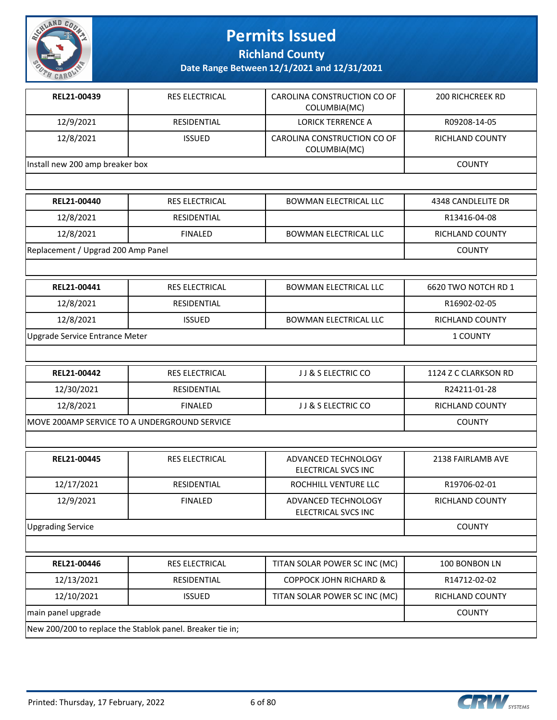

**Richland County**

| REL21-00439                                  | <b>RES ELECTRICAL</b>                                     | CAROLINA CONSTRUCTION CO OF<br>COLUMBIA(MC) | <b>200 RICHCREEK RD</b> |
|----------------------------------------------|-----------------------------------------------------------|---------------------------------------------|-------------------------|
| 12/9/2021                                    | <b>RESIDENTIAL</b>                                        | <b>LORICK TERRENCE A</b>                    | R09208-14-05            |
| 12/8/2021                                    | <b>ISSUED</b>                                             | CAROLINA CONSTRUCTION CO OF<br>COLUMBIA(MC) | RICHLAND COUNTY         |
| Install new 200 amp breaker box              |                                                           |                                             | <b>COUNTY</b>           |
|                                              |                                                           |                                             |                         |
| REL21-00440                                  | <b>RES ELECTRICAL</b>                                     | <b>BOWMAN ELECTRICAL LLC</b>                | 4348 CANDLELITE DR      |
| 12/8/2021                                    | RESIDENTIAL                                               |                                             | R13416-04-08            |
| 12/8/2021                                    | <b>FINALED</b>                                            | <b>BOWMAN ELECTRICAL LLC</b>                | RICHLAND COUNTY         |
| Replacement / Upgrad 200 Amp Panel           |                                                           |                                             | <b>COUNTY</b>           |
|                                              |                                                           |                                             |                         |
| REL21-00441                                  | <b>RES ELECTRICAL</b>                                     | <b>BOWMAN ELECTRICAL LLC</b>                | 6620 TWO NOTCH RD 1     |
| 12/8/2021                                    | RESIDENTIAL                                               |                                             | R16902-02-05            |
| 12/8/2021                                    | <b>ISSUED</b>                                             | <b>BOWMAN ELECTRICAL LLC</b>                | RICHLAND COUNTY         |
| Upgrade Service Entrance Meter               |                                                           |                                             | 1 COUNTY                |
|                                              |                                                           |                                             |                         |
| REL21-00442                                  | <b>RES ELECTRICAL</b>                                     | JJ & S ELECTRIC CO                          | 1124 Z C CLARKSON RD    |
| 12/30/2021                                   | <b>RESIDENTIAL</b>                                        |                                             | R24211-01-28            |
| 12/8/2021                                    | <b>FINALED</b>                                            | JJ & S ELECTRIC CO                          | RICHLAND COUNTY         |
| MOVE 200AMP SERVICE TO A UNDERGROUND SERVICE | <b>COUNTY</b>                                             |                                             |                         |
|                                              |                                                           |                                             |                         |
| REL21-00445                                  | <b>RES ELECTRICAL</b>                                     | ADVANCED TECHNOLOGY<br>ELECTRICAL SVCS INC  | 2138 FAIRLAMB AVE       |
| 12/17/2021                                   | RESIDENTIAL                                               | ROCHHILL VENTURE LLC                        | R19706-02-01            |
| 12/9/2021                                    | <b>FINALED</b>                                            | ADVANCED TECHNOLOGY<br>ELECTRICAL SVCS INC  | RICHLAND COUNTY         |
| <b>Upgrading Service</b>                     |                                                           |                                             | <b>COUNTY</b>           |
|                                              |                                                           |                                             |                         |
| REL21-00446                                  | <b>RES ELECTRICAL</b>                                     | TITAN SOLAR POWER SC INC (MC)               | 100 BONBON LN           |
| 12/13/2021                                   | RESIDENTIAL                                               | <b>COPPOCK JOHN RICHARD &amp;</b>           | R14712-02-02            |
| 12/10/2021                                   | <b>ISSUED</b>                                             | TITAN SOLAR POWER SC INC (MC)               | RICHLAND COUNTY         |
| main panel upgrade                           |                                                           |                                             | <b>COUNTY</b>           |
|                                              | New 200/200 to replace the Stablok panel. Breaker tie in; |                                             |                         |

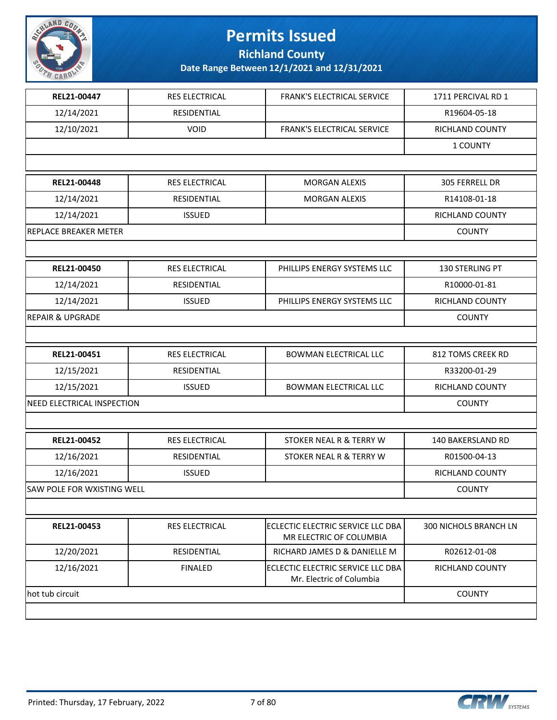

**Richland County**

| REL21-00447                       | RES ELECTRICAL        | FRANK'S ELECTRICAL SERVICE                                    | 1711 PERCIVAL RD 1     |
|-----------------------------------|-----------------------|---------------------------------------------------------------|------------------------|
| 12/14/2021                        | RESIDENTIAL           |                                                               | R19604-05-18           |
| 12/10/2021                        | <b>VOID</b>           | FRANK'S ELECTRICAL SERVICE                                    | RICHLAND COUNTY        |
|                                   |                       |                                                               | 1 COUNTY               |
|                                   |                       |                                                               |                        |
| REL21-00448                       | <b>RES ELECTRICAL</b> | <b>MORGAN ALEXIS</b>                                          | 305 FERRELL DR         |
| 12/14/2021                        | RESIDENTIAL           | <b>MORGAN ALEXIS</b>                                          | R14108-01-18           |
| 12/14/2021                        | <b>ISSUED</b>         |                                                               | RICHLAND COUNTY        |
| <b>REPLACE BREAKER METER</b>      |                       |                                                               | <b>COUNTY</b>          |
|                                   |                       |                                                               |                        |
| REL21-00450                       | RES ELECTRICAL        | PHILLIPS ENERGY SYSTEMS LLC                                   | 130 STERLING PT        |
| 12/14/2021                        | RESIDENTIAL           |                                                               | R10000-01-81           |
| 12/14/2021                        | <b>ISSUED</b>         | PHILLIPS ENERGY SYSTEMS LLC                                   | RICHLAND COUNTY        |
| <b>REPAIR &amp; UPGRADE</b>       |                       |                                                               | <b>COUNTY</b>          |
|                                   |                       |                                                               |                        |
| REL21-00451                       | RES ELECTRICAL        | <b>BOWMAN ELECTRICAL LLC</b>                                  | 812 TOMS CREEK RD      |
| 12/15/2021                        | RESIDENTIAL           |                                                               | R33200-01-29           |
| 12/15/2021                        | <b>ISSUED</b>         | BOWMAN ELECTRICAL LLC                                         | RICHLAND COUNTY        |
| NEED ELECTRICAL INSPECTION        |                       |                                                               | <b>COUNTY</b>          |
|                                   |                       |                                                               |                        |
| REL21-00452                       | <b>RES ELECTRICAL</b> | STOKER NEAL R & TERRY W                                       | 140 BAKERSLAND RD      |
| 12/16/2021                        | RESIDENTIAL           | STOKER NEAL R & TERRY W                                       | R01500-04-13           |
| 12/16/2021                        | <b>ISSUED</b>         |                                                               | RICHLAND COUNTY        |
| <b>SAW POLE FOR WXISTING WELL</b> |                       |                                                               | <b>COUNTY</b>          |
|                                   |                       |                                                               |                        |
| REL21-00453                       | RES ELECTRICAL        | ECLECTIC ELECTRIC SERVICE LLC DBA<br>MR ELECTRIC OF COLUMBIA  | 300 NICHOLS BRANCH LN  |
| 12/20/2021                        | RESIDENTIAL           | RICHARD JAMES D & DANIELLE M                                  | R02612-01-08           |
| 12/16/2021                        | <b>FINALED</b>        | ECLECTIC ELECTRIC SERVICE LLC DBA<br>Mr. Electric of Columbia | <b>RICHLAND COUNTY</b> |
| hot tub circuit                   |                       |                                                               | <b>COUNTY</b>          |
|                                   |                       |                                                               |                        |

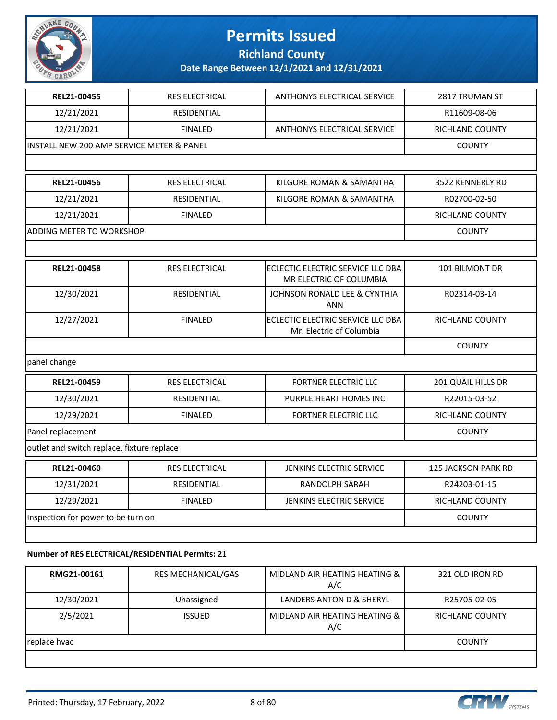

**Richland County**

**Date Range Between 12/1/2021 and 12/31/2021**

| REL21-00455                                | <b>RES ELECTRICAL</b> | <b>ANTHONYS ELECTRICAL SERVICE</b>                            | 2817 TRUMAN ST             |
|--------------------------------------------|-----------------------|---------------------------------------------------------------|----------------------------|
| 12/21/2021                                 | <b>RESIDENTIAL</b>    |                                                               | R11609-08-06               |
| 12/21/2021                                 | <b>FINALED</b>        | <b>ANTHONYS ELECTRICAL SERVICE</b>                            | <b>RICHLAND COUNTY</b>     |
| INSTALL NEW 200 AMP SERVICE METER & PANEL  |                       |                                                               | <b>COUNTY</b>              |
|                                            |                       |                                                               |                            |
| REL21-00456                                | <b>RES ELECTRICAL</b> | KILGORE ROMAN & SAMANTHA                                      | 3522 KENNERLY RD           |
| 12/21/2021                                 | RESIDENTIAL           | KILGORE ROMAN & SAMANTHA                                      | R02700-02-50               |
| 12/21/2021                                 | <b>FINALED</b>        |                                                               | <b>RICHLAND COUNTY</b>     |
| ADDING METER TO WORKSHOP                   |                       |                                                               | <b>COUNTY</b>              |
|                                            |                       |                                                               |                            |
| REL21-00458                                | RES ELECTRICAL        | ECLECTIC ELECTRIC SERVICE LLC DBA<br>MR ELECTRIC OF COLUMBIA  | 101 BILMONT DR             |
| 12/30/2021                                 | RESIDENTIAL           | JOHNSON RONALD LEE & CYNTHIA<br><b>ANN</b>                    | R02314-03-14               |
| 12/27/2021                                 | <b>FINALED</b>        | ECLECTIC ELECTRIC SERVICE LLC DBA<br>Mr. Electric of Columbia | RICHLAND COUNTY            |
|                                            |                       |                                                               | <b>COUNTY</b>              |
| panel change                               |                       |                                                               |                            |
| REL21-00459                                | <b>RES ELECTRICAL</b> | <b>FORTNER ELECTRIC LLC</b>                                   | 201 QUAIL HILLS DR         |
| 12/30/2021                                 | RESIDENTIAL           | PURPLE HEART HOMES INC                                        | R22015-03-52               |
| 12/29/2021                                 | <b>FINALED</b>        | FORTNER ELECTRIC LLC                                          | RICHLAND COUNTY            |
| Panel replacement                          |                       |                                                               | <b>COUNTY</b>              |
| outlet and switch replace, fixture replace |                       |                                                               |                            |
| REL21-00460                                | <b>RES ELECTRICAL</b> | <b>JENKINS ELECTRIC SERVICE</b>                               | <b>125 JACKSON PARK RD</b> |
| 12/31/2021                                 | <b>RESIDENTIAL</b>    | <b>RANDOLPH SARAH</b>                                         | R24203-01-15               |
| 12/29/2021                                 | <b>FINALED</b>        | JENKINS ELECTRIC SERVICE                                      | RICHLAND COUNTY            |
| Inspection for power to be turn on         | <b>COUNTY</b>         |                                                               |                            |
|                                            |                       |                                                               |                            |
|                                            |                       |                                                               |                            |

#### **Number of RES ELECTRICAL/RESIDENTIAL Permits: 21**

| RMG21-00161  | <b>RES MECHANICAL/GAS</b> | MIDLAND AIR HEATING HEATING &<br>A/C | 321 OLD IRON RD |
|--------------|---------------------------|--------------------------------------|-----------------|
| 12/30/2021   | Unassigned                | LANDERS ANTON D & SHERYL             | R25705-02-05    |
| 2/5/2021     | <b>ISSUED</b>             | MIDLAND AIR HEATING HEATING &<br>A/C | RICHLAND COUNTY |
| replace hvac | <b>COUNTY</b>             |                                      |                 |
|              |                           |                                      |                 |

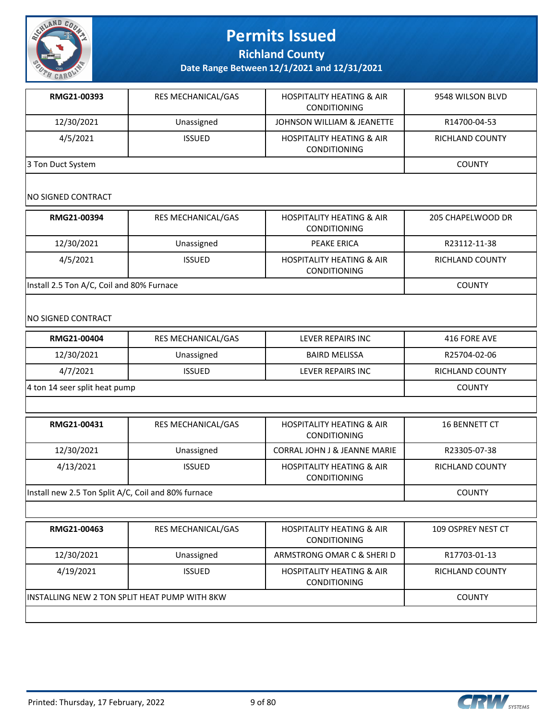

**Richland County**

**Date Range Between 12/1/2021 and 12/31/2021**

| RMG21-00393       | <b>RES MECHANICAL/GAS</b> | <b>HOSPITALITY HEATING &amp; AIR</b><br><b>CONDITIONING</b> | 9548 WILSON BLVD |
|-------------------|---------------------------|-------------------------------------------------------------|------------------|
| 12/30/2021        | Unassigned                | JOHNSON WILLIAM & JEANETTE                                  | R14700-04-53     |
| 4/5/2021          | <b>ISSUED</b>             | <b>HOSPITALITY HEATING &amp; AIR</b><br><b>CONDITIONING</b> | RICHLAND COUNTY  |
| 3 Ton Duct System | <b>COUNTY</b>             |                                                             |                  |

### NO SIGNED CONTRACT

| RMG21-00394                               | <b>RES MECHANICAL/GAS</b> | <b>HOSPITALITY HEATING &amp; AIR</b><br><b>CONDITIONING</b> | 205 CHAPELWOOD DR |
|-------------------------------------------|---------------------------|-------------------------------------------------------------|-------------------|
| 12/30/2021                                | Unassigned                | PEAKE ERICA                                                 | R23112-11-38      |
| 4/5/2021                                  | <b>ISSUED</b>             | <b>HOSPITALITY HEATING &amp; AIR</b><br><b>CONDITIONING</b> | RICHLAND COUNTY   |
| Install 2.5 Ton A/C, Coil and 80% Furnace |                           |                                                             | COUNTY            |

### NO SIGNED CONTRACT

| RMG21-00404                   | <b>RES MECHANICAL/GAS</b> | LEVER REPAIRS INC    | 416 FORE AVE    |
|-------------------------------|---------------------------|----------------------|-----------------|
| 12/30/2021                    | Unassigned                | <b>BAIRD MELISSA</b> | R25704-02-06    |
| 4/7/2021                      | <b>ISSUED</b>             | LEVER REPAIRS INC    | RICHLAND COUNTY |
| 4 ton 14 seer split heat pump | <b>COUNTY</b>             |                      |                 |
|                               |                           |                      |                 |

| RMG21-00431                                         | <b>RES MECHANICAL/GAS</b> | <b>HOSPITALITY HEATING &amp; AIR</b><br><b>CONDITIONING</b> | <b>16 BENNETT CT</b>   |
|-----------------------------------------------------|---------------------------|-------------------------------------------------------------|------------------------|
| 12/30/2021                                          | Unassigned                | <b>CORRAL JOHN J &amp; JEANNE MARIE</b>                     | R23305-07-38           |
| 4/13/2021                                           | <b>ISSUED</b>             | <b>HOSPITALITY HEATING &amp; AIR</b><br><b>CONDITIONING</b> | <b>RICHLAND COUNTY</b> |
| Install new 2.5 Ton Split A/C, Coil and 80% furnace |                           |                                                             | <b>COUNTY</b>          |

| RMG21-00463                                    | <b>RES MECHANICAL/GAS</b> | <b>HOSPITALITY HEATING &amp; AIR</b><br><b>CONDITIONING</b> | 109 OSPREY NEST CT     |
|------------------------------------------------|---------------------------|-------------------------------------------------------------|------------------------|
| 12/30/2021                                     | Unassigned                | ARMSTRONG OMAR C & SHERI D                                  | R17703-01-13           |
| 4/19/2021                                      | <b>ISSUED</b>             | <b>HOSPITALITY HEATING &amp; AIR</b><br><b>CONDITIONING</b> | <b>RICHLAND COUNTY</b> |
| IINSTALLING NEW 2 TON SPLIT HEAT PUMP WITH 8KW |                           |                                                             | <b>COUNTY</b>          |
|                                                |                           |                                                             |                        |

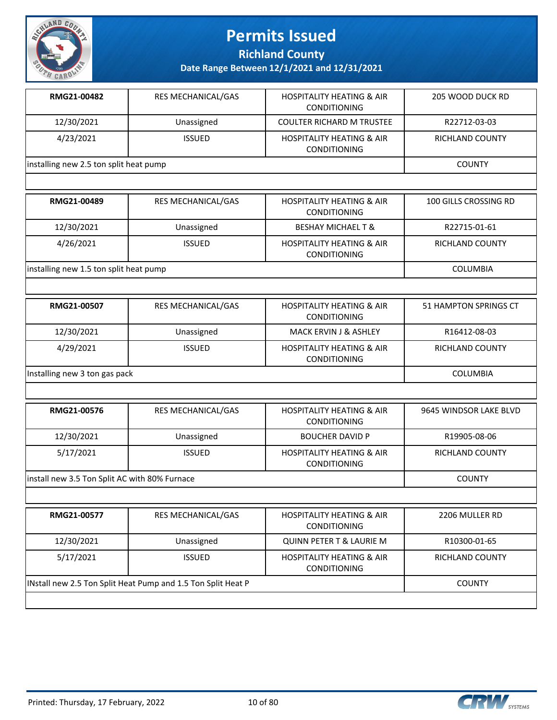

**Richland County**

| RMG21-00482                            | <b>RES MECHANICAL/GAS</b> | <b>HOSPITALITY HEATING &amp; AIR</b><br><b>CONDITIONING</b> | 205 WOOD DUCK RD |
|----------------------------------------|---------------------------|-------------------------------------------------------------|------------------|
| 12/30/2021                             | Unassigned                | <b>COULTER RICHARD M TRUSTEE</b>                            | R22712-03-03     |
| 4/23/2021                              | <b>ISSUED</b>             | <b>HOSPITALITY HEATING &amp; AIR</b><br><b>CONDITIONING</b> | RICHLAND COUNTY  |
| installing new 2.5 ton split heat pump |                           |                                                             | <b>COUNTY</b>    |

| RMG21-00489                            | <b>RES MECHANICAL/GAS</b> | <b>HOSPITALITY HEATING &amp; AIR</b><br><b>CONDITIONING</b> | 100 GILLS CROSSING RD |
|----------------------------------------|---------------------------|-------------------------------------------------------------|-----------------------|
| 12/30/2021                             | Unassigned                | <b>BESHAY MICHAEL T &amp;</b>                               | R22715-01-61          |
| 4/26/2021                              | <b>ISSUED</b>             | <b>HOSPITALITY HEATING &amp; AIR</b><br><b>CONDITIONING</b> | RICHLAND COUNTY       |
| installing new 1.5 ton split heat pump |                           |                                                             | <b>COLUMBIA</b>       |

| RMG21-00507                   | <b>RES MECHANICAL/GAS</b> | <b>HOSPITALITY HEATING &amp; AIR</b><br><b>CONDITIONING</b> | 51 HAMPTON SPRINGS CT |
|-------------------------------|---------------------------|-------------------------------------------------------------|-----------------------|
| 12/30/2021                    | Unassigned                | <b>MACK ERVIN J &amp; ASHLEY</b>                            | R16412-08-03          |
| 4/29/2021                     | <b>ISSUED</b>             | <b>HOSPITALITY HEATING &amp; AIR</b><br><b>CONDITIONING</b> | RICHLAND COUNTY       |
| Installing new 3 ton gas pack |                           |                                                             | <b>COLUMBIA</b>       |

| RMG21-00576                                   | <b>RES MECHANICAL/GAS</b> | <b>HOSPITALITY HEATING &amp; AIR</b><br><b>CONDITIONING</b> | 9645 WINDSOR LAKE BLVD |
|-----------------------------------------------|---------------------------|-------------------------------------------------------------|------------------------|
| 12/30/2021                                    | Unassigned                | <b>BOUCHER DAVID P</b>                                      | R19905-08-06           |
| 5/17/2021                                     | <b>ISSUED</b>             | <b>HOSPITALITY HEATING &amp; AIR</b><br><b>CONDITIONING</b> | RICHLAND COUNTY        |
| install new 3.5 Ton Split AC with 80% Furnace |                           |                                                             | <b>COUNTY</b>          |

| RMG21-00577                                                  | <b>RES MECHANICAL/GAS</b> | <b>HOSPITALITY HEATING &amp; AIR</b><br><b>CONDITIONING</b> | 2206 MULLER RD  |
|--------------------------------------------------------------|---------------------------|-------------------------------------------------------------|-----------------|
| 12/30/2021                                                   | Unassigned                | <b>QUINN PETER T &amp; LAURIE M</b>                         | R10300-01-65    |
| 5/17/2021                                                    | <b>ISSUED</b>             | <b>HOSPITALITY HEATING &amp; AIR</b><br><b>CONDITIONING</b> | RICHLAND COUNTY |
| INstall new 2.5 Ton Split Heat Pump and 1.5 Ton Split Heat P |                           |                                                             | <b>COUNTY</b>   |

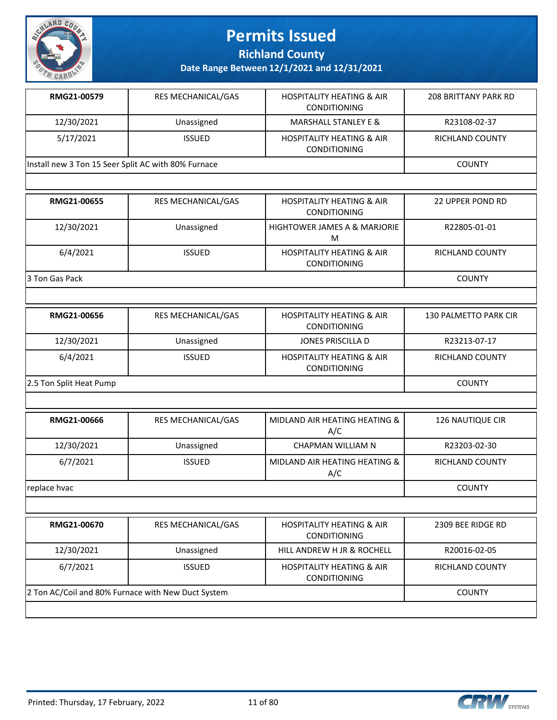

**Richland County**

**Date Range Between 12/1/2021 and 12/31/2021**

| RMG21-00579                                         | <b>RES MECHANICAL/GAS</b> | <b>HOSPITALITY HEATING &amp; AIR</b><br><b>CONDITIONING</b> | 208 BRITTANY PARK RD |
|-----------------------------------------------------|---------------------------|-------------------------------------------------------------|----------------------|
| 12/30/2021                                          | Unassigned                | <b>MARSHALL STANLEY E &amp;</b>                             | R23108-02-37         |
| 5/17/2021                                           | <b>ISSUED</b>             | <b>HOSPITALITY HEATING &amp; AIR</b><br><b>CONDITIONING</b> | RICHLAND COUNTY      |
| Install new 3 Ton 15 Seer Split AC with 80% Furnace |                           |                                                             | <b>COUNTY</b>        |

| RMG21-00655     | <b>RES MECHANICAL/GAS</b> | <b>HOSPITALITY HEATING &amp; AIR</b><br><b>CONDITIONING</b> | 22 UPPER POND RD |
|-----------------|---------------------------|-------------------------------------------------------------|------------------|
| 12/30/2021      | Unassigned                | <b>HIGHTOWER JAMES A &amp; MARJORIE</b><br>М                | R22805-01-01     |
| 6/4/2021        | <b>ISSUED</b>             | <b>HOSPITALITY HEATING &amp; AIR</b><br><b>CONDITIONING</b> | RICHLAND COUNTY  |
| 13 Ton Gas Pack |                           |                                                             | <b>COUNTY</b>    |

| RMG21-00656             | <b>RES MECHANICAL/GAS</b> | <b>HOSPITALITY HEATING &amp; AIR</b><br><b>CONDITIONING</b> | 130 PALMETTO PARK CIR |
|-------------------------|---------------------------|-------------------------------------------------------------|-----------------------|
| 12/30/2021              | Unassigned                | JONES PRISCILLA D                                           | R23213-07-17          |
| 6/4/2021                | <b>ISSUED</b>             | <b>HOSPITALITY HEATING &amp; AIR</b><br><b>CONDITIONING</b> | RICHLAND COUNTY       |
| 2.5 Ton Split Heat Pump |                           |                                                             | <b>COUNTY</b>         |

| RMG21-00666  | <b>RES MECHANICAL/GAS</b> | MIDLAND AIR HEATING HEATING &<br>A/C                        | <b>126 NAUTIQUE CIR</b> |
|--------------|---------------------------|-------------------------------------------------------------|-------------------------|
| 12/30/2021   | Unassigned                | CHAPMAN WILLIAM N                                           | R23203-02-30            |
| 6/7/2021     | <b>ISSUED</b>             | MIDLAND AIR HEATING HEATING &<br>A/C                        | <b>RICHLAND COUNTY</b>  |
| replace hvac |                           |                                                             | <b>COUNTY</b>           |
|              |                           |                                                             |                         |
| RMG21-00670  | <b>RES MECHANICAL/GAS</b> | <b>HOSPITALITY HEATING &amp; AIR</b><br><b>CONDITIONING</b> | 2309 BEE RIDGE RD       |
| 12/30/2021   | Unassigned                | HILL ANDREW H JR & ROCHELL                                  | R20016-02-05            |
| 6/7/2021     | <b>ISSUED</b>             | <b>HOSPITALITY HEATING &amp; AIR</b><br><b>CONDITIONING</b> | <b>RICHLAND COUNTY</b>  |

2 Ton AC/Coil and 80% Furnace with New Duct System COUNTY COUNTY

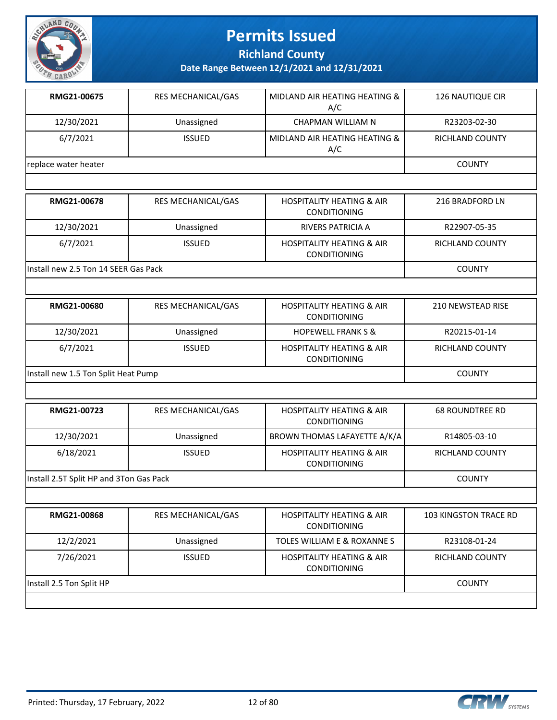

**Richland County**

| RMG21-00675          | <b>RES MECHANICAL/GAS</b> | MIDLAND AIR HEATING HEATING &<br>A/C | 126 NAUTIQUE CIR       |
|----------------------|---------------------------|--------------------------------------|------------------------|
| 12/30/2021           | Unassigned                | CHAPMAN WILLIAM N                    | R23203-02-30           |
| 6/7/2021             | <b>ISSUED</b>             | MIDLAND AIR HEATING HEATING &<br>A/C | <b>RICHLAND COUNTY</b> |
| replace water heater |                           |                                      | <b>COUNTY</b>          |

| RMG21-00678                           | <b>RES MECHANICAL/GAS</b> | <b>HOSPITALITY HEATING &amp; AIR</b><br><b>CONDITIONING</b> | 216 BRADFORD LN |
|---------------------------------------|---------------------------|-------------------------------------------------------------|-----------------|
| 12/30/2021                            | Unassigned                | RIVERS PATRICIA A                                           | R22907-05-35    |
| 6/7/2021                              | <b>ISSUED</b>             | <b>HOSPITALITY HEATING &amp; AIR</b><br><b>CONDITIONING</b> | RICHLAND COUNTY |
| lInstall new 2.5 Ton 14 SEER Gas Pack |                           |                                                             | <b>COUNTY</b>   |

| RMG21-00680                         | <b>RES MECHANICAL/GAS</b> | <b>HOSPITALITY HEATING &amp; AIR</b><br><b>CONDITIONING</b> | 210 NEWSTEAD RISE |
|-------------------------------------|---------------------------|-------------------------------------------------------------|-------------------|
| 12/30/2021                          | Unassigned                | <b>HOPEWELL FRANK S &amp;</b>                               | R20215-01-14      |
| 6/7/2021                            | <b>ISSUED</b>             | <b>HOSPITALITY HEATING &amp; AIR</b><br><b>CONDITIONING</b> | RICHLAND COUNTY   |
| Install new 1.5 Ton Split Heat Pump |                           |                                                             | <b>COUNTY</b>     |

| RMG21-00723                             | <b>RES MECHANICAL/GAS</b> | <b>HOSPITALITY HEATING &amp; AIR</b><br><b>CONDITIONING</b> | <b>68 ROUNDTREE RD</b> |
|-----------------------------------------|---------------------------|-------------------------------------------------------------|------------------------|
| 12/30/2021                              | Unassigned                | BROWN THOMAS LAFAYETTE A/K/A                                | R14805-03-10           |
| 6/18/2021                               | <b>ISSUED</b>             | <b>HOSPITALITY HEATING &amp; AIR</b><br><b>CONDITIONING</b> | RICHLAND COUNTY        |
| Install 2.5T Split HP and 3Ton Gas Pack |                           |                                                             | <b>COUNTY</b>          |

| RMG21-00868              | <b>RES MECHANICAL/GAS</b> | <b>HOSPITALITY HEATING &amp; AIR</b><br><b>CONDITIONING</b> | <b>103 KINGSTON TRACE RD</b> |
|--------------------------|---------------------------|-------------------------------------------------------------|------------------------------|
| 12/2/2021                | Unassigned                | TOLES WILLIAM E & ROXANNE S                                 | R23108-01-24                 |
| 7/26/2021                | <b>ISSUED</b>             | <b>HOSPITALITY HEATING &amp; AIR</b><br><b>CONDITIONING</b> | RICHLAND COUNTY              |
| Install 2.5 Ton Split HP |                           |                                                             | <b>COUNTY</b>                |

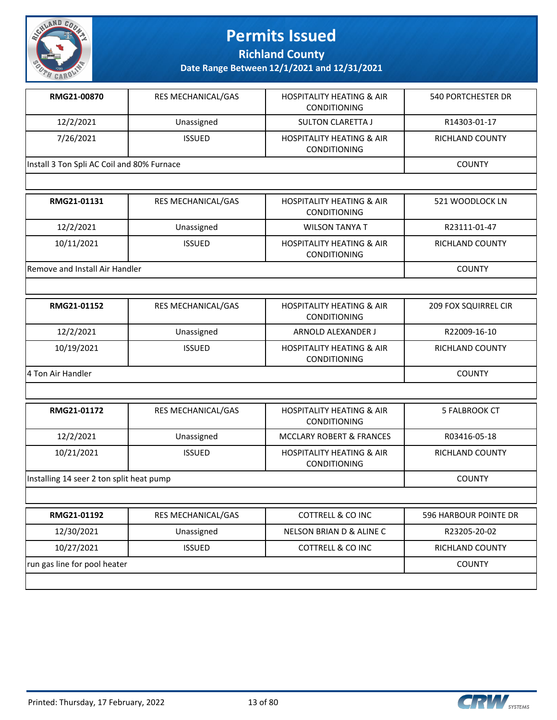

**Richland County**

| <b>RES MECHANICAL/GAS</b>                  | <b>HOSPITALITY HEATING &amp; AIR</b><br><b>CONDITIONING</b> | 540 PORTCHESTER DR |
|--------------------------------------------|-------------------------------------------------------------|--------------------|
| Unassigned                                 | SULTON CLARETTA J                                           | R14303-01-17       |
| <b>ISSUED</b>                              | <b>HOSPITALITY HEATING &amp; AIR</b><br><b>CONDITIONING</b> | RICHLAND COUNTY    |
| Install 3 Ton Spli AC Coil and 80% Furnace |                                                             |                    |
|                                            |                                                             |                    |

| RMG21-01131                    | <b>RES MECHANICAL/GAS</b> | <b>HOSPITALITY HEATING &amp; AIR</b><br><b>CONDITIONING</b> | 521 WOODLOCK LN |
|--------------------------------|---------------------------|-------------------------------------------------------------|-----------------|
| 12/2/2021                      | Unassigned                | <b>WILSON TANYA T</b>                                       | R23111-01-47    |
| 10/11/2021                     | <b>ISSUED</b>             | <b>HOSPITALITY HEATING &amp; AIR</b><br><b>CONDITIONING</b> | RICHLAND COUNTY |
| Remove and Install Air Handler |                           |                                                             | <b>COUNTY</b>   |

| RMG21-01152       | <b>RES MECHANICAL/GAS</b> | <b>HOSPITALITY HEATING &amp; AIR</b><br><b>CONDITIONING</b> | <b>209 FOX SQUIRREL CIR</b> |  |
|-------------------|---------------------------|-------------------------------------------------------------|-----------------------------|--|
| 12/2/2021         | Unassigned                | ARNOLD ALEXANDER J                                          | R22009-16-10                |  |
| 10/19/2021        | <b>ISSUED</b>             | <b>HOSPITALITY HEATING &amp; AIR</b><br><b>CONDITIONING</b> | RICHLAND COUNTY             |  |
| 4 Ton Air Handler |                           |                                                             |                             |  |

| RMG21-01172                              | <b>RES MECHANICAL/GAS</b> | <b>HOSPITALITY HEATING &amp; AIR</b><br><b>CONDITIONING</b> | 5 FALBROOK CT          |
|------------------------------------------|---------------------------|-------------------------------------------------------------|------------------------|
| 12/2/2021                                | Unassigned                | MCCLARY ROBERT & FRANCES                                    | R03416-05-18           |
| 10/21/2021                               | <b>ISSUED</b>             | <b>HOSPITALITY HEATING &amp; AIR</b><br><b>CONDITIONING</b> | <b>RICHLAND COUNTY</b> |
| Installing 14 seer 2 ton split heat pump |                           |                                                             | <b>COUNTY</b>          |

| RMG21-01192                  | <b>RES MECHANICAL/GAS</b> | COTTRELL & CO INC        | 596 HARBOUR POINTE DR |
|------------------------------|---------------------------|--------------------------|-----------------------|
| 12/30/2021                   | Unassigned                | NELSON BRIAN D & ALINE C | R23205-20-02          |
| 10/27/2021                   | <b>ISSUED</b>             | COTTRELL & CO INC        | RICHLAND COUNTY       |
| run gas line for pool heater |                           |                          | <b>COUNTY</b>         |
|                              |                           |                          |                       |

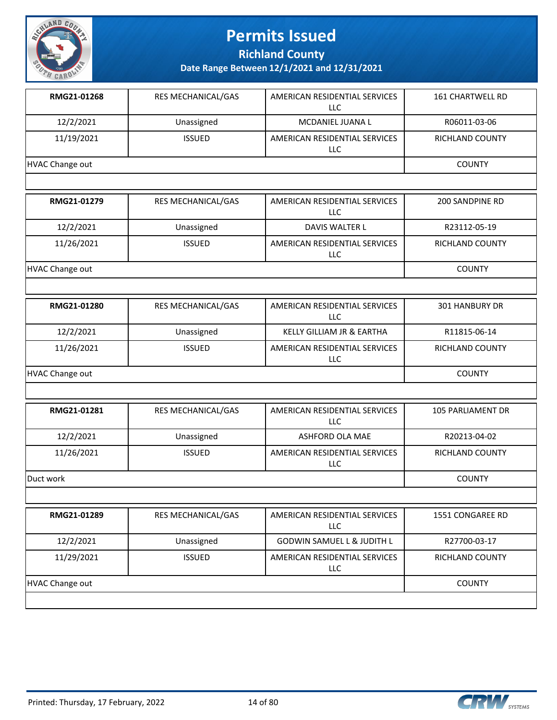

**Richland County**

| RMG21-01268            | <b>RES MECHANICAL/GAS</b> | AMERICAN RESIDENTIAL SERVICES<br><b>LLC</b> | <b>161 CHARTWELL RD</b> |  |  |  |
|------------------------|---------------------------|---------------------------------------------|-------------------------|--|--|--|
| 12/2/2021              | Unassigned                | MCDANIEL JUANA L                            | R06011-03-06            |  |  |  |
| 11/19/2021             | <b>ISSUED</b>             | AMERICAN RESIDENTIAL SERVICES<br><b>LLC</b> | RICHLAND COUNTY         |  |  |  |
| <b>HVAC Change out</b> |                           |                                             |                         |  |  |  |
|                        |                           |                                             |                         |  |  |  |
| RMG21-01279            | RES MECHANICAL/GAS        | AMERICAN RESIDENTIAL SERVICES<br><b>LLC</b> | <b>200 SANDPINE RD</b>  |  |  |  |
| 12/2/2021              | Unassigned                | DAVIS WALTER L                              | R23112-05-19            |  |  |  |
| 11/26/2021             | <b>ISSUED</b>             | AMERICAN RESIDENTIAL SERVICES<br><b>LLC</b> | RICHLAND COUNTY         |  |  |  |
| <b>HVAC Change out</b> |                           |                                             | <b>COUNTY</b>           |  |  |  |
|                        |                           |                                             |                         |  |  |  |
| RMG21-01280            | RES MECHANICAL/GAS        | AMERICAN RESIDENTIAL SERVICES<br>LLC        | 301 HANBURY DR          |  |  |  |
| 12/2/2021              | Unassigned                | KELLY GILLIAM JR & EARTHA                   | R11815-06-14            |  |  |  |
| 11/26/2021             | <b>ISSUED</b>             | AMERICAN RESIDENTIAL SERVICES<br>LLC        | RICHLAND COUNTY         |  |  |  |
| <b>HVAC Change out</b> | <b>COUNTY</b>             |                                             |                         |  |  |  |
|                        |                           |                                             |                         |  |  |  |
| RMG21-01281            | RES MECHANICAL/GAS        | AMERICAN RESIDENTIAL SERVICES<br>LLC        | 105 PARLIAMENT DR       |  |  |  |
| 12/2/2021              | Unassigned                | ASHFORD OLA MAE                             | R20213-04-02            |  |  |  |
| 11/26/2021             | <b>ISSUED</b>             | AMERICAN RESIDENTIAL SERVICES<br><b>LLC</b> | RICHLAND COUNTY         |  |  |  |
| Duct work              | <b>COUNTY</b>             |                                             |                         |  |  |  |
|                        |                           |                                             |                         |  |  |  |
| RMG21-01289            | RES MECHANICAL/GAS        | AMERICAN RESIDENTIAL SERVICES<br><b>LLC</b> | 1551 CONGAREE RD        |  |  |  |
| 12/2/2021              | <b>Ilgaccianod</b>        | COMMIN CAMIITLLO HINTILL                    | <b>DOTTOO OO 17</b>     |  |  |  |

| 12/2/2021       | Unassigned    | <b>GODWIN SAMUEL L &amp; JUDITH L</b> | R27700-03-17    |
|-----------------|---------------|---------------------------------------|-----------------|
| 11/29/2021      | <b>ISSUED</b> | AMERICAN RESIDENTIAL SERVICES<br>LLC  | RICHLAND COUNTY |
| HVAC Change out | <b>COUNTY</b> |                                       |                 |
|                 |               |                                       |                 |

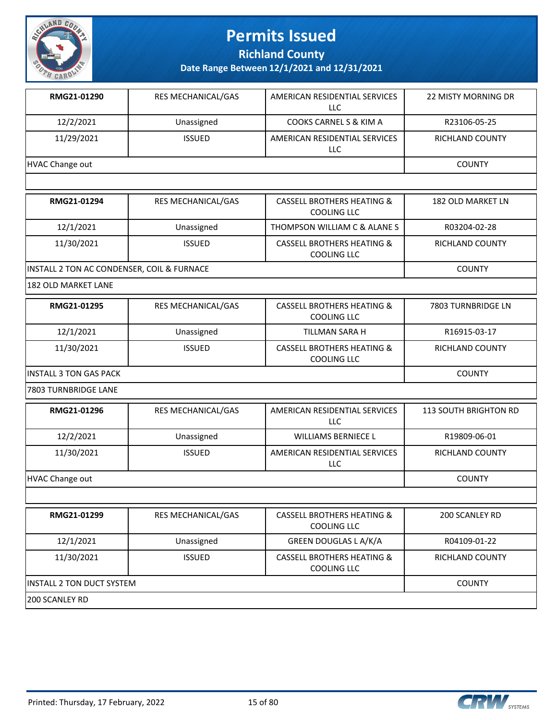

**Richland County**

**Date Range Between 12/1/2021 and 12/31/2021**

| RMG21-01290     | <b>RES MECHANICAL/GAS</b> | AMERICAN RESIDENTIAL SERVICES<br>LLC | <b>22 MISTY MORNING DR</b> |
|-----------------|---------------------------|--------------------------------------|----------------------------|
| 12/2/2021       | Unassigned                | COOKS CARNEL S & KIM A               | R23106-05-25               |
| 11/29/2021      | <b>ISSUED</b>             | AMERICAN RESIDENTIAL SERVICES<br>LLC | RICHLAND COUNTY            |
| HVAC Change out |                           |                                      | <b>COUNTY</b>              |

| RMG21-01294                                | <b>RES MECHANICAL/GAS</b> | <b>CASSELL BROTHERS HEATING &amp;</b><br>COOLING LLC        | 182 OLD MARKET LN |
|--------------------------------------------|---------------------------|-------------------------------------------------------------|-------------------|
| 12/1/2021                                  | Unassigned                | THOMPSON WILLIAM C & ALANE S                                | R03204-02-28      |
| 11/30/2021                                 | <b>ISSUED</b>             | <b>CASSELL BROTHERS HEATING &amp;</b><br><b>COOLING LLC</b> | RICHLAND COUNTY   |
| INSTALL 2 TON AC CONDENSER, COIL & FURNACE |                           |                                                             | <b>COUNTY</b>     |

182 OLD MARKET LANE

| RMG21-01295             | <b>RES MECHANICAL/GAS</b> | CASSELL BROTHERS HEATING &<br>COOLING LLC            | 7803 TURNBRIDGE LN |
|-------------------------|---------------------------|------------------------------------------------------|--------------------|
| 12/1/2021               | Unassigned                | TILLMAN SARA H                                       | R16915-03-17       |
| 11/30/2021              | <b>ISSUED</b>             | <b>CASSELL BROTHERS HEATING &amp;</b><br>COOLING LLC | RICHLAND COUNTY    |
| IINSTALL 3 TON GAS PACK | <b>COUNTY</b>             |                                                      |                    |

7803 TURNBRIDGE LANE

| RMG21-01296     | <b>RES MECHANICAL/GAS</b> | AMERICAN RESIDENTIAL SERVICES<br>LLC | <b>113 SOUTH BRIGHTON RD</b> |
|-----------------|---------------------------|--------------------------------------|------------------------------|
| 12/2/2021       | Unassigned                | <b>WILLIAMS BERNIECE L</b>           | R19809-06-01                 |
| 11/30/2021      | <b>ISSUED</b>             | AMERICAN RESIDENTIAL SERVICES<br>LLC | RICHLAND COUNTY              |
| HVAC Change out |                           |                                      | <b>COUNTY</b>                |

| RMG21-01299                       | <b>RES MECHANICAL/GAS</b> | <b>CASSELL BROTHERS HEATING &amp;</b><br>COOLING LLC | 200 SCANLEY RD  |  |
|-----------------------------------|---------------------------|------------------------------------------------------|-----------------|--|
|                                   |                           |                                                      |                 |  |
| 12/1/2021                         | Unassigned                | GREEN DOUGLAS L A/K/A                                | R04109-01-22    |  |
| 11/30/2021                        | <b>ISSUED</b>             | <b>CASSELL BROTHERS HEATING &amp;</b><br>COOLING LLC | RICHLAND COUNTY |  |
| <b>IINSTALL 2 TON DUCT SYSTEM</b> | <b>COUNTY</b>             |                                                      |                 |  |
| 1200 SCANLEY RD                   |                           |                                                      |                 |  |

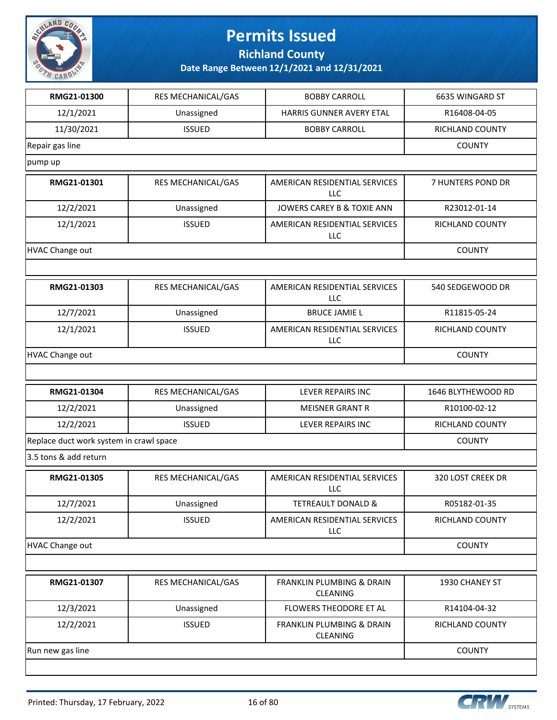

**Richland County**

| RMG21-01300                             | <b>RES MECHANICAL/GAS</b> | <b>BOBBY CARROLL</b>                                    | 6635 WINGARD ST    |
|-----------------------------------------|---------------------------|---------------------------------------------------------|--------------------|
| 12/1/2021                               | Unassigned                | <b>HARRIS GUNNER AVERY ETAL</b>                         | R16408-04-05       |
|                                         |                           |                                                         |                    |
| 11/30/2021                              | <b>ISSUED</b>             | <b>BOBBY CARROLL</b>                                    | RICHLAND COUNTY    |
| Repair gas line                         |                           |                                                         | <b>COUNTY</b>      |
| pump up                                 |                           |                                                         |                    |
| RMG21-01301                             | RES MECHANICAL/GAS        | AMERICAN RESIDENTIAL SERVICES<br><b>LLC</b>             | 7 HUNTERS POND DR  |
| 12/2/2021                               | Unassigned                | JOWERS CAREY B & TOXIE ANN                              | R23012-01-14       |
| 12/1/2021                               | <b>ISSUED</b>             | AMERICAN RESIDENTIAL SERVICES<br><b>LLC</b>             | RICHLAND COUNTY    |
| <b>HVAC Change out</b>                  |                           |                                                         | <b>COUNTY</b>      |
|                                         |                           |                                                         |                    |
| RMG21-01303                             | RES MECHANICAL/GAS        | AMERICAN RESIDENTIAL SERVICES<br>LLC                    | 540 SEDGEWOOD DR   |
| 12/7/2021                               | Unassigned                | <b>BRUCE JAMIE L</b>                                    | R11815-05-24       |
| 12/1/2021                               | <b>ISSUED</b>             | AMERICAN RESIDENTIAL SERVICES<br><b>LLC</b>             | RICHLAND COUNTY    |
| <b>HVAC Change out</b>                  |                           |                                                         | <b>COUNTY</b>      |
|                                         |                           |                                                         |                    |
|                                         |                           |                                                         |                    |
| RMG21-01304                             | RES MECHANICAL/GAS        | LEVER REPAIRS INC                                       | 1646 BLYTHEWOOD RD |
| 12/2/2021                               | Unassigned                | <b>MEISNER GRANT R</b>                                  | R10100-02-12       |
| 12/2/2021                               | <b>ISSUED</b>             | LEVER REPAIRS INC                                       | RICHLAND COUNTY    |
| Replace duct work system in crawl space |                           |                                                         | <b>COUNTY</b>      |
| 3.5 tons & add return                   |                           |                                                         |                    |
| RMG21-01305                             | <b>RES MECHANICAL/GAS</b> | AMERICAN RESIDENTIAL SERVICES<br>LLC                    | 320 LOST CREEK DR  |
| 12/7/2021                               | Unassigned                | <b>TETREAULT DONALD &amp;</b>                           | R05182-01-35       |
| 12/2/2021                               | <b>ISSUED</b>             | AMERICAN RESIDENTIAL SERVICES<br>LLC                    | RICHLAND COUNTY    |
| HVAC Change out                         |                           |                                                         | <b>COUNTY</b>      |
|                                         |                           |                                                         |                    |
| RMG21-01307                             | RES MECHANICAL/GAS        | <b>FRANKLIN PLUMBING &amp; DRAIN</b><br><b>CLEANING</b> | 1930 CHANEY ST     |
| 12/3/2021                               | Unassigned                | FLOWERS THEODORE ET AL                                  | R14104-04-32       |
| 12/2/2021                               | <b>ISSUED</b>             | FRANKLIN PLUMBING & DRAIN<br><b>CLEANING</b>            | RICHLAND COUNTY    |
| Run new gas line                        |                           |                                                         | <b>COUNTY</b>      |

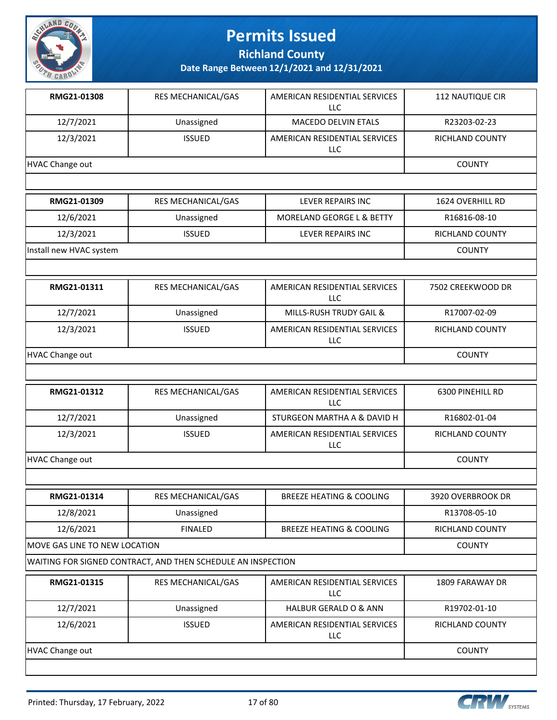

**Richland County**

**Date Range Between 12/1/2021 and 12/31/2021**

| RMG21-01308     | <b>RES MECHANICAL/GAS</b> | AMERICAN RESIDENTIAL SERVICES<br>LLC | <b>112 NAUTIQUE CIR</b> |
|-----------------|---------------------------|--------------------------------------|-------------------------|
| 12/7/2021       | Unassigned                | <b>MACEDO DELVIN ETALS</b>           | R23203-02-23            |
| 12/3/2021       | <b>ISSUED</b>             | AMERICAN RESIDENTIAL SERVICES<br>LLC | RICHLAND COUNTY         |
| HVAC Change out |                           |                                      | <b>COUNTY</b>           |
|                 |                           |                                      |                         |

| RMG21-01309             | <b>RES MECHANICAL/GAS</b> | LEVER REPAIRS INC         | 1624 OVERHILL RD |
|-------------------------|---------------------------|---------------------------|------------------|
| 12/6/2021               | Unassigned                | MORELAND GEORGE L & BETTY | R16816-08-10     |
| 12/3/2021               | <b>ISSUED</b>             | LEVER REPAIRS INC         | RICHLAND COUNTY  |
| Install new HVAC system |                           |                           | <b>COUNTY</b>    |

| RMG21-01311     | <b>RES MECHANICAL/GAS</b> | AMERICAN RESIDENTIAL SERVICES<br>LLC.       | 7502 CREEKWOOD DR |
|-----------------|---------------------------|---------------------------------------------|-------------------|
| 12/7/2021       | Unassigned                | MILLS-RUSH TRUDY GAIL &                     | R17007-02-09      |
| 12/3/2021       | <b>ISSUED</b>             | AMERICAN RESIDENTIAL SERVICES<br><b>LLC</b> | RICHLAND COUNTY   |
| HVAC Change out |                           |                                             | <b>COUNTY</b>     |

| RMG21-01312     | <b>RES MECHANICAL/GAS</b> | AMERICAN RESIDENTIAL SERVICES<br>LLC | 6300 PINEHILL RD |
|-----------------|---------------------------|--------------------------------------|------------------|
| 12/7/2021       | Unassigned                | STURGEON MARTHA A & DAVID H          | R16802-01-04     |
| 12/3/2021       | <b>ISSUED</b>             | AMERICAN RESIDENTIAL SERVICES<br>LLC | RICHLAND COUNTY  |
| HVAC Change out |                           |                                      | <b>COUNTY</b>    |

| RMG21-01314                    | <b>RES MECHANICAL/GAS</b> | <b>BREEZE HEATING &amp; COOLING</b> | 3920 OVERBROOK DR |
|--------------------------------|---------------------------|-------------------------------------|-------------------|
| 12/8/2021                      | Unassigned                |                                     | R13708-05-10      |
| 12/6/2021                      | <b>FINALED</b>            | <b>BREEZE HEATING &amp; COOLING</b> | RICHLAND COUNTY   |
| IMOVE GAS LINE TO NEW LOCATION |                           |                                     | <b>COUNTY</b>     |

WAITING FOR SIGNED CONTRACT, AND THEN SCHEDULE AN INSPECTION

| RMG21-01315     | <b>RES MECHANICAL/GAS</b> | AMERICAN RESIDENTIAL SERVICES<br>LLC  | 1809 FARAWAY DR |
|-----------------|---------------------------|---------------------------------------|-----------------|
| 12/7/2021       | Unassigned                | <b>HALBUR GERALD O &amp; ANN</b>      | R19702-01-10    |
| 12/6/2021       | <b>ISSUED</b>             | AMERICAN RESIDENTIAL SERVICES<br>LLC. | RICHLAND COUNTY |
| HVAC Change out |                           |                                       | <b>COUNTY</b>   |

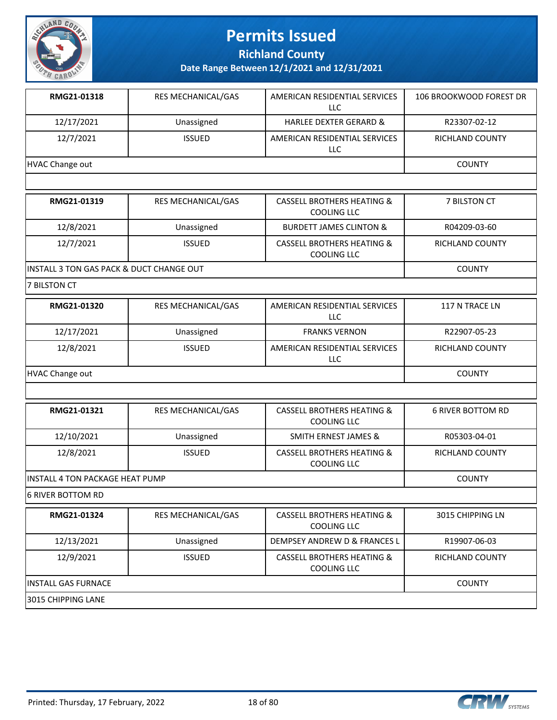

**Richland County**

**Date Range Between 12/1/2021 and 12/31/2021**

| RMG21-01318     | <b>RES MECHANICAL/GAS</b> | AMERICAN RESIDENTIAL SERVICES<br>LLC | 106 BROOKWOOD FOREST DR |
|-----------------|---------------------------|--------------------------------------|-------------------------|
| 12/17/2021      | Unassigned                | <b>HARLEE DEXTER GERARD &amp;</b>    | R23307-02-12            |
| 12/7/2021       | <b>ISSUED</b>             | AMERICAN RESIDENTIAL SERVICES<br>LLC | <b>RICHLAND COUNTY</b>  |
| HVAC Change out |                           |                                      | <b>COUNTY</b>           |

| RMG21-01319                                          | RES MECHANICAL/GAS | <b>CASSELL BROTHERS HEATING &amp;</b><br>COOLING LLC | <b>7 BILSTON CT</b> |
|------------------------------------------------------|--------------------|------------------------------------------------------|---------------------|
| 12/8/2021                                            | Unassigned         | <b>BURDETT JAMES CLINTON &amp;</b>                   | R04209-03-60        |
| 12/7/2021                                            | <b>ISSUED</b>      | <b>CASSELL BROTHERS HEATING &amp;</b><br>COOLING LLC | RICHLAND COUNTY     |
| <b>IINSTALL 3 TON GAS PACK &amp; DUCT CHANGE OUT</b> |                    |                                                      | <b>COUNTY</b>       |

7 BILSTON CT

| RMG21-01320     | <b>RES MECHANICAL/GAS</b> | AMERICAN RESIDENTIAL SERVICES<br>LLC        | 117 N TRACE LN  |
|-----------------|---------------------------|---------------------------------------------|-----------------|
| 12/17/2021      | Unassigned                | <b>FRANKS VERNON</b>                        | R22907-05-23    |
| 12/8/2021       | <b>ISSUED</b>             | AMERICAN RESIDENTIAL SERVICES<br><b>LLC</b> | RICHLAND COUNTY |
| HVAC Change out |                           |                                             | <b>COUNTY</b>   |

| RMG21-01321                      | <b>RES MECHANICAL/GAS</b> | <b>CASSELL BROTHERS HEATING &amp;</b><br>COOLING LLC | 6 RIVER BOTTOM RD |
|----------------------------------|---------------------------|------------------------------------------------------|-------------------|
| 12/10/2021                       | Unassigned                | SMITH ERNEST JAMES &                                 | R05303-04-01      |
| 12/8/2021                        | <b>ISSUED</b>             | CASSELL BROTHERS HEATING &<br>COOLING LLC            | RICHLAND COUNTY   |
| lINSTALL 4 TON PACKAGE HEAT PUMP |                           |                                                      | <b>COUNTY</b>     |

6 RIVER BOTTOM RD

| RMG21-01324          | <b>RES MECHANICAL/GAS</b> | <b>CASSELL BROTHERS HEATING &amp;</b><br>COOLING LLC | 3015 CHIPPING LN |
|----------------------|---------------------------|------------------------------------------------------|------------------|
| 12/13/2021           | Unassigned                | DEMPSEY ANDREW D & FRANCES L                         | R19907-06-03     |
| 12/9/2021            | <b>ISSUED</b>             | CASSELL BROTHERS HEATING &<br>COOLING LLC            | RICHLAND COUNTY  |
| IINSTALL GAS FURNACE |                           |                                                      | <b>COUNTY</b>    |
| 13015 CHIPPING LANE  |                           |                                                      |                  |

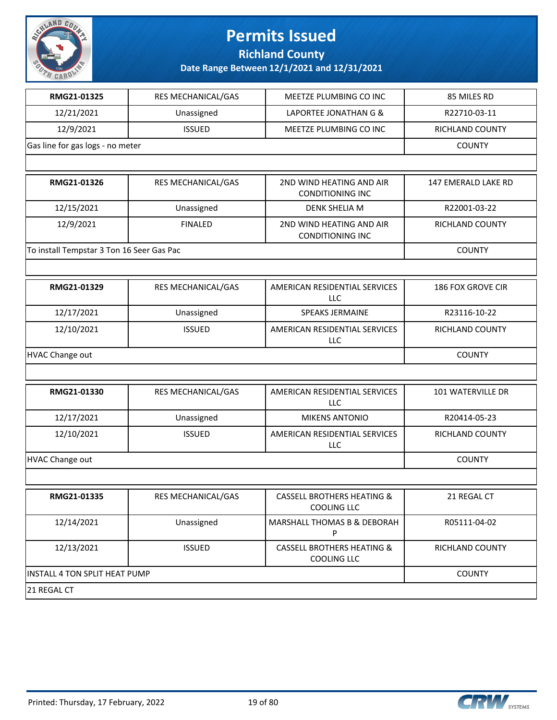

**Richland County**

| RMG21-01325                               | <b>RES MECHANICAL/GAS</b> | MEETZE PLUMBING CO INC                                      | 85 MILES RD                |
|-------------------------------------------|---------------------------|-------------------------------------------------------------|----------------------------|
| 12/21/2021                                | Unassigned                | LAPORTEE JONATHAN G &                                       | R22710-03-11               |
| 12/9/2021                                 | <b>ISSUED</b>             | MEETZE PLUMBING CO INC                                      | RICHLAND COUNTY            |
| Gas line for gas logs - no meter          |                           |                                                             | <b>COUNTY</b>              |
|                                           |                           |                                                             |                            |
| RMG21-01326                               | RES MECHANICAL/GAS        | 2ND WIND HEATING AND AIR<br><b>CONDITIONING INC</b>         | <b>147 EMERALD LAKE RD</b> |
| 12/15/2021                                | Unassigned                | <b>DENK SHELIA M</b>                                        | R22001-03-22               |
| 12/9/2021                                 | <b>FINALED</b>            | 2ND WIND HEATING AND AIR<br><b>CONDITIONING INC</b>         | RICHLAND COUNTY            |
| To install Tempstar 3 Ton 16 Seer Gas Pac |                           |                                                             | <b>COUNTY</b>              |
|                                           |                           |                                                             |                            |
| RMG21-01329                               | RES MECHANICAL/GAS        | AMERICAN RESIDENTIAL SERVICES<br><b>LLC</b>                 | 186 FOX GROVE CIR          |
| 12/17/2021                                | Unassigned                | <b>SPEAKS JERMAINE</b>                                      | R23116-10-22               |
| 12/10/2021                                | <b>ISSUED</b>             | AMERICAN RESIDENTIAL SERVICES<br><b>LLC</b>                 | RICHLAND COUNTY            |
| <b>HVAC Change out</b>                    | <b>COUNTY</b>             |                                                             |                            |
|                                           |                           |                                                             |                            |
| RMG21-01330                               | RES MECHANICAL/GAS        | AMERICAN RESIDENTIAL SERVICES<br>LLC                        | 101 WATERVILLE DR          |
| 12/17/2021                                | Unassigned                | <b>MIKENS ANTONIO</b>                                       | R20414-05-23               |
| 12/10/2021                                | <b>ISSUED</b>             | AMERICAN RESIDENTIAL SERVICES<br>LLC                        | RICHLAND COUNTY            |
| <b>HVAC Change out</b>                    |                           |                                                             | <b>COUNTY</b>              |
|                                           |                           |                                                             |                            |
| RMG21-01335                               | RES MECHANICAL/GAS        | <b>CASSELL BROTHERS HEATING &amp;</b><br><b>COOLING LLC</b> | 21 REGAL CT                |
| 12/14/2021                                | Unassigned                | MARSHALL THOMAS B & DEBORAH<br>P                            | R05111-04-02               |
| 12/13/2021                                | <b>ISSUED</b>             | <b>CASSELL BROTHERS HEATING &amp;</b><br>COOLING LLC        | RICHLAND COUNTY            |
| INSTALL 4 TON SPLIT HEAT PUMP             |                           |                                                             | <b>COUNTY</b>              |
| 21 REGAL CT                               |                           |                                                             |                            |

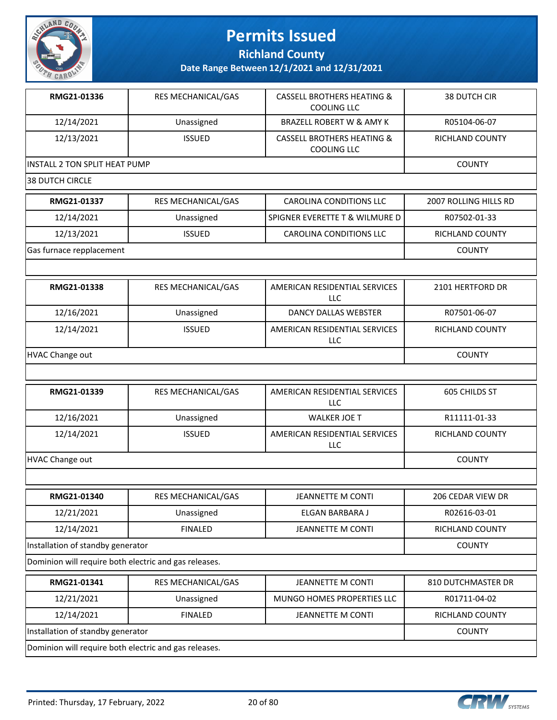

**Richland County**

| RMG21-01336                                           | RES MECHANICAL/GAS | <b>CASSELL BROTHERS HEATING &amp;</b><br><b>COOLING LLC</b> | <b>38 DUTCH CIR</b>   |
|-------------------------------------------------------|--------------------|-------------------------------------------------------------|-----------------------|
| 12/14/2021                                            | Unassigned         | <b>BRAZELL ROBERT W &amp; AMY K</b>                         | R05104-06-07          |
| 12/13/2021                                            | <b>ISSUED</b>      | <b>CASSELL BROTHERS HEATING &amp;</b><br><b>COOLING LLC</b> | RICHLAND COUNTY       |
| INSTALL 2 TON SPLIT HEAT PUMP                         |                    |                                                             | <b>COUNTY</b>         |
| <b>38 DUTCH CIRCLE</b>                                |                    |                                                             |                       |
| RMG21-01337                                           | RES MECHANICAL/GAS | CAROLINA CONDITIONS LLC                                     | 2007 ROLLING HILLS RD |
| 12/14/2021                                            | Unassigned         | SPIGNER EVERETTE T & WILMURE D                              | R07502-01-33          |
| 12/13/2021                                            | <b>ISSUED</b>      | <b>CAROLINA CONDITIONS LLC</b>                              | RICHLAND COUNTY       |
| Gas furnace repplacement                              |                    |                                                             | <b>COUNTY</b>         |
|                                                       |                    |                                                             |                       |
| RMG21-01338                                           | RES MECHANICAL/GAS | AMERICAN RESIDENTIAL SERVICES<br><b>LLC</b>                 | 2101 HERTFORD DR      |
| 12/16/2021                                            | Unassigned         | <b>DANCY DALLAS WEBSTER</b>                                 | R07501-06-07          |
| 12/14/2021                                            | <b>ISSUED</b>      | AMERICAN RESIDENTIAL SERVICES<br>LLC                        | RICHLAND COUNTY       |
| HVAC Change out                                       |                    |                                                             | <b>COUNTY</b>         |
|                                                       |                    |                                                             |                       |
| RMG21-01339                                           | RES MECHANICAL/GAS | AMERICAN RESIDENTIAL SERVICES<br>LLC                        | 605 CHILDS ST         |
| 12/16/2021                                            | Unassigned         | <b>WALKER JOE T</b>                                         | R11111-01-33          |
| 12/14/2021                                            | <b>ISSUED</b>      | AMERICAN RESIDENTIAL SERVICES<br>LLC                        | RICHLAND COUNTY       |
| HVAC Change out                                       |                    |                                                             | <b>COUNTY</b>         |
|                                                       |                    |                                                             |                       |
| RMG21-01340                                           | RES MECHANICAL/GAS | <b>JEANNETTE M CONTI</b>                                    | 206 CEDAR VIEW DR     |
| 12/21/2021                                            | Unassigned         | ELGAN BARBARA J                                             | R02616-03-01          |
| 12/14/2021                                            | <b>FINALED</b>     | <b>JEANNETTE M CONTI</b>                                    | RICHLAND COUNTY       |
| Installation of standby generator                     |                    | <b>COUNTY</b>                                               |                       |
| Dominion will require both electric and gas releases. |                    |                                                             |                       |
| RMG21-01341                                           | RES MECHANICAL/GAS | <b>JEANNETTE M CONTI</b>                                    | 810 DUTCHMASTER DR    |
| 12/21/2021                                            | Unassigned         | MUNGO HOMES PROPERTIES LLC                                  | R01711-04-02          |
| 12/14/2021                                            | <b>FINALED</b>     | <b>JEANNETTE M CONTI</b>                                    | RICHLAND COUNTY       |
| Installation of standby generator                     |                    |                                                             | <b>COUNTY</b>         |
| Dominion will require both electric and gas releases. |                    |                                                             |                       |

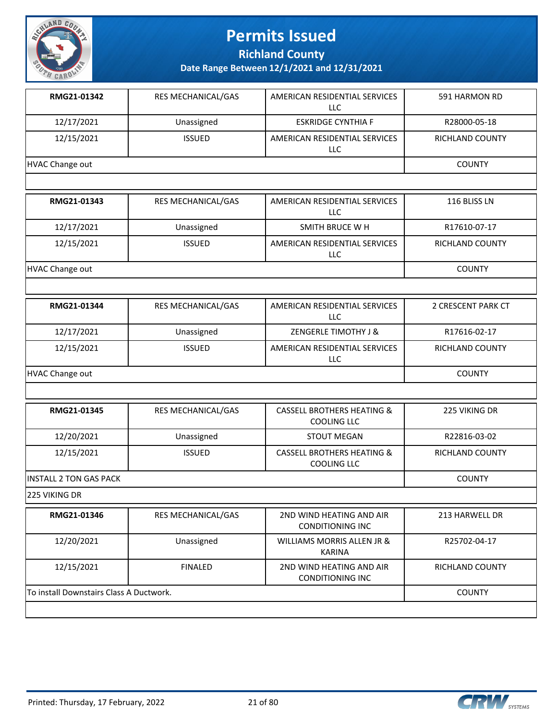

**Richland County**

**Date Range Between 12/1/2021 and 12/31/2021**

| RMG21-01342     | <b>RES MECHANICAL/GAS</b> | AMERICAN RESIDENTIAL SERVICES<br>LLC | 591 HARMON RD          |
|-----------------|---------------------------|--------------------------------------|------------------------|
| 12/17/2021      | Unassigned                | <b>ESKRIDGE CYNTHIA F</b>            | R28000-05-18           |
| 12/15/2021      | <b>ISSUED</b>             | AMERICAN RESIDENTIAL SERVICES<br>LLC | <b>RICHLAND COUNTY</b> |
| HVAC Change out |                           |                                      | <b>COUNTY</b>          |
|                 |                           |                                      |                        |

| RMG21-01343     | RES MECHANICAL/GAS | AMERICAN RESIDENTIAL SERVICES<br>LLC | 116 BLISS LN           |
|-----------------|--------------------|--------------------------------------|------------------------|
| 12/17/2021      | Unassigned         | SMITH BRUCE W H                      | R17610-07-17           |
| 12/15/2021      | <b>ISSUED</b>      | AMERICAN RESIDENTIAL SERVICES<br>LLC | <b>RICHLAND COUNTY</b> |
| HVAC Change out |                    |                                      | <b>COUNTY</b>          |

| RMG21-01344     | <b>RES MECHANICAL/GAS</b> | AMERICAN RESIDENTIAL SERVICES<br>LLC | 2 CRESCENT PARK CT     |
|-----------------|---------------------------|--------------------------------------|------------------------|
| 12/17/2021      | Unassigned                | <b>ZENGERLE TIMOTHY J &amp;</b>      | R17616-02-17           |
| 12/15/2021      | <b>ISSUED</b>             | AMERICAN RESIDENTIAL SERVICES<br>LLC | <b>RICHLAND COUNTY</b> |
| HVAC Change out |                           |                                      | <b>COUNTY</b>          |

| RMG21-01345             | <b>RES MECHANICAL/GAS</b> | <b>CASSELL BROTHERS HEATING &amp;</b><br>COOLING LLC | 225 VIKING DR   |
|-------------------------|---------------------------|------------------------------------------------------|-----------------|
| 12/20/2021              | Unassigned                | STOUT MEGAN                                          | R22816-03-02    |
| 12/15/2021              | <b>ISSUED</b>             | <b>CASSELL BROTHERS HEATING &amp;</b><br>COOLING LLC | RICHLAND COUNTY |
| IINSTALL 2 TON GAS PACK |                           |                                                      | <b>COUNTY</b>   |

225 VIKING DR

| RMG21-01346                             | <b>RES MECHANICAL/GAS</b> | 2ND WIND HEATING AND AIR<br>CONDITIONING INC        | 213 HARWELL DR         |
|-----------------------------------------|---------------------------|-----------------------------------------------------|------------------------|
| 12/20/2021                              | Unassigned                | WILLIAMS MORRIS ALLEN JR &<br>KARINA                | R25702-04-17           |
| 12/15/2021                              | <b>FINALED</b>            | 2ND WIND HEATING AND AIR<br><b>CONDITIONING INC</b> | <b>RICHLAND COUNTY</b> |
| To install Downstairs Class A Ductwork. |                           |                                                     | <b>COUNTY</b>          |
|                                         |                           |                                                     |                        |

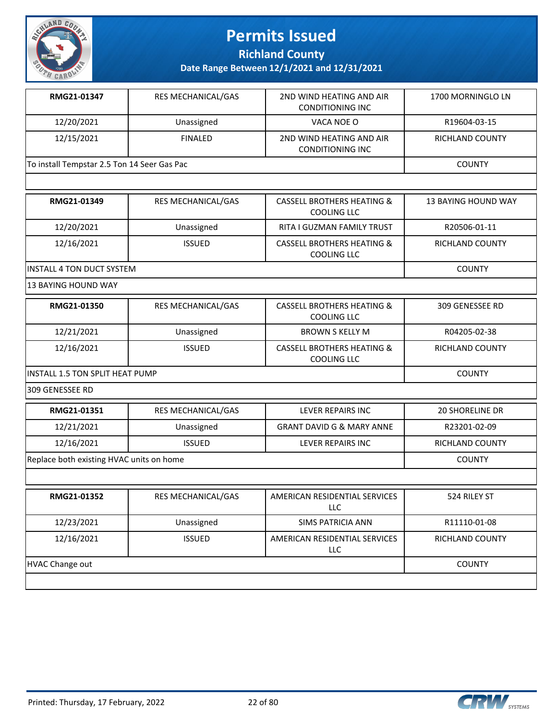

**Richland County**

**Date Range Between 12/1/2021 and 12/31/2021**

| RMG21-01347                                 | <b>RES MECHANICAL/GAS</b> | 2ND WIND HEATING AND AIR<br><b>CONDITIONING INC</b> | 1700 MORNINGLO LN |
|---------------------------------------------|---------------------------|-----------------------------------------------------|-------------------|
| 12/20/2021                                  | Unassigned                | VACA NOE O                                          | R19604-03-15      |
| 12/15/2021                                  | <b>FINALED</b>            | 2ND WIND HEATING AND AIR<br><b>CONDITIONING INC</b> | RICHLAND COUNTY   |
| To install Tempstar 2.5 Ton 14 Seer Gas Pac |                           |                                                     | <b>COUNTY</b>     |

| RMG21-01349                       | <b>RES MECHANICAL/GAS</b> | CASSELL BROTHERS HEATING &<br>COOLING LLC | 13 BAYING HOUND WAY |
|-----------------------------------|---------------------------|-------------------------------------------|---------------------|
| 12/20/2021                        | Unassigned                | <b>RITA I GUZMAN FAMILY TRUST</b>         | R20506-01-11        |
| 12/16/2021                        | <b>ISSUED</b>             | CASSELL BROTHERS HEATING &<br>COOLING LLC | RICHLAND COUNTY     |
| <b>IINSTALL 4 TON DUCT SYSTEM</b> |                           |                                           | <b>COUNTY</b>       |

13 BAYING HOUND WAY

| RMG21-01350                      | <b>RES MECHANICAL/GAS</b> | CASSELL BROTHERS HEATING &<br>COOLING LLC | 309 GENESSEE RD |
|----------------------------------|---------------------------|-------------------------------------------|-----------------|
| 12/21/2021                       | Unassigned                | BROWN S KELLY M                           | R04205-02-38    |
| 12/16/2021                       | <b>ISSUED</b>             | CASSELL BROTHERS HEATING &<br>COOLING LLC | RICHLAND COUNTY |
| IINSTALL 1.5 TON SPLIT HEAT PUMP |                           |                                           | <b>COUNTY</b>   |

309 GENESSEE RD

| RMG21-01351                              | <b>RES MECHANICAL/GAS</b> | LEVER REPAIRS INC                    | <b>20 SHORELINE DR</b> |
|------------------------------------------|---------------------------|--------------------------------------|------------------------|
| 12/21/2021                               | Unassigned                | <b>GRANT DAVID G &amp; MARY ANNE</b> | R23201-02-09           |
| 12/16/2021                               | <b>ISSUED</b>             | LEVER REPAIRS INC                    | RICHLAND COUNTY        |
| Replace both existing HVAC units on home |                           |                                      | <b>COUNTY</b>          |
|                                          |                           |                                      |                        |

| RMG21-01352     | <b>RES MECHANICAL/GAS</b> | AMERICAN RESIDENTIAL SERVICES<br>LLC | 524 RILEY ST           |
|-----------------|---------------------------|--------------------------------------|------------------------|
| 12/23/2021      | Unassigned                | SIMS PATRICIA ANN                    | R11110-01-08           |
| 12/16/2021      | <b>ISSUED</b>             | AMERICAN RESIDENTIAL SERVICES<br>LLC | <b>RICHLAND COUNTY</b> |
| HVAC Change out |                           |                                      | <b>COUNTY</b>          |
|                 |                           |                                      |                        |

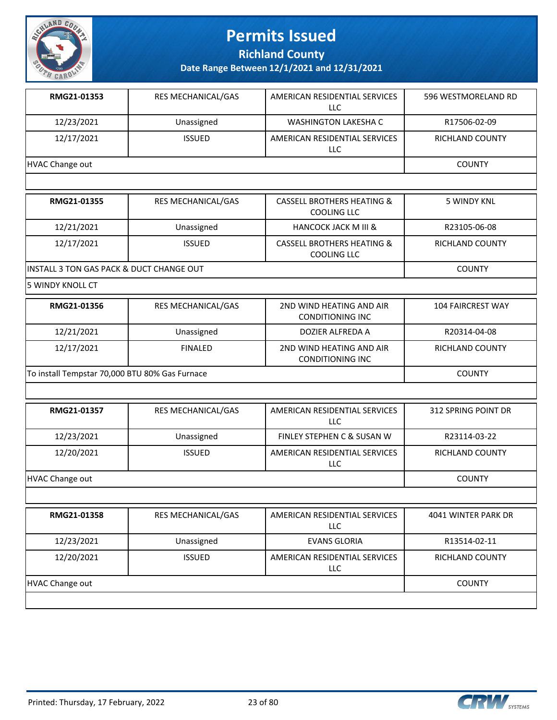

**Richland County**

**Date Range Between 12/1/2021 and 12/31/2021**

| RMG21-01353     | <b>RES MECHANICAL/GAS</b> | AMERICAN RESIDENTIAL SERVICES<br>LLC | 596 WESTMORELAND RD |
|-----------------|---------------------------|--------------------------------------|---------------------|
| 12/23/2021      | Unassigned                | WASHINGTON LAKESHA C                 | R17506-02-09        |
| 12/17/2021      | <b>ISSUED</b>             | AMERICAN RESIDENTIAL SERVICES<br>LLC | RICHLAND COUNTY     |
| HVAC Change out |                           |                                      | <b>COUNTY</b>       |

| RMG21-01355                               | <b>RES MECHANICAL/GAS</b> | <b>CASSELL BROTHERS HEATING &amp;</b><br>COOLING LLC        | 5 WINDY KNL     |
|-------------------------------------------|---------------------------|-------------------------------------------------------------|-----------------|
| 12/21/2021                                | Unassigned                | <b>HANCOCK JACK M III &amp;</b>                             | R23105-06-08    |
| 12/17/2021                                | <b>ISSUED</b>             | <b>CASSELL BROTHERS HEATING &amp;</b><br><b>COOLING LLC</b> | RICHLAND COUNTY |
| IINSTALL 3 TON GAS PACK & DUCT CHANGE OUT |                           |                                                             | <b>COUNTY</b>   |

5 WINDY KNOLL CT

| RMG21-01356                                    | <b>RES MECHANICAL/GAS</b> | 2ND WIND HEATING AND AIR<br><b>CONDITIONING INC</b> | 104 FAIRCREST WAY |
|------------------------------------------------|---------------------------|-----------------------------------------------------|-------------------|
| 12/21/2021                                     | Unassigned                | DOZIER ALFREDA A                                    | R20314-04-08      |
| 12/17/2021                                     | <b>FINALED</b>            | 2ND WIND HEATING AND AIR<br>CONDITIONING INC        | RICHLAND COUNTY   |
| To install Tempstar 70,000 BTU 80% Gas Furnace |                           |                                                     | <b>COUNTY</b>     |

| RMG21-01357     | <b>RES MECHANICAL/GAS</b> | AMERICAN RESIDENTIAL SERVICES<br><b>LLC</b> | 312 SPRING POINT DR |
|-----------------|---------------------------|---------------------------------------------|---------------------|
| 12/23/2021      | Unassigned                | FINLEY STEPHEN C & SUSAN W                  | R23114-03-22        |
| 12/20/2021      | <b>ISSUED</b>             | AMERICAN RESIDENTIAL SERVICES<br><b>LLC</b> | RICHLAND COUNTY     |
| HVAC Change out |                           |                                             | <b>COUNTY</b>       |

|                 | <b>RES MECHANICAL/GAS</b> | AMERICAN RESIDENTIAL SERVICES<br>LLC | 4041 WINTER PARK DR |
|-----------------|---------------------------|--------------------------------------|---------------------|
| 12/23/2021      | Unassigned                | <b>EVANS GLORIA</b>                  | R13514-02-11        |
| 12/20/2021      | <b>ISSUED</b>             | AMERICAN RESIDENTIAL SERVICES<br>LLC | RICHLAND COUNTY     |
| HVAC Change out |                           |                                      | <b>COUNTY</b>       |

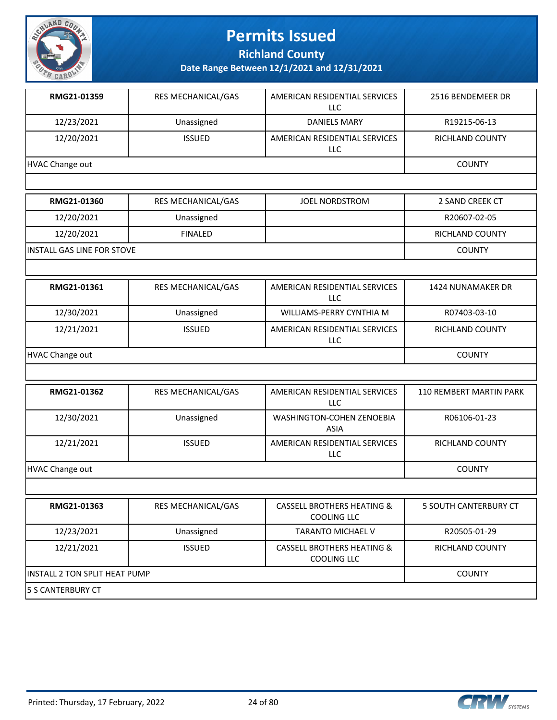

**Richland County**

| RMG21-01359     | <b>RES MECHANICAL/GAS</b> | AMERICAN RESIDENTIAL SERVICES<br>LLC | 2516 BENDEMEER DR |
|-----------------|---------------------------|--------------------------------------|-------------------|
| 12/23/2021      | Unassigned                | DANIELS MARY                         | R19215-06-13      |
| 12/20/2021      | <b>ISSUED</b>             | AMERICAN RESIDENTIAL SERVICES<br>LLC | RICHLAND COUNTY   |
| HVAC Change out |                           |                                      | <b>COUNTY</b>     |

| RMG21-01360                 | <b>RES MECHANICAL/GAS</b> | JOEL NORDSTROM | 2 SAND CREEK CT |
|-----------------------------|---------------------------|----------------|-----------------|
| 12/20/2021                  | Unassigned                |                | R20607-02-05    |
| 12/20/2021                  | <b>FINALED</b>            |                | RICHLAND COUNTY |
| IINSTALL GAS LINE FOR STOVE |                           |                | <b>COUNTY</b>   |

| RMG21-01361     | <b>RES MECHANICAL/GAS</b> | AMERICAN RESIDENTIAL SERVICES<br>LLC | 1424 NUNAMAKER DR |
|-----------------|---------------------------|--------------------------------------|-------------------|
| 12/30/2021      | Unassigned                | WILLIAMS-PERRY CYNTHIA M             | R07403-03-10      |
| 12/21/2021      | <b>ISSUED</b>             | AMERICAN RESIDENTIAL SERVICES<br>LLC | RICHLAND COUNTY   |
| HVAC Change out |                           |                                      | <b>COUNTY</b>     |

| RMG21-01362     | <b>RES MECHANICAL/GAS</b> | AMERICAN RESIDENTIAL SERVICES<br>LLC     | <b>110 REMBERT MARTIN PARK</b> |
|-----------------|---------------------------|------------------------------------------|--------------------------------|
| 12/30/2021      | Unassigned                | <b>WASHINGTON-COHEN ZENOEBIA</b><br>ASIA | R06106-01-23                   |
| 12/21/2021      | <b>ISSUED</b>             | AMERICAN RESIDENTIAL SERVICES<br>LLC     | <b>RICHLAND COUNTY</b>         |
| HVAC Change out |                           |                                          | <b>COUNTY</b>                  |

| RMG21-01363                    | <b>RES MECHANICAL/GAS</b> | <b>CASSELL BROTHERS HEATING &amp;</b><br>COOLING LLC | 5 SOUTH CANTERBURY CT  |
|--------------------------------|---------------------------|------------------------------------------------------|------------------------|
| 12/23/2021                     | Unassigned                | <b>TARANTO MICHAEL V</b>                             | R20505-01-29           |
| 12/21/2021                     | <b>ISSUED</b>             | <b>CASSELL BROTHERS HEATING &amp;</b><br>COOLING LLC | <b>RICHLAND COUNTY</b> |
| IINSTALL 2 TON SPLIT HEAT PUMP | <b>COUNTY</b>             |                                                      |                        |
| <b>5 S CANTERBURY CT</b>       |                           |                                                      |                        |



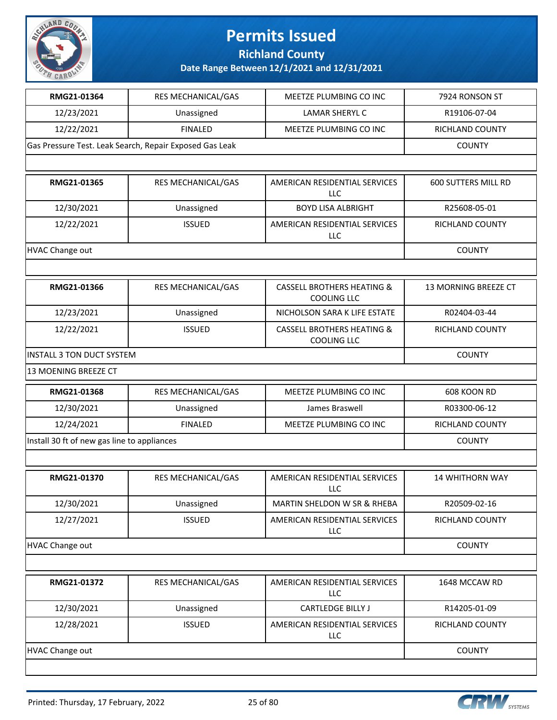

**Richland County**

| RMG21-01364                                             | RES MECHANICAL/GAS        | <b>MEETZE PLUMBING CO INC</b>                               | 7924 RONSON ST             |
|---------------------------------------------------------|---------------------------|-------------------------------------------------------------|----------------------------|
| 12/23/2021                                              | Unassigned                | LAMAR SHERYL C                                              | R19106-07-04               |
| 12/22/2021                                              | <b>FINALED</b>            | MEETZE PLUMBING CO INC                                      | <b>RICHLAND COUNTY</b>     |
| Gas Pressure Test. Leak Search, Repair Exposed Gas Leak | <b>COUNTY</b>             |                                                             |                            |
|                                                         |                           |                                                             |                            |
| RMG21-01365                                             | <b>RES MECHANICAL/GAS</b> | AMERICAN RESIDENTIAL SERVICES<br>LLC                        | <b>600 SUTTERS MILL RD</b> |
| 12/30/2021                                              | Unassigned                | <b>BOYD LISA ALBRIGHT</b>                                   | R25608-05-01               |
| 12/22/2021                                              | <b>ISSUED</b>             | AMERICAN RESIDENTIAL SERVICES<br><b>LLC</b>                 | RICHLAND COUNTY            |
| <b>HVAC Change out</b>                                  |                           |                                                             | <b>COUNTY</b>              |
|                                                         |                           |                                                             |                            |
| RMG21-01366                                             | RES MECHANICAL/GAS        | <b>CASSELL BROTHERS HEATING &amp;</b><br><b>COOLING LLC</b> | 13 MORNING BREEZE CT       |
| 12/23/2021                                              | Unassigned                | NICHOLSON SARA K LIFE ESTATE                                | R02404-03-44               |
| 12/22/2021                                              | <b>ISSUED</b>             | <b>CASSELL BROTHERS HEATING &amp;</b><br><b>COOLING LLC</b> | RICHLAND COUNTY            |
| <b>INSTALL 3 TON DUCT SYSTEM</b>                        | <b>COUNTY</b>             |                                                             |                            |
| 13 MOENING BREEZE CT                                    |                           |                                                             |                            |
| RMG21-01368                                             | RES MECHANICAL/GAS        | MEETZE PLUMBING CO INC                                      | 608 KOON RD                |
| 12/30/2021                                              | Unassigned                | James Braswell                                              | R03300-06-12               |
| 12/24/2021                                              | <b>FINALED</b>            | MEETZE PLUMBING CO INC                                      | RICHLAND COUNTY            |
| Install 30 ft of new gas line to appliances             | <b>COUNTY</b>             |                                                             |                            |
|                                                         |                           |                                                             |                            |
| RMG21-01370                                             | RES MECHANICAL/GAS        | AMERICAN RESIDENTIAL SERVICES<br>LLC                        | <b>14 WHITHORN WAY</b>     |
| 12/30/2021                                              | Unassigned                | MARTIN SHELDON W SR & RHEBA                                 | R20509-02-16               |
| 12/27/2021                                              | <b>ISSUED</b>             | AMERICAN RESIDENTIAL SERVICES<br>LLC                        | RICHLAND COUNTY            |
| <b>HVAC Change out</b>                                  |                           |                                                             | <b>COUNTY</b>              |
|                                                         |                           |                                                             |                            |
| RMG21-01372                                             | RES MECHANICAL/GAS        | AMERICAN RESIDENTIAL SERVICES<br><b>LLC</b>                 | 1648 MCCAW RD              |
| 12/30/2021                                              | Unassigned                | <b>CARTLEDGE BILLY J</b>                                    | R14205-01-09               |
| 12/28/2021                                              | <b>ISSUED</b>             | AMERICAN RESIDENTIAL SERVICES<br>LLC                        | RICHLAND COUNTY            |
| <b>HVAC Change out</b>                                  |                           |                                                             | <b>COUNTY</b>              |
|                                                         |                           |                                                             |                            |

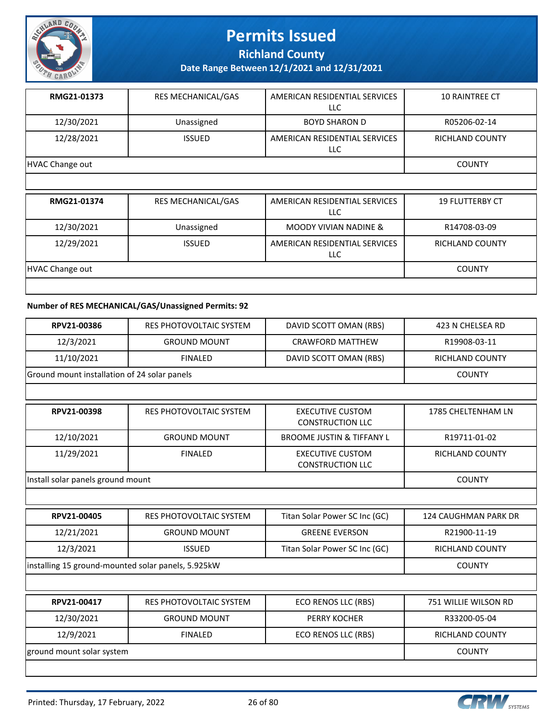

**Richland County**

**Date Range Between 12/1/2021 and 12/31/2021**

| RMG21-01373     | <b>RES MECHANICAL/GAS</b> | AMERICAN RESIDENTIAL SERVICES<br>LLC | <b>10 RAINTREE CT</b>  |
|-----------------|---------------------------|--------------------------------------|------------------------|
| 12/30/2021      | Unassigned                | <b>BOYD SHARON D</b>                 | R05206-02-14           |
| 12/28/2021      | <b>ISSUED</b>             | AMERICAN RESIDENTIAL SERVICES<br>LLC | <b>RICHLAND COUNTY</b> |
| HVAC Change out |                           |                                      | <b>COUNTY</b>          |
|                 |                           |                                      |                        |

| RMG21-01374     | <b>RES MECHANICAL/GAS</b> | AMERICAN RESIDENTIAL SERVICES<br>LLC | <b>19 FLUTTERBY CT</b> |
|-----------------|---------------------------|--------------------------------------|------------------------|
| 12/30/2021      | Unassigned                | <b>MOODY VIVIAN NADINE &amp;</b>     | R14708-03-09           |
| 12/29/2021      | <b>ISSUED</b>             | AMERICAN RESIDENTIAL SERVICES<br>LLC | <b>RICHLAND COUNTY</b> |
| HVAC Change out |                           |                                      | <b>COUNTY</b>          |
|                 |                           |                                      |                        |

### **Number of RES MECHANICAL/GAS/Unassigned Permits: 92**

| RPV21-00386                                        | <b>RES PHOTOVOLTAIC SYSTEM</b> | DAVID SCOTT OMAN (RBS)                             | 423 N CHELSEA RD       |
|----------------------------------------------------|--------------------------------|----------------------------------------------------|------------------------|
| 12/3/2021                                          | <b>GROUND MOUNT</b>            | <b>CRAWFORD MATTHEW</b>                            | R19908-03-11           |
| 11/10/2021                                         | <b>FINALED</b>                 | DAVID SCOTT OMAN (RBS)                             | RICHLAND COUNTY        |
| Ground mount installation of 24 solar panels       |                                |                                                    | <b>COUNTY</b>          |
|                                                    |                                |                                                    |                        |
| RPV21-00398                                        | RES PHOTOVOLTAIC SYSTEM        | <b>EXECUTIVE CUSTOM</b><br><b>CONSTRUCTION LLC</b> | 1785 CHELTENHAM LN     |
| 12/10/2021                                         | <b>GROUND MOUNT</b>            | <b>BROOME JUSTIN &amp; TIFFANY L</b>               | R19711-01-02           |
| 11/29/2021                                         | <b>FINALED</b>                 | <b>EXECUTIVE CUSTOM</b><br><b>CONSTRUCTION LLC</b> | <b>RICHLAND COUNTY</b> |
| Install solar panels ground mount                  |                                |                                                    | <b>COUNTY</b>          |
|                                                    |                                |                                                    |                        |
| RPV21-00405                                        | RES PHOTOVOLTAIC SYSTEM        | Titan Solar Power SC Inc (GC)                      | 124 CAUGHMAN PARK DR   |
| 12/21/2021                                         | <b>GROUND MOUNT</b>            | <b>GREENE EVERSON</b>                              | R21900-11-19           |
| 12/3/2021                                          | <b>ISSUED</b>                  | Titan Solar Power SC Inc (GC)                      | RICHLAND COUNTY        |
| installing 15 ground-mounted solar panels, 5.925kW |                                |                                                    | <b>COUNTY</b>          |
|                                                    |                                |                                                    |                        |
| RPV21-00417                                        | <b>RES PHOTOVOLTAIC SYSTEM</b> | ECO RENOS LLC (RBS)                                | 751 WILLIE WILSON RD   |
| 12/30/2021                                         | <b>GROUND MOUNT</b>            | PERRY KOCHER                                       | R33200-05-04           |
| 12/9/2021                                          | <b>FINALED</b>                 | ECO RENOS LLC (RBS)                                | <b>RICHLAND COUNTY</b> |
| ground mount solar system                          |                                |                                                    | <b>COUNTY</b>          |
|                                                    |                                |                                                    |                        |

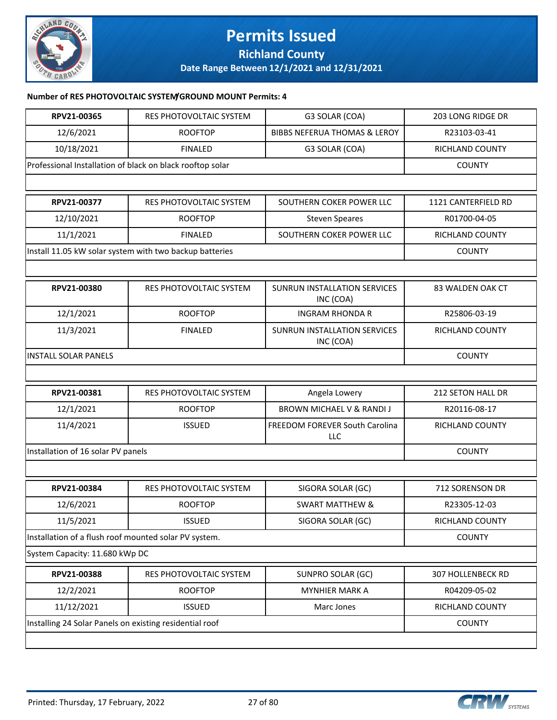

**Richland County**

**Date Range Between 12/1/2021 and 12/31/2021**

### **Number of RES PHOTOVOLTAIC SYSTEM/GROUND MOUNT Permits: 4**

| RPV21-00365                                             | RES PHOTOVOLTAIC SYSTEM                                   | G3 SOLAR (COA)                            | 203 LONG RIDGE DR        |
|---------------------------------------------------------|-----------------------------------------------------------|-------------------------------------------|--------------------------|
| 12/6/2021                                               | <b>ROOFTOP</b>                                            | <b>BIBBS NEFERUA THOMAS &amp; LEROY</b>   | R23103-03-41             |
| 10/18/2021                                              | <b>FINALED</b>                                            | G3 SOLAR (COA)                            | RICHLAND COUNTY          |
|                                                         | Professional Installation of black on black rooftop solar |                                           | <b>COUNTY</b>            |
|                                                         |                                                           |                                           |                          |
| RPV21-00377                                             | RES PHOTOVOLTAIC SYSTEM                                   | SOUTHERN COKER POWER LLC                  | 1121 CANTERFIELD RD      |
| 12/10/2021                                              | <b>ROOFTOP</b>                                            | <b>Steven Speares</b>                     | R01700-04-05             |
| 11/1/2021                                               | <b>FINALED</b>                                            | SOUTHERN COKER POWER LLC                  | RICHLAND COUNTY          |
|                                                         | Install 11.05 kW solar system with two backup batteries   |                                           | <b>COUNTY</b>            |
|                                                         |                                                           |                                           |                          |
| RPV21-00380                                             | RES PHOTOVOLTAIC SYSTEM                                   | SUNRUN INSTALLATION SERVICES<br>INC (COA) | 83 WALDEN OAK CT         |
| 12/1/2021                                               | <b>ROOFTOP</b>                                            | <b>INGRAM RHONDA R</b>                    | R25806-03-19             |
| 11/3/2021                                               | <b>FINALED</b>                                            | SUNRUN INSTALLATION SERVICES<br>INC (COA) | RICHLAND COUNTY          |
| <b>INSTALL SOLAR PANELS</b>                             |                                                           |                                           | <b>COUNTY</b>            |
|                                                         |                                                           |                                           |                          |
|                                                         |                                                           |                                           |                          |
| RPV21-00381                                             | RES PHOTOVOLTAIC SYSTEM                                   | Angela Lowery                             | 212 SETON HALL DR        |
| 12/1/2021                                               | <b>ROOFTOP</b>                                            | <b>BROWN MICHAEL V &amp; RANDI J</b>      | R20116-08-17             |
| 11/4/2021                                               | <b>ISSUED</b>                                             | FREEDOM FOREVER South Carolina<br>LLC     | RICHLAND COUNTY          |
| Installation of 16 solar PV panels                      |                                                           |                                           | <b>COUNTY</b>            |
|                                                         |                                                           |                                           |                          |
| RPV21-00384                                             | RES PHOTOVOLTAIC SYSTEM                                   | SIGORA SOLAR (GC)                         | 712 SORENSON DR          |
| 12/6/2021                                               | <b>ROOFTOP</b>                                            | <b>SWART MATTHEW &amp;</b>                | R23305-12-03             |
| 11/5/2021                                               | <b>ISSUED</b>                                             | SIGORA SOLAR (GC)                         | RICHLAND COUNTY          |
| Installation of a flush roof mounted solar PV system.   |                                                           |                                           | <b>COUNTY</b>            |
| System Capacity: 11.680 kWp DC                          |                                                           |                                           |                          |
| RPV21-00388                                             | RES PHOTOVOLTAIC SYSTEM                                   | <b>SUNPRO SOLAR (GC)</b>                  | <b>307 HOLLENBECK RD</b> |
| 12/2/2021                                               | <b>ROOFTOP</b>                                            | <b>MYNHIER MARK A</b>                     | R04209-05-02             |
| 11/12/2021                                              | <b>ISSUED</b>                                             | Marc Jones                                | RICHLAND COUNTY          |
| Installing 24 Solar Panels on existing residential roof |                                                           |                                           | <b>COUNTY</b>            |
|                                                         |                                                           |                                           |                          |

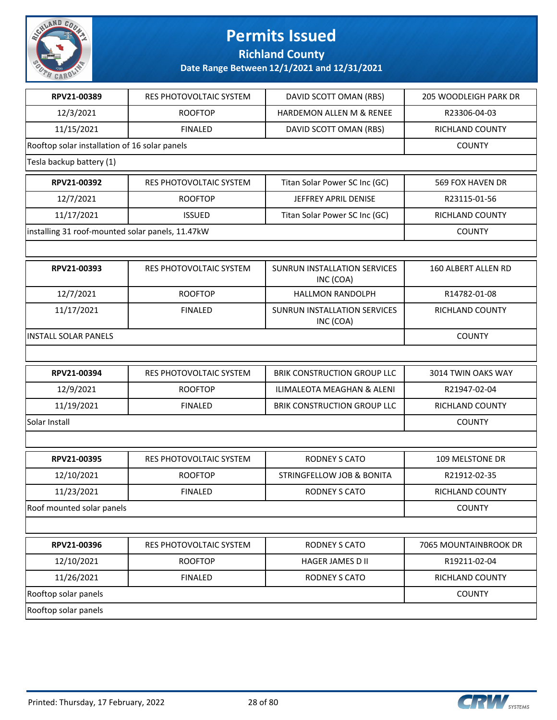

**Richland County**

| RPV21-00389                                      | RES PHOTOVOLTAIC SYSTEM | DAVID SCOTT OMAN (RBS)                           | 205 WOODLEIGH PARK DR |
|--------------------------------------------------|-------------------------|--------------------------------------------------|-----------------------|
| 12/3/2021                                        | <b>ROOFTOP</b>          | <b>HARDEMON ALLEN M &amp; RENEE</b>              | R23306-04-03          |
| 11/15/2021                                       | <b>FINALED</b>          | DAVID SCOTT OMAN (RBS)                           | RICHLAND COUNTY       |
| Rooftop solar installation of 16 solar panels    |                         |                                                  | <b>COUNTY</b>         |
| Tesla backup battery (1)                         |                         |                                                  |                       |
| RPV21-00392                                      | RES PHOTOVOLTAIC SYSTEM | Titan Solar Power SC Inc (GC)                    | 569 FOX HAVEN DR      |
| 12/7/2021                                        | <b>ROOFTOP</b>          | JEFFREY APRIL DENISE                             | R23115-01-56          |
| 11/17/2021                                       | <b>ISSUED</b>           | Titan Solar Power SC Inc (GC)                    | RICHLAND COUNTY       |
| installing 31 roof-mounted solar panels, 11.47kW |                         |                                                  | <b>COUNTY</b>         |
|                                                  |                         |                                                  |                       |
| RPV21-00393                                      | RES PHOTOVOLTAIC SYSTEM | SUNRUN INSTALLATION SERVICES<br>INC (COA)        | 160 ALBERT ALLEN RD   |
| 12/7/2021                                        | <b>ROOFTOP</b>          | <b>HALLMON RANDOLPH</b>                          | R14782-01-08          |
| 11/17/2021                                       | <b>FINALED</b>          | <b>SUNRUN INSTALLATION SERVICES</b><br>INC (COA) | RICHLAND COUNTY       |
| <b>INSTALL SOLAR PANELS</b>                      |                         |                                                  | <b>COUNTY</b>         |
|                                                  |                         |                                                  |                       |
| RPV21-00394                                      | RES PHOTOVOLTAIC SYSTEM | BRIK CONSTRUCTION GROUP LLC                      | 3014 TWIN OAKS WAY    |
| 12/9/2021                                        | <b>ROOFTOP</b>          | ILIMALEOTA MEAGHAN & ALENI                       | R21947-02-04          |
| 11/19/2021                                       | <b>FINALED</b>          | BRIK CONSTRUCTION GROUP LLC                      | RICHLAND COUNTY       |
| Solar Install                                    |                         |                                                  | <b>COUNTY</b>         |
|                                                  |                         |                                                  |                       |
| RPV21-00395                                      | RES PHOTOVOLTAIC SYSTEM | <b>RODNEY S CATO</b>                             | 109 MELSTONE DR       |
| 12/10/2021                                       | <b>ROOFTOP</b>          | STRINGFELLOW JOB & BONITA                        | R21912-02-35          |
| 11/23/2021                                       | <b>FINALED</b>          | <b>RODNEY S CATO</b>                             | RICHLAND COUNTY       |
| Roof mounted solar panels                        |                         |                                                  | <b>COUNTY</b>         |
|                                                  |                         |                                                  |                       |
| RPV21-00396                                      | RES PHOTOVOLTAIC SYSTEM | RODNEY S CATO                                    | 7065 MOUNTAINBROOK DR |
| 12/10/2021                                       | <b>ROOFTOP</b>          | HAGER JAMES D II                                 | R19211-02-04          |
| 11/26/2021                                       | <b>FINALED</b>          | RODNEY S CATO                                    | RICHLAND COUNTY       |
| Rooftop solar panels                             |                         |                                                  | <b>COUNTY</b>         |
| Rooftop solar panels                             |                         |                                                  |                       |

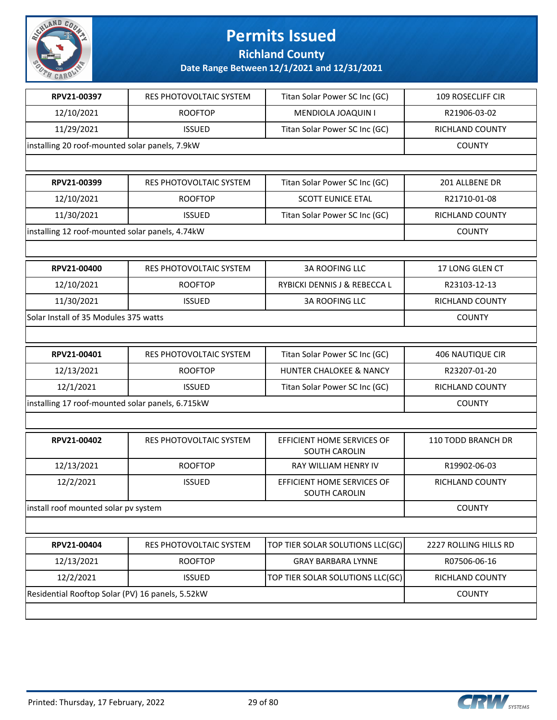

**Richland County**

| RPV21-00397                                      | <b>RES PHOTOVOLTAIC SYSTEM</b> | Titan Solar Power SC Inc (GC)               | <b>109 ROSECLIFF CIR</b> |
|--------------------------------------------------|--------------------------------|---------------------------------------------|--------------------------|
| 12/10/2021                                       | <b>ROOFTOP</b>                 | MENDIOLA JOAQUIN I                          | R21906-03-02             |
| 11/29/2021                                       | <b>ISSUED</b>                  | Titan Solar Power SC Inc (GC)               | RICHLAND COUNTY          |
| installing 20 roof-mounted solar panels, 7.9kW   |                                |                                             | <b>COUNTY</b>            |
|                                                  |                                |                                             |                          |
| RPV21-00399                                      | RES PHOTOVOLTAIC SYSTEM        | Titan Solar Power SC Inc (GC)               | 201 ALLBENE DR           |
| 12/10/2021                                       | <b>ROOFTOP</b>                 | <b>SCOTT EUNICE ETAL</b>                    | R21710-01-08             |
| 11/30/2021                                       | <b>ISSUED</b>                  | Titan Solar Power SC Inc (GC)               | RICHLAND COUNTY          |
| installing 12 roof-mounted solar panels, 4.74kW  |                                |                                             | <b>COUNTY</b>            |
|                                                  |                                |                                             |                          |
| RPV21-00400                                      | RES PHOTOVOLTAIC SYSTEM        | <b>3A ROOFING LLC</b>                       | 17 LONG GLEN CT          |
| 12/10/2021                                       | <b>ROOFTOP</b>                 | RYBICKI DENNIS J & REBECCA L                | R23103-12-13             |
| 11/30/2021                                       | <b>ISSUED</b>                  | <b>3A ROOFING LLC</b>                       | RICHLAND COUNTY          |
| Solar Install of 35 Modules 375 watts            |                                |                                             | <b>COUNTY</b>            |
|                                                  |                                |                                             |                          |
| RPV21-00401                                      | RES PHOTOVOLTAIC SYSTEM        | Titan Solar Power SC Inc (GC)               | <b>406 NAUTIQUE CIR</b>  |
| 12/13/2021                                       | <b>ROOFTOP</b>                 | HUNTER CHALOKEE & NANCY                     | R23207-01-20             |
| 12/1/2021                                        | <b>ISSUED</b>                  | Titan Solar Power SC Inc (GC)               | RICHLAND COUNTY          |
| installing 17 roof-mounted solar panels, 6.715kW | <b>COUNTY</b>                  |                                             |                          |
|                                                  |                                |                                             |                          |
| RPV21-00402                                      | RES PHOTOVOLTAIC SYSTEM        | EFFICIENT HOME SERVICES OF<br>SOUTH CAROLIN | 110 TODD BRANCH DR       |
| 12/13/2021                                       | <b>ROOFTOP</b>                 | RAY WILLIAM HENRY IV                        | R19902-06-03             |
| 12/2/2021                                        | <b>ISSUED</b>                  | EFFICIENT HOME SERVICES OF<br>SOUTH CAROLIN | RICHLAND COUNTY          |
| install roof mounted solar pv system             |                                |                                             | <b>COUNTY</b>            |
|                                                  |                                |                                             |                          |
| RPV21-00404                                      | RES PHOTOVOLTAIC SYSTEM        | TOP TIER SOLAR SOLUTIONS LLC(GC)            | 2227 ROLLING HILLS RD    |
| 12/13/2021                                       | <b>ROOFTOP</b>                 | <b>GRAY BARBARA LYNNE</b>                   | R07506-06-16             |
| 12/2/2021                                        | <b>ISSUED</b>                  | TOP TIER SOLAR SOLUTIONS LLC(GC)            | RICHLAND COUNTY          |
| Residential Rooftop Solar (PV) 16 panels, 5.52kW |                                |                                             | <b>COUNTY</b>            |
|                                                  |                                |                                             |                          |

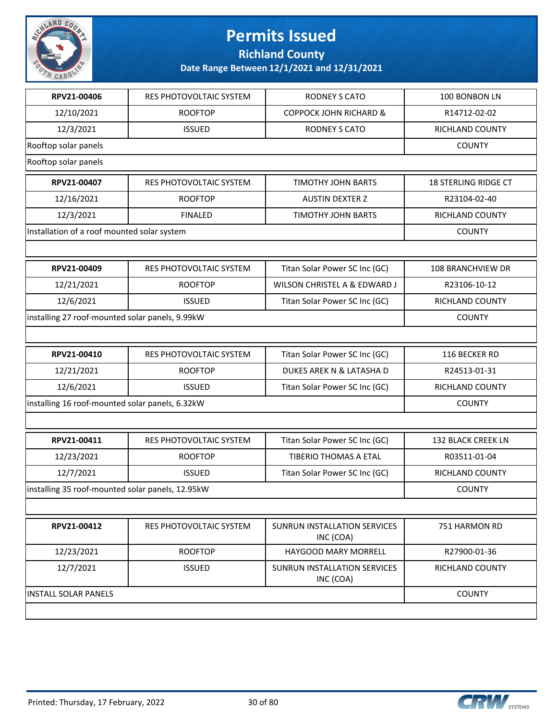

**Richland County**

| RPV21-00406                                      | RES PHOTOVOLTAIC SYSTEM | <b>RODNEY S CATO</b>                      | 100 BONBON LN               |
|--------------------------------------------------|-------------------------|-------------------------------------------|-----------------------------|
| 12/10/2021                                       | <b>ROOFTOP</b>          | <b>COPPOCK JOHN RICHARD &amp;</b>         | R14712-02-02                |
| 12/3/2021                                        | <b>ISSUED</b>           | <b>RODNEY S CATO</b>                      | RICHLAND COUNTY             |
| Rooftop solar panels                             |                         |                                           | <b>COUNTY</b>               |
| Rooftop solar panels                             |                         |                                           |                             |
| RPV21-00407                                      | RES PHOTOVOLTAIC SYSTEM | TIMOTHY JOHN BARTS                        | <b>18 STERLING RIDGE CT</b> |
| 12/16/2021                                       | <b>ROOFTOP</b>          | <b>AUSTIN DEXTER Z</b>                    | R23104-02-40                |
| 12/3/2021                                        | <b>FINALED</b>          | <b>TIMOTHY JOHN BARTS</b>                 | <b>RICHLAND COUNTY</b>      |
| Installation of a roof mounted solar system      |                         |                                           | <b>COUNTY</b>               |
|                                                  |                         |                                           |                             |
| RPV21-00409                                      | RES PHOTOVOLTAIC SYSTEM | Titan Solar Power SC Inc (GC)             | 108 BRANCHVIEW DR           |
| 12/21/2021                                       | <b>ROOFTOP</b>          | WILSON CHRISTEL A & EDWARD J              | R23106-10-12                |
| 12/6/2021                                        | <b>ISSUED</b>           | Titan Solar Power SC Inc (GC)             | RICHLAND COUNTY             |
| installing 27 roof-mounted solar panels, 9.99kW  |                         |                                           | <b>COUNTY</b>               |
|                                                  |                         |                                           |                             |
| RPV21-00410                                      | RES PHOTOVOLTAIC SYSTEM | Titan Solar Power SC Inc (GC)             | 116 BECKER RD               |
| 12/21/2021                                       | <b>ROOFTOP</b>          | DUKES AREK N & LATASHA D                  | R24513-01-31                |
| 12/6/2021                                        | <b>ISSUED</b>           | Titan Solar Power SC Inc (GC)             | RICHLAND COUNTY             |
| installing 16 roof-mounted solar panels, 6.32kW  |                         |                                           | <b>COUNTY</b>               |
|                                                  |                         |                                           |                             |
| RPV21-00411                                      | RES PHOTOVOLTAIC SYSTEM | Titan Solar Power SC Inc (GC)             | 132 BLACK CREEK LN          |
| 12/23/2021                                       | <b>ROOFTOP</b>          | TIBERIO THOMAS A ETAL                     | R03511-01-04                |
| 12/7/2021                                        | <b>ISSUED</b>           | Titan Solar Power SC Inc (GC)             | RICHLAND COUNTY             |
| installing 35 roof-mounted solar panels, 12.95kW |                         |                                           | <b>COUNTY</b>               |
|                                                  |                         |                                           |                             |
| RPV21-00412                                      | RES PHOTOVOLTAIC SYSTEM | SUNRUN INSTALLATION SERVICES<br>INC (COA) | 751 HARMON RD               |
| 12/23/2021                                       | <b>ROOFTOP</b>          | HAYGOOD MARY MORRELL                      | R27900-01-36                |
| 12/7/2021                                        | <b>ISSUED</b>           | SUNRUN INSTALLATION SERVICES<br>INC (COA) | RICHLAND COUNTY             |
| <b>INSTALL SOLAR PANELS</b>                      |                         |                                           | <b>COUNTY</b>               |
|                                                  |                         |                                           |                             |

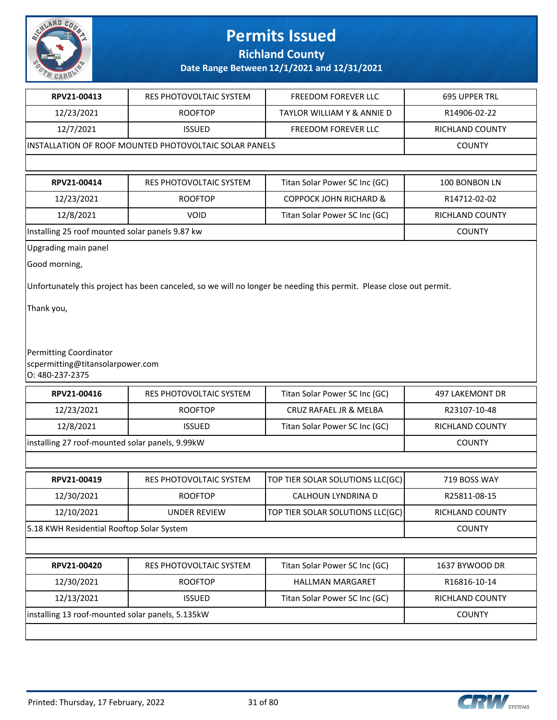

### **Richland County**

| RPV21-00413                                      | RES PHOTOVOLTAIC SYSTEM                                | FREEDOM FOREVER LLC                                                                                                 | 695 UPPER TRL          |  |
|--------------------------------------------------|--------------------------------------------------------|---------------------------------------------------------------------------------------------------------------------|------------------------|--|
| 12/23/2021                                       | <b>ROOFTOP</b>                                         | TAYLOR WILLIAM Y & ANNIE D                                                                                          | R14906-02-22           |  |
| 12/7/2021                                        | <b>ISSUED</b>                                          | FREEDOM FOREVER LLC                                                                                                 | RICHLAND COUNTY        |  |
|                                                  | INSTALLATION OF ROOF MOUNTED PHOTOVOLTAIC SOLAR PANELS |                                                                                                                     | <b>COUNTY</b>          |  |
|                                                  |                                                        |                                                                                                                     |                        |  |
| RPV21-00414                                      | RES PHOTOVOLTAIC SYSTEM                                | Titan Solar Power SC Inc (GC)                                                                                       | 100 BONBON LN          |  |
| 12/23/2021                                       | <b>ROOFTOP</b>                                         | <b>COPPOCK JOHN RICHARD &amp;</b>                                                                                   | R14712-02-02           |  |
| 12/8/2021                                        | <b>VOID</b>                                            | Titan Solar Power SC Inc (GC)                                                                                       | RICHLAND COUNTY        |  |
| Installing 25 roof mounted solar panels 9.87 kw  |                                                        |                                                                                                                     | <b>COUNTY</b>          |  |
| Upgrading main panel                             |                                                        |                                                                                                                     |                        |  |
| Good morning,                                    |                                                        |                                                                                                                     |                        |  |
|                                                  |                                                        | Unfortunately this project has been canceled, so we will no longer be needing this permit. Please close out permit. |                        |  |
|                                                  |                                                        |                                                                                                                     |                        |  |
| Thank you,                                       |                                                        |                                                                                                                     |                        |  |
|                                                  |                                                        |                                                                                                                     |                        |  |
| Permitting Coordinator                           |                                                        |                                                                                                                     |                        |  |
| scpermitting@titansolarpower.com                 |                                                        |                                                                                                                     |                        |  |
| 0: 480-237-2375                                  |                                                        |                                                                                                                     |                        |  |
| RPV21-00416                                      | RES PHOTOVOLTAIC SYSTEM                                | Titan Solar Power SC Inc (GC)                                                                                       | <b>497 LAKEMONT DR</b> |  |
| 12/23/2021                                       | <b>ROOFTOP</b>                                         | CRUZ RAFAEL JR & MELBA                                                                                              | R23107-10-48           |  |
| 12/8/2021                                        | <b>ISSUED</b>                                          | Titan Solar Power SC Inc (GC)                                                                                       | RICHLAND COUNTY        |  |
| installing 27 roof-mounted solar panels, 9.99kW  |                                                        |                                                                                                                     | <b>COUNTY</b>          |  |
|                                                  |                                                        |                                                                                                                     |                        |  |
| RPV21-00419                                      | RES PHOTOVOLTAIC SYSTEM                                | TOP TIER SOLAR SOLUTIONS LLC(GC)                                                                                    | 719 BOSS WAY           |  |
| 12/30/2021                                       | <b>ROOFTOP</b>                                         | CALHOUN LYNDRINA D                                                                                                  | R25811-08-15           |  |
| 12/10/2021                                       | <b>UNDER REVIEW</b>                                    | TOP TIER SOLAR SOLUTIONS LLC(GC)                                                                                    | RICHLAND COUNTY        |  |
| 5.18 KWH Residential Rooftop Solar System        |                                                        |                                                                                                                     | <b>COUNTY</b>          |  |
|                                                  |                                                        |                                                                                                                     |                        |  |
| RPV21-00420                                      | RES PHOTOVOLTAIC SYSTEM                                | Titan Solar Power SC Inc (GC)                                                                                       | 1637 BYWOOD DR         |  |
| 12/30/2021                                       | <b>ROOFTOP</b>                                         | HALLMAN MARGARET                                                                                                    | R16816-10-14           |  |
| 12/13/2021                                       | <b>ISSUED</b>                                          | Titan Solar Power SC Inc (GC)                                                                                       | RICHLAND COUNTY        |  |
| installing 13 roof-mounted solar panels, 5.135kW |                                                        |                                                                                                                     | <b>COUNTY</b>          |  |
|                                                  |                                                        |                                                                                                                     |                        |  |
|                                                  |                                                        |                                                                                                                     |                        |  |

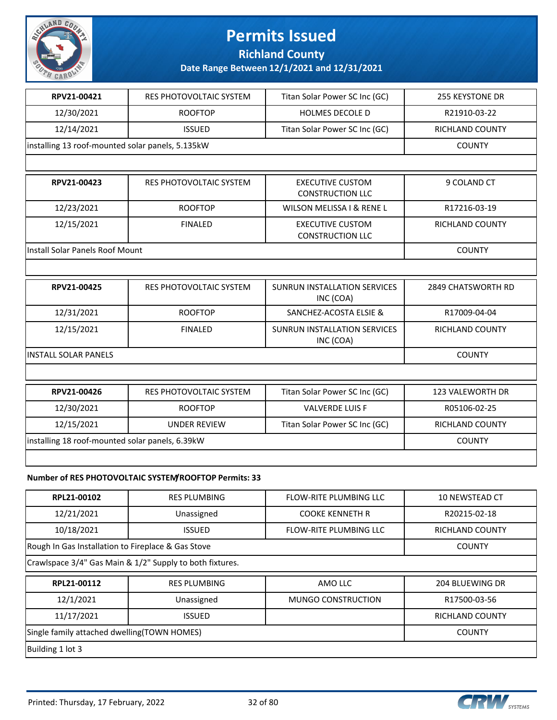

**Richland County**

| RPV21-00421                                        | RES PHOTOVOLTAIC SYSTEM                                  | Titan Solar Power SC Inc (GC)                      | <b>255 KEYSTONE DR</b>    |
|----------------------------------------------------|----------------------------------------------------------|----------------------------------------------------|---------------------------|
| 12/30/2021                                         | <b>ROOFTOP</b>                                           | HOLMES DECOLE D                                    | R21910-03-22              |
| 12/14/2021                                         | <b>ISSUED</b>                                            | Titan Solar Power SC Inc (GC)                      | <b>RICHLAND COUNTY</b>    |
| installing 13 roof-mounted solar panels, 5.135kW   |                                                          |                                                    | <b>COUNTY</b>             |
|                                                    |                                                          |                                                    |                           |
| RPV21-00423                                        | <b>RES PHOTOVOLTAIC SYSTEM</b>                           | <b>EXECUTIVE CUSTOM</b><br><b>CONSTRUCTION LLC</b> | 9 COLAND CT               |
| 12/23/2021                                         | <b>ROOFTOP</b>                                           | WILSON MELISSA I & RENE L                          | R17216-03-19              |
| 12/15/2021                                         | <b>FINALED</b>                                           | <b>EXECUTIVE CUSTOM</b><br><b>CONSTRUCTION LLC</b> | RICHLAND COUNTY           |
| <b>Install Solar Panels Roof Mount</b>             |                                                          |                                                    | <b>COUNTY</b>             |
|                                                    |                                                          |                                                    |                           |
| RPV21-00425                                        | <b>RES PHOTOVOLTAIC SYSTEM</b>                           | SUNRUN INSTALLATION SERVICES<br>INC (COA)          | <b>2849 CHATSWORTH RD</b> |
| 12/31/2021                                         | <b>ROOFTOP</b>                                           | SANCHEZ-ACOSTA ELSIE &                             | R17009-04-04              |
| 12/15/2021                                         | <b>FINALED</b>                                           | SUNRUN INSTALLATION SERVICES<br>INC (COA)          | RICHLAND COUNTY           |
| <b>INSTALL SOLAR PANELS</b>                        | <b>COUNTY</b>                                            |                                                    |                           |
|                                                    |                                                          |                                                    |                           |
| RPV21-00426                                        | RES PHOTOVOLTAIC SYSTEM                                  | Titan Solar Power SC Inc (GC)                      | 123 VALEWORTH DR          |
| 12/30/2021                                         | <b>ROOFTOP</b>                                           | <b>VALVERDE LUIS F</b>                             | R05106-02-25              |
| 12/15/2021                                         | <b>UNDER REVIEW</b>                                      | Titan Solar Power SC Inc (GC)                      | RICHLAND COUNTY           |
| installing 18 roof-mounted solar panels, 6.39kW    |                                                          |                                                    | <b>COUNTY</b>             |
|                                                    |                                                          |                                                    |                           |
|                                                    | Number of RES PHOTOVOLTAIC SYSTEM/ROOFTOP Permits: 33    |                                                    |                           |
| RPL21-00102                                        | <b>RES PLUMBING</b>                                      | FLOW-RITE PLUMBING LLC                             | 10 NEWSTEAD CT            |
| 12/21/2021                                         | Unassigned                                               | <b>COOKE KENNETH R</b>                             | R20215-02-18              |
| 10/18/2021                                         | <b>ISSUED</b>                                            | FLOW-RITE PLUMBING LLC                             | RICHLAND COUNTY           |
| Rough In Gas Installation to Fireplace & Gas Stove |                                                          |                                                    | <b>COUNTY</b>             |
|                                                    | Crawlspace 3/4" Gas Main & 1/2" Supply to both fixtures. |                                                    |                           |
| RPL21-00112                                        | <b>RES PLUMBING</b>                                      | AMO LLC                                            | 204 BLUEWING DR           |

| RPL21-00112                                  | <b>RES PLUMBING</b> | AMO LLC            | 204 BLUEWING DR |
|----------------------------------------------|---------------------|--------------------|-----------------|
| 12/1/2021                                    | Unassigned          | MUNGO CONSTRUCTION | R17500-03-56    |
| 11/17/2021                                   | <b>ISSUED</b>       |                    | RICHLAND COUNTY |
| Single family attached dwelling (TOWN HOMES) |                     |                    | <b>COUNTY</b>   |
| Building 1 lot 3                             |                     |                    |                 |

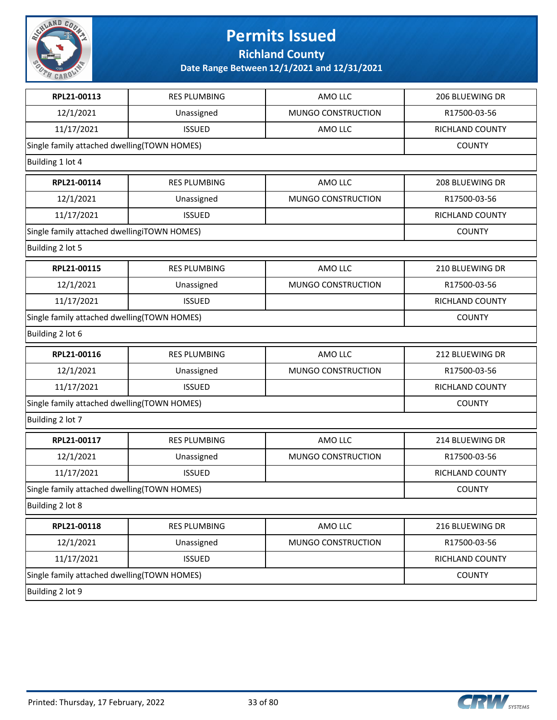

**Richland County**

| RPL21-00113                                 | <b>RES PLUMBING</b>                         | AMO LLC            | 206 BLUEWING DR        |
|---------------------------------------------|---------------------------------------------|--------------------|------------------------|
| 12/1/2021                                   | Unassigned                                  | MUNGO CONSTRUCTION | R17500-03-56           |
| 11/17/2021                                  | <b>ISSUED</b>                               | AMO LLC            | RICHLAND COUNTY        |
| Single family attached dwelling(TOWN HOMES) |                                             |                    | <b>COUNTY</b>          |
| Building 1 lot 4                            |                                             |                    |                        |
| RPL21-00114                                 | <b>RES PLUMBING</b>                         | AMO LLC            | 208 BLUEWING DR        |
| 12/1/2021                                   | Unassigned                                  | MUNGO CONSTRUCTION | R17500-03-56           |
| 11/17/2021                                  | <b>ISSUED</b>                               |                    | RICHLAND COUNTY        |
| Single family attached dwellingiTOWN HOMES) |                                             |                    | <b>COUNTY</b>          |
| Building 2 lot 5                            |                                             |                    |                        |
| RPL21-00115                                 | <b>RES PLUMBING</b>                         | AMO LLC            | 210 BLUEWING DR        |
| 12/1/2021                                   | Unassigned                                  | MUNGO CONSTRUCTION | R17500-03-56           |
| 11/17/2021                                  | <b>ISSUED</b>                               |                    | RICHLAND COUNTY        |
| Single family attached dwelling(TOWN HOMES) |                                             |                    | <b>COUNTY</b>          |
| Building 2 lot 6                            |                                             |                    |                        |
| RPL21-00116                                 | <b>RES PLUMBING</b>                         | AMO LLC            | 212 BLUEWING DR        |
| 12/1/2021                                   | Unassigned                                  | MUNGO CONSTRUCTION | R17500-03-56           |
| 11/17/2021                                  | <b>ISSUED</b>                               |                    | RICHLAND COUNTY        |
|                                             | Single family attached dwelling(TOWN HOMES) |                    |                        |
| Building 2 lot 7                            |                                             |                    |                        |
| RPL21-00117                                 | <b>RES PLUMBING</b>                         | AMO LLC            | 214 BLUEWING DR        |
| 12/1/2021                                   | Unassigned                                  | MUNGO CONSTRUCTION | R17500-03-56           |
| 11/17/2021                                  | <b>ISSUED</b>                               |                    | <b>RICHLAND COUNTY</b> |
| Single family attached dwelling(TOWN HOMES) |                                             |                    | <b>COUNTY</b>          |
| Building 2 lot 8                            |                                             |                    |                        |
| RPL21-00118                                 | <b>RES PLUMBING</b>                         | AMO LLC            | 216 BLUEWING DR        |
| 12/1/2021                                   | Unassigned                                  | MUNGO CONSTRUCTION | R17500-03-56           |
| 11/17/2021                                  | <b>ISSUED</b>                               |                    | RICHLAND COUNTY        |
| Single family attached dwelling(TOWN HOMES) |                                             |                    | <b>COUNTY</b>          |
| Building 2 lot 9                            |                                             |                    |                        |

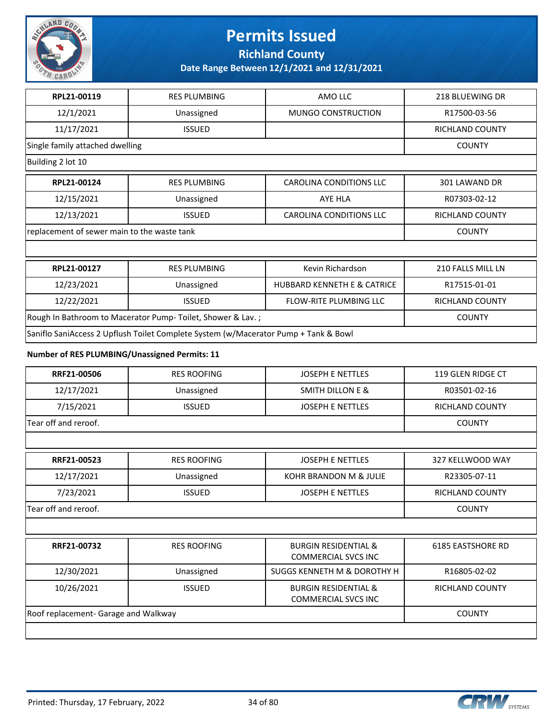

**Richland County**

**Date Range Between 12/1/2021 and 12/31/2021**

| RPL21-00119                                                                         | <b>RES PLUMBING</b> | AMO LLC                                | 218 BLUEWING DR        |  |
|-------------------------------------------------------------------------------------|---------------------|----------------------------------------|------------------------|--|
| 12/1/2021                                                                           | Unassigned          | <b>MUNGO CONSTRUCTION</b>              | R17500-03-56           |  |
| 11/17/2021                                                                          | <b>ISSUED</b>       |                                        | <b>RICHLAND COUNTY</b> |  |
| Single family attached dwelling                                                     |                     |                                        | <b>COUNTY</b>          |  |
| Building 2 lot 10                                                                   |                     |                                        |                        |  |
| RPL21-00124                                                                         | <b>RES PLUMBING</b> | <b>CAROLINA CONDITIONS LLC</b>         | 301 LAWAND DR          |  |
| 12/15/2021                                                                          | Unassigned          | AYE HLA                                | R07303-02-12           |  |
| 12/13/2021                                                                          | <b>ISSUED</b>       | CAROLINA CONDITIONS LLC                | <b>RICHLAND COUNTY</b> |  |
| replacement of sewer main to the waste tank                                         |                     |                                        | <b>COUNTY</b>          |  |
|                                                                                     |                     |                                        |                        |  |
| RPL21-00127                                                                         | <b>RES PLUMBING</b> | Kevin Richardson                       | 210 FALLS MILL LN      |  |
| 12/23/2021                                                                          | Unassigned          | <b>HUBBARD KENNETH E &amp; CATRICE</b> | R17515-01-01           |  |
| 12/22/2021                                                                          | <b>ISSUED</b>       | <b>FLOW-RITE PLUMBING LLC</b>          | <b>RICHLAND COUNTY</b> |  |
| Rough In Bathroom to Macerator Pump- Toilet, Shower & Lav.;                         | <b>COUNTY</b>       |                                        |                        |  |
| Saniflo SaniAccess 2 Upflush Toilet Complete System (w/Macerator Pump + Tank & Bowl |                     |                                        |                        |  |

#### **Number of RES PLUMBING/Unassigned Permits: 11**

| RRF21-00506                          | <b>RES ROOFING</b> | <b>JOSEPH E NETTLES</b>                                       | 119 GLEN RIDGE CT        |
|--------------------------------------|--------------------|---------------------------------------------------------------|--------------------------|
| 12/17/2021                           | Unassigned         | <b>SMITH DILLON E &amp;</b>                                   | R03501-02-16             |
| 7/15/2021                            | <b>ISSUED</b>      | <b>JOSEPH E NETTLES</b>                                       | <b>RICHLAND COUNTY</b>   |
| Tear off and reroof.                 | <b>COUNTY</b>      |                                                               |                          |
|                                      |                    |                                                               |                          |
| RRF21-00523                          | <b>RES ROOFING</b> | <b>JOSEPH E NETTLES</b>                                       | 327 KELLWOOD WAY         |
| 12/17/2021                           | Unassigned         | KOHR BRANDON M & JULIE                                        | R23305-07-11             |
| 7/23/2021                            | <b>ISSUED</b>      | <b>JOSEPH E NETTLES</b>                                       | <b>RICHLAND COUNTY</b>   |
| Tear off and reroof.                 | <b>COUNTY</b>      |                                                               |                          |
|                                      |                    |                                                               |                          |
| RRF21-00732                          | <b>RES ROOFING</b> | <b>BURGIN RESIDENTIAL &amp;</b><br><b>COMMERCIAL SVCS INC</b> | <b>6185 EASTSHORE RD</b> |
| 12/30/2021                           | Unassigned         | SUGGS KENNETH M & DOROTHY H                                   | R16805-02-02             |
| 10/26/2021                           | <b>ISSUED</b>      | <b>BURGIN RESIDENTIAL &amp;</b><br><b>COMMERCIAL SVCS INC</b> | RICHLAND COUNTY          |
| Roof replacement- Garage and Walkway | <b>COUNTY</b>      |                                                               |                          |
|                                      |                    |                                                               |                          |

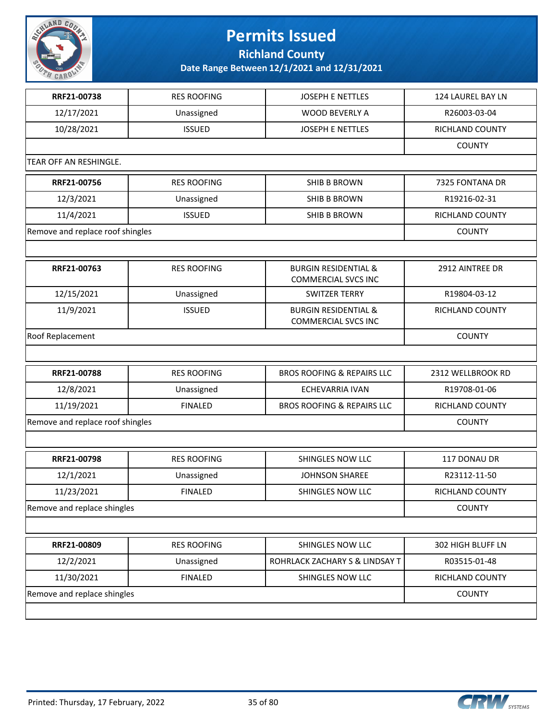

**Richland County**

| RRF21-00738                      | <b>RES ROOFING</b> | <b>JOSEPH E NETTLES</b>                                       | 124 LAUREL BAY LN |
|----------------------------------|--------------------|---------------------------------------------------------------|-------------------|
| 12/17/2021                       | Unassigned         | <b>WOOD BEVERLY A</b>                                         | R26003-03-04      |
| 10/28/2021                       | <b>ISSUED</b>      | JOSEPH E NETTLES                                              | RICHLAND COUNTY   |
|                                  |                    |                                                               | <b>COUNTY</b>     |
| TEAR OFF AN RESHINGLE.           |                    |                                                               |                   |
| RRF21-00756                      | <b>RES ROOFING</b> | SHIB B BROWN                                                  | 7325 FONTANA DR   |
| 12/3/2021                        | Unassigned         | SHIB B BROWN                                                  | R19216-02-31      |
| 11/4/2021                        | <b>ISSUED</b>      | SHIB B BROWN                                                  | RICHLAND COUNTY   |
| Remove and replace roof shingles |                    | <b>COUNTY</b>                                                 |                   |
|                                  |                    |                                                               |                   |
| RRF21-00763                      | <b>RES ROOFING</b> | <b>BURGIN RESIDENTIAL &amp;</b><br><b>COMMERCIAL SVCS INC</b> | 2912 AINTREE DR   |
| 12/15/2021                       | Unassigned         | <b>SWITZER TERRY</b>                                          | R19804-03-12      |
| 11/9/2021                        | <b>ISSUED</b>      | <b>BURGIN RESIDENTIAL &amp;</b><br><b>COMMERCIAL SVCS INC</b> | RICHLAND COUNTY   |
| Roof Replacement                 |                    |                                                               | <b>COUNTY</b>     |
|                                  |                    |                                                               |                   |
| RRF21-00788                      | <b>RES ROOFING</b> | <b>BROS ROOFING &amp; REPAIRS LLC</b>                         | 2312 WELLBROOK RD |
| 12/8/2021                        | Unassigned         | <b>ECHEVARRIA IVAN</b>                                        | R19708-01-06      |
| 11/19/2021                       | <b>FINALED</b>     | <b>BROS ROOFING &amp; REPAIRS LLC</b>                         | RICHLAND COUNTY   |
| Remove and replace roof shingles |                    | <b>COUNTY</b>                                                 |                   |
|                                  |                    |                                                               |                   |
| RRF21-00798                      | <b>RES ROOFING</b> | SHINGLES NOW LLC                                              | 117 DONAU DR      |
| 12/1/2021                        | Unassigned         | <b>JOHNSON SHAREE</b>                                         | R23112-11-50      |
| 11/23/2021                       | <b>FINALED</b>     | SHINGLES NOW LLC                                              | RICHLAND COUNTY   |
| Remove and replace shingles      |                    | <b>COUNTY</b>                                                 |                   |
|                                  |                    |                                                               |                   |
| RRF21-00809                      | <b>RES ROOFING</b> | SHINGLES NOW LLC                                              | 302 HIGH BLUFF LN |
| 12/2/2021                        | Unassigned         | ROHRLACK ZACHARY S & LINDSAY T                                | R03515-01-48      |
| 11/30/2021                       | <b>FINALED</b>     | SHINGLES NOW LLC                                              | RICHLAND COUNTY   |
| Remove and replace shingles      | <b>COUNTY</b>      |                                                               |                   |
|                                  |                    |                                                               |                   |

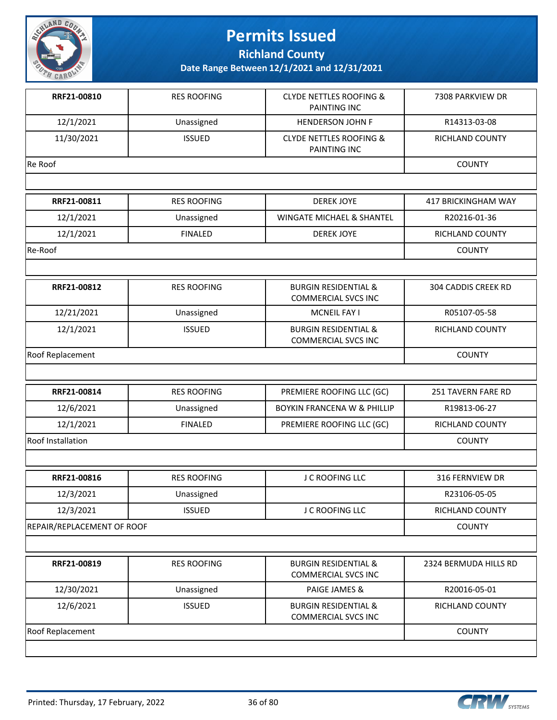

**Richland County**

| RRF21-00810                | <b>RES ROOFING</b> | <b>CLYDE NETTLES ROOFING &amp;</b><br>PAINTING INC            | 7308 PARKVIEW DR       |
|----------------------------|--------------------|---------------------------------------------------------------|------------------------|
| 12/1/2021                  | Unassigned         | <b>HENDERSON JOHN F</b>                                       | R14313-03-08           |
| 11/30/2021                 | <b>ISSUED</b>      | <b>CLYDE NETTLES ROOFING &amp;</b><br><b>PAINTING INC</b>     | <b>RICHLAND COUNTY</b> |
| Re Roof                    |                    |                                                               | <b>COUNTY</b>          |
|                            |                    |                                                               |                        |
| RRF21-00811                | <b>RES ROOFING</b> | <b>DEREK JOYE</b>                                             | 417 BRICKINGHAM WAY    |
| 12/1/2021                  | Unassigned         | WINGATE MICHAEL & SHANTEL                                     | R20216-01-36           |
| 12/1/2021                  | <b>FINALED</b>     | <b>DEREK JOYE</b>                                             | RICHLAND COUNTY        |
| Re-Roof                    |                    |                                                               | <b>COUNTY</b>          |
|                            |                    |                                                               |                        |
| RRF21-00812                | <b>RES ROOFING</b> | <b>BURGIN RESIDENTIAL &amp;</b><br><b>COMMERCIAL SVCS INC</b> | 304 CADDIS CREEK RD    |
| 12/21/2021                 | Unassigned         | MCNEIL FAY I                                                  | R05107-05-58           |
| 12/1/2021                  | <b>ISSUED</b>      | <b>BURGIN RESIDENTIAL &amp;</b><br><b>COMMERCIAL SVCS INC</b> | <b>RICHLAND COUNTY</b> |
| Roof Replacement           |                    |                                                               | <b>COUNTY</b>          |
|                            |                    |                                                               |                        |
| RRF21-00814                | <b>RES ROOFING</b> | PREMIERE ROOFING LLC (GC)                                     | 251 TAVERN FARE RD     |
| 12/6/2021                  | Unassigned         | <b>BOYKIN FRANCENA W &amp; PHILLIP</b>                        | R19813-06-27           |
| 12/1/2021                  | <b>FINALED</b>     | PREMIERE ROOFING LLC (GC)                                     | RICHLAND COUNTY        |
| <b>Roof Installation</b>   |                    |                                                               | <b>COUNTY</b>          |
|                            |                    |                                                               |                        |
| RRF21-00816                | <b>RES ROOFING</b> | J C ROOFING LLC                                               | 316 FERNVIEW DR        |
| 12/3/2021                  | Unassigned         |                                                               | R23106-05-05           |
| 12/3/2021                  | <b>ISSUED</b>      | J C ROOFING LLC                                               | RICHLAND COUNTY        |
| REPAIR/REPLACEMENT OF ROOF | <b>COUNTY</b>      |                                                               |                        |
|                            |                    |                                                               |                        |
| RRF21-00819                | <b>RES ROOFING</b> | <b>BURGIN RESIDENTIAL &amp;</b><br><b>COMMERCIAL SVCS INC</b> | 2324 BERMUDA HILLS RD  |
| 12/30/2021                 | Unassigned         | <b>PAIGE JAMES &amp;</b>                                      | R20016-05-01           |
| 12/6/2021                  | <b>ISSUED</b>      | <b>BURGIN RESIDENTIAL &amp;</b><br><b>COMMERCIAL SVCS INC</b> | RICHLAND COUNTY        |
| <b>Roof Replacement</b>    | <b>COUNTY</b>      |                                                               |                        |
|                            |                    |                                                               |                        |

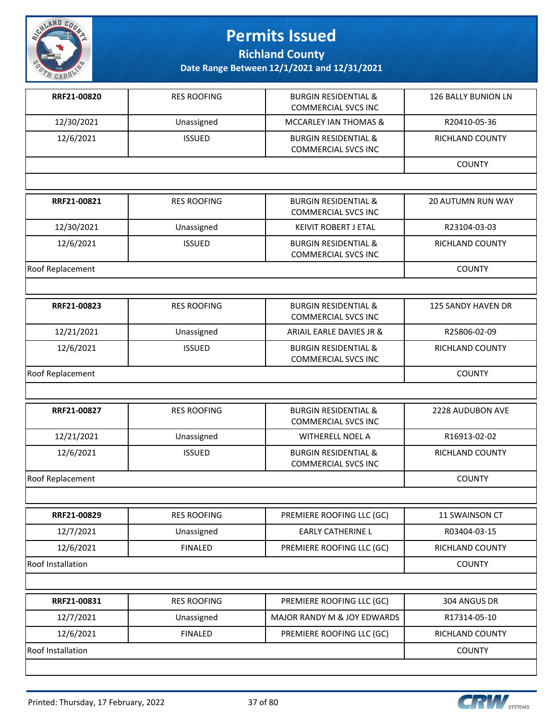

**Richland County**

| RRF21-00820       | <b>RES ROOFING</b> | <b>BURGIN RESIDENTIAL &amp;</b><br><b>COMMERCIAL SVCS INC</b> | 126 BALLY BUNION LN      |
|-------------------|--------------------|---------------------------------------------------------------|--------------------------|
| 12/30/2021        | Unassigned         | MCCARLEY IAN THOMAS &                                         | R20410-05-36             |
| 12/6/2021         | <b>ISSUED</b>      | <b>BURGIN RESIDENTIAL &amp;</b><br><b>COMMERCIAL SVCS INC</b> | RICHLAND COUNTY          |
|                   |                    |                                                               | <b>COUNTY</b>            |
|                   |                    |                                                               |                          |
| RRF21-00821       | <b>RES ROOFING</b> | <b>BURGIN RESIDENTIAL &amp;</b><br><b>COMMERCIAL SVCS INC</b> | <b>20 AUTUMN RUN WAY</b> |
| 12/30/2021        | Unassigned         | KEIVIT ROBERT J ETAL                                          | R23104-03-03             |
| 12/6/2021         | <b>ISSUED</b>      | <b>BURGIN RESIDENTIAL &amp;</b><br><b>COMMERCIAL SVCS INC</b> | RICHLAND COUNTY          |
| Roof Replacement  |                    |                                                               | <b>COUNTY</b>            |
|                   |                    |                                                               |                          |
| RRF21-00823       | <b>RES ROOFING</b> | <b>BURGIN RESIDENTIAL &amp;</b><br><b>COMMERCIAL SVCS INC</b> | 125 SANDY HAVEN DR       |
| 12/21/2021        | Unassigned         | ARIAIL EARLE DAVIES JR &                                      | R25806-02-09             |
| 12/6/2021         | <b>ISSUED</b>      | <b>BURGIN RESIDENTIAL &amp;</b><br><b>COMMERCIAL SVCS INC</b> | RICHLAND COUNTY          |
| Roof Replacement  |                    |                                                               | <b>COUNTY</b>            |
|                   |                    |                                                               |                          |
| RRF21-00827       | <b>RES ROOFING</b> | <b>BURGIN RESIDENTIAL &amp;</b><br><b>COMMERCIAL SVCS INC</b> | 2228 AUDUBON AVE         |
| 12/21/2021        | Unassigned         | <b>WITHERELL NOEL A</b>                                       | R16913-02-02             |
| 12/6/2021         | <b>ISSUED</b>      | <b>BURGIN RESIDENTIAL &amp;</b><br><b>COMMERCIAL SVCS INC</b> | <b>RICHLAND COUNTY</b>   |
| Roof Replacement  |                    |                                                               | <b>COUNTY</b>            |
|                   |                    |                                                               |                          |
| RRF21-00829       | <b>RES ROOFING</b> | PREMIERE ROOFING LLC (GC)                                     | 11 SWAINSON CT           |
| 12/7/2021         | Unassigned         | <b>EARLY CATHERINE L</b>                                      | R03404-03-15             |
| 12/6/2021         | <b>FINALED</b>     | PREMIERE ROOFING LLC (GC)                                     | RICHLAND COUNTY          |
| Roof Installation |                    |                                                               | <b>COUNTY</b>            |
|                   |                    |                                                               |                          |
| RRF21-00831       | <b>RES ROOFING</b> | PREMIERE ROOFING LLC (GC)                                     | 304 ANGUS DR             |
| 12/7/2021         | Unassigned         | MAJOR RANDY M & JOY EDWARDS                                   | R17314-05-10             |
| 12/6/2021         | <b>FINALED</b>     | PREMIERE ROOFING LLC (GC)                                     | RICHLAND COUNTY          |
| Roof Installation |                    |                                                               | <b>COUNTY</b>            |
|                   |                    |                                                               |                          |

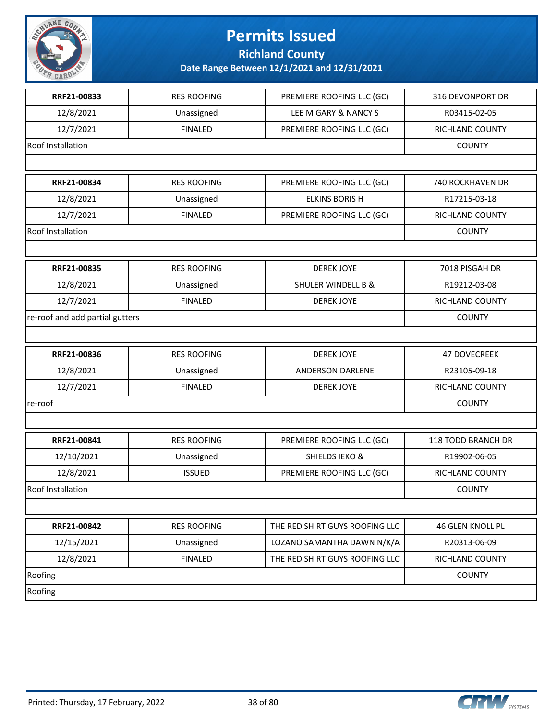

**Richland County**

| RRF21-00833                     | <b>RES ROOFING</b> | PREMIERE ROOFING LLC (GC)      | 316 DEVONPORT DR    |
|---------------------------------|--------------------|--------------------------------|---------------------|
| 12/8/2021                       | Unassigned         | LEE M GARY & NANCY S           | R03415-02-05        |
| 12/7/2021                       | <b>FINALED</b>     | PREMIERE ROOFING LLC (GC)      | RICHLAND COUNTY     |
| Roof Installation               |                    |                                | <b>COUNTY</b>       |
|                                 |                    |                                |                     |
| RRF21-00834                     | <b>RES ROOFING</b> | PREMIERE ROOFING LLC (GC)      | 740 ROCKHAVEN DR    |
| 12/8/2021                       | Unassigned         | <b>ELKINS BORISH</b>           | R17215-03-18        |
| 12/7/2021                       | <b>FINALED</b>     | PREMIERE ROOFING LLC (GC)      | RICHLAND COUNTY     |
| Roof Installation               |                    |                                | <b>COUNTY</b>       |
|                                 |                    |                                |                     |
| RRF21-00835                     | <b>RES ROOFING</b> | <b>DEREK JOYE</b>              | 7018 PISGAH DR      |
| 12/8/2021                       | Unassigned         | <b>SHULER WINDELL B &amp;</b>  | R19212-03-08        |
| 12/7/2021                       | <b>FINALED</b>     | <b>DEREK JOYE</b>              | RICHLAND COUNTY     |
| re-roof and add partial gutters |                    |                                | <b>COUNTY</b>       |
|                                 |                    |                                |                     |
| RRF21-00836                     | <b>RES ROOFING</b> | <b>DEREK JOYE</b>              | <b>47 DOVECREEK</b> |
| 12/8/2021                       | Unassigned         | ANDERSON DARLENE               | R23105-09-18        |
| 12/7/2021                       | <b>FINALED</b>     | <b>DEREK JOYE</b>              | RICHLAND COUNTY     |
| re-roof                         |                    |                                | <b>COUNTY</b>       |
|                                 |                    |                                |                     |
| RRF21-00841                     | <b>RES ROOFING</b> | PREMIERE ROOFING LLC (GC)      | 118 TODD BRANCH DR  |
| 12/10/2021                      | Unassigned         | <b>SHIELDS IEKO &amp;</b>      | R19902-06-05        |
| 12/8/2021                       | <b>ISSUED</b>      | PREMIERE ROOFING LLC (GC)      | RICHLAND COUNTY     |
| <b>Roof Installation</b>        |                    |                                | <b>COUNTY</b>       |
|                                 |                    |                                |                     |
| RRF21-00842                     | <b>RES ROOFING</b> | THE RED SHIRT GUYS ROOFING LLC | 46 GLEN KNOLL PL    |
| 12/15/2021                      | Unassigned         | LOZANO SAMANTHA DAWN N/K/A     | R20313-06-09        |
| 12/8/2021                       | <b>FINALED</b>     | THE RED SHIRT GUYS ROOFING LLC | RICHLAND COUNTY     |
| Roofing                         |                    |                                | <b>COUNTY</b>       |
| Roofing                         |                    |                                |                     |

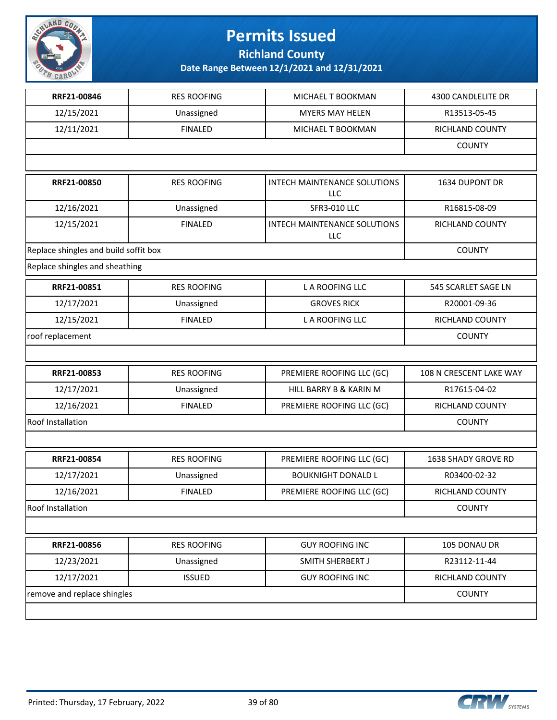

**Richland County**

| RRF21-00846                           | <b>RES ROOFING</b> | MICHAEL T BOOKMAN                   | 4300 CANDLELITE DR      |
|---------------------------------------|--------------------|-------------------------------------|-------------------------|
| 12/15/2021                            | Unassigned         | <b>MYERS MAY HELEN</b>              | R13513-05-45            |
| 12/11/2021                            | <b>FINALED</b>     | MICHAEL T BOOKMAN                   | RICHLAND COUNTY         |
|                                       |                    |                                     | <b>COUNTY</b>           |
|                                       |                    |                                     |                         |
| RRF21-00850                           | <b>RES ROOFING</b> | INTECH MAINTENANCE SOLUTIONS<br>LLC | 1634 DUPONT DR          |
| 12/16/2021                            | Unassigned         | <b>SFR3-010 LLC</b>                 | R16815-08-09            |
| 12/15/2021                            | <b>FINALED</b>     | INTECH MAINTENANCE SOLUTIONS<br>LLC | RICHLAND COUNTY         |
| Replace shingles and build soffit box |                    |                                     | <b>COUNTY</b>           |
| Replace shingles and sheathing        |                    |                                     |                         |
| RRF21-00851                           | <b>RES ROOFING</b> | L A ROOFING LLC                     | 545 SCARLET SAGE LN     |
| 12/17/2021                            | Unassigned         | <b>GROVES RICK</b>                  | R20001-09-36            |
| 12/15/2021                            | <b>FINALED</b>     | L A ROOFING LLC                     | RICHLAND COUNTY         |
| roof replacement                      | <b>COUNTY</b>      |                                     |                         |
|                                       |                    |                                     |                         |
| RRF21-00853                           | <b>RES ROOFING</b> | PREMIERE ROOFING LLC (GC)           | 108 N CRESCENT LAKE WAY |
| 12/17/2021                            | Unassigned         | HILL BARRY B & KARIN M              | R17615-04-02            |
| 12/16/2021                            | <b>FINALED</b>     | PREMIERE ROOFING LLC (GC)           | RICHLAND COUNTY         |
| Roof Installation                     |                    |                                     | <b>COUNTY</b>           |
|                                       |                    |                                     |                         |
| RRF21-00854                           | <b>RES ROOFING</b> | PREMIERE ROOFING LLC (GC)           | 1638 SHADY GROVE RD     |
| 12/17/2021                            | Unassigned         | <b>BOUKNIGHT DONALD L</b>           | R03400-02-32            |
| 12/16/2021                            | <b>FINALED</b>     | PREMIERE ROOFING LLC (GC)           | RICHLAND COUNTY         |
| Roof Installation                     |                    |                                     | <b>COUNTY</b>           |
|                                       |                    |                                     |                         |
| RRF21-00856                           | <b>RES ROOFING</b> | <b>GUY ROOFING INC</b>              | 105 DONAU DR            |
| 12/23/2021                            | Unassigned         | SMITH SHERBERT J                    | R23112-11-44            |
| 12/17/2021                            | <b>ISSUED</b>      | <b>GUY ROOFING INC</b>              | RICHLAND COUNTY         |
| remove and replace shingles           |                    |                                     | <b>COUNTY</b>           |
|                                       |                    |                                     |                         |

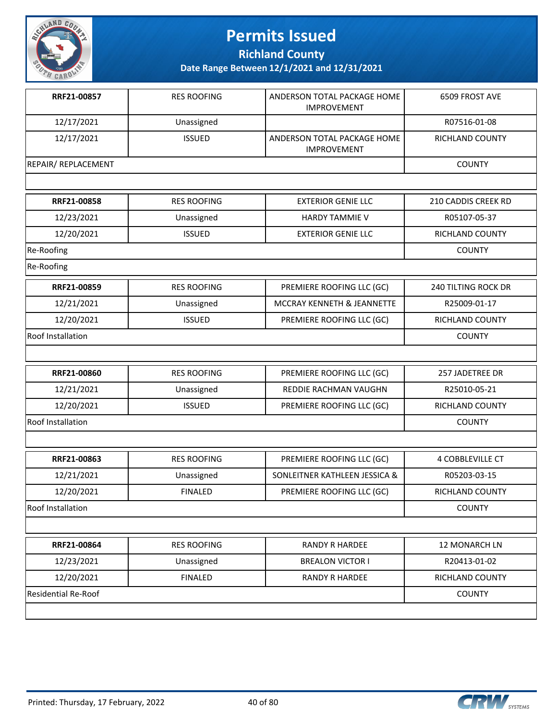

**Richland County**

| RRF21-00857                | <b>RES ROOFING</b> | ANDERSON TOTAL PACKAGE HOME<br><b>IMPROVEMENT</b> | 6509 FROST AVE             |
|----------------------------|--------------------|---------------------------------------------------|----------------------------|
| 12/17/2021                 | Unassigned         |                                                   | R07516-01-08               |
| 12/17/2021                 | <b>ISSUED</b>      | ANDERSON TOTAL PACKAGE HOME<br><b>IMPROVEMENT</b> | <b>RICHLAND COUNTY</b>     |
| <b>REPAIR/ REPLACEMENT</b> |                    |                                                   | <b>COUNTY</b>              |
|                            |                    |                                                   |                            |
| RRF21-00858                | <b>RES ROOFING</b> | <b>EXTERIOR GENIE LLC</b>                         | 210 CADDIS CREEK RD        |
| 12/23/2021                 | Unassigned         | <b>HARDY TAMMIE V</b>                             | R05107-05-37               |
| 12/20/2021                 | <b>ISSUED</b>      | <b>EXTERIOR GENIE LLC</b>                         | RICHLAND COUNTY            |
| Re-Roofing                 |                    |                                                   | <b>COUNTY</b>              |
| Re-Roofing                 |                    |                                                   |                            |
| RRF21-00859                | <b>RES ROOFING</b> | PREMIERE ROOFING LLC (GC)                         | <b>240 TILTING ROCK DR</b> |
| 12/21/2021                 | Unassigned         | MCCRAY KENNETH & JEANNETTE                        | R25009-01-17               |
| 12/20/2021                 | <b>ISSUED</b>      | PREMIERE ROOFING LLC (GC)                         | RICHLAND COUNTY            |
| <b>Roof Installation</b>   |                    |                                                   | <b>COUNTY</b>              |
|                            |                    |                                                   |                            |
| RRF21-00860                | <b>RES ROOFING</b> | PREMIERE ROOFING LLC (GC)                         | 257 JADETREE DR            |
| 12/21/2021                 | Unassigned         | REDDIE RACHMAN VAUGHN                             | R25010-05-21               |
| 12/20/2021                 | <b>ISSUED</b>      | PREMIERE ROOFING LLC (GC)                         | RICHLAND COUNTY            |
| Roof Installation          |                    |                                                   | <b>COUNTY</b>              |
|                            |                    |                                                   |                            |
| RRF21-00863                | <b>RES ROOFING</b> | PREMIERE ROOFING LLC (GC)                         | <b>4 COBBLEVILLE CT</b>    |
| 12/21/2021                 | Unassigned         | SONLEITNER KATHLEEN JESSICA &                     | R05203-03-15               |
| 12/20/2021                 | <b>FINALED</b>     | PREMIERE ROOFING LLC (GC)                         | <b>RICHLAND COUNTY</b>     |
| Roof Installation          |                    |                                                   | <b>COUNTY</b>              |
|                            |                    |                                                   |                            |
| RRF21-00864                | <b>RES ROOFING</b> | <b>RANDY R HARDEE</b>                             | 12 MONARCH LN              |
| 12/23/2021                 | Unassigned         | <b>BREALON VICTOR I</b>                           | R20413-01-02               |
| 12/20/2021                 | <b>FINALED</b>     | <b>RANDY R HARDEE</b>                             | RICHLAND COUNTY            |
| Residential Re-Roof        |                    |                                                   | <b>COUNTY</b>              |
|                            |                    |                                                   |                            |

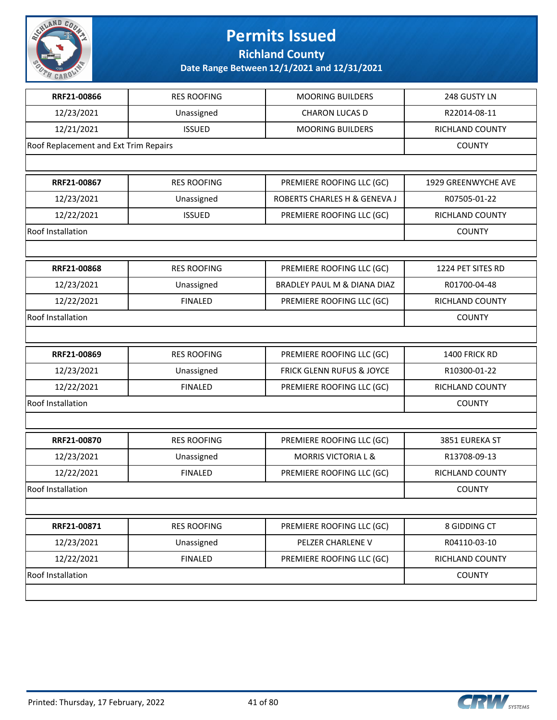

**Richland County**

| RRF21-00866                           | <b>RES ROOFING</b> | <b>MOORING BUILDERS</b>        | 248 GUSTY LN        |
|---------------------------------------|--------------------|--------------------------------|---------------------|
| 12/23/2021                            | Unassigned         | CHARON LUCAS D                 | R22014-08-11        |
| 12/21/2021                            | <b>ISSUED</b>      | <b>MOORING BUILDERS</b>        | RICHLAND COUNTY     |
| Roof Replacement and Ext Trim Repairs |                    |                                | <b>COUNTY</b>       |
|                                       |                    |                                |                     |
| RRF21-00867                           | <b>RES ROOFING</b> | PREMIERE ROOFING LLC (GC)      | 1929 GREENWYCHE AVE |
| 12/23/2021                            | Unassigned         | ROBERTS CHARLES H & GENEVA J   | R07505-01-22        |
| 12/22/2021                            | <b>ISSUED</b>      | PREMIERE ROOFING LLC (GC)      | RICHLAND COUNTY     |
| Roof Installation                     |                    |                                | <b>COUNTY</b>       |
|                                       |                    |                                |                     |
| RRF21-00868                           | <b>RES ROOFING</b> | PREMIERE ROOFING LLC (GC)      | 1224 PET SITES RD   |
| 12/23/2021                            | Unassigned         | BRADLEY PAUL M & DIANA DIAZ    | R01700-04-48        |
| 12/22/2021                            | <b>FINALED</b>     | PREMIERE ROOFING LLC (GC)      | RICHLAND COUNTY     |
| Roof Installation                     |                    |                                | <b>COUNTY</b>       |
|                                       |                    |                                |                     |
| RRF21-00869                           | <b>RES ROOFING</b> | PREMIERE ROOFING LLC (GC)      | 1400 FRICK RD       |
| 12/23/2021                            | Unassigned         | FRICK GLENN RUFUS & JOYCE      | R10300-01-22        |
| 12/22/2021                            | <b>FINALED</b>     | PREMIERE ROOFING LLC (GC)      | RICHLAND COUNTY     |
| Roof Installation                     |                    |                                | <b>COUNTY</b>       |
|                                       |                    |                                |                     |
| RRF21-00870                           | <b>RES ROOFING</b> | PREMIERE ROOFING LLC (GC)      | 3851 EUREKA ST      |
| 12/23/2021                            | Unassigned         | <b>MORRIS VICTORIA L &amp;</b> | R13708-09-13        |
| 12/22/2021                            | <b>FINALED</b>     | PREMIERE ROOFING LLC (GC)      | RICHLAND COUNTY     |
| Roof Installation                     |                    |                                | <b>COUNTY</b>       |
|                                       |                    |                                |                     |
| RRF21-00871                           | <b>RES ROOFING</b> | PREMIERE ROOFING LLC (GC)      | 8 GIDDING CT        |
| 12/23/2021                            | Unassigned         | PELZER CHARLENE V              | R04110-03-10        |
| 12/22/2021                            | <b>FINALED</b>     | PREMIERE ROOFING LLC (GC)      | RICHLAND COUNTY     |
| Roof Installation                     |                    |                                | <b>COUNTY</b>       |
|                                       |                    |                                |                     |

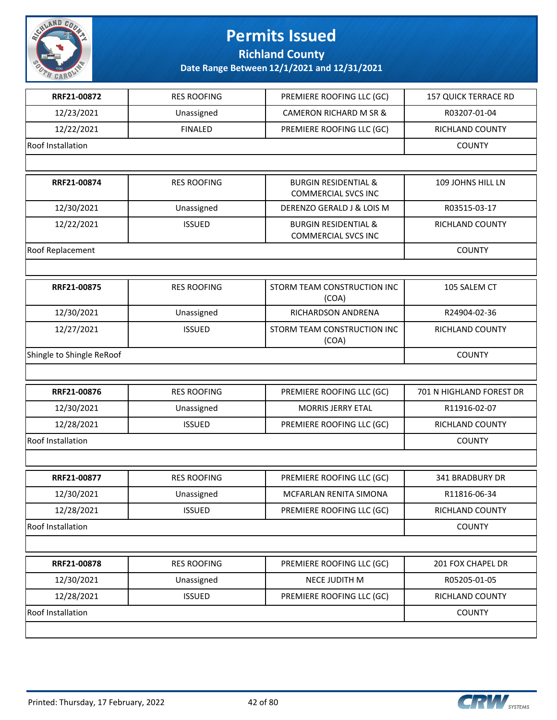

**Richland County**

| RRF21-00872               | <b>RES ROOFING</b> | PREMIERE ROOFING LLC (GC)                                     | <b>157 QUICK TERRACE RD</b> |
|---------------------------|--------------------|---------------------------------------------------------------|-----------------------------|
| 12/23/2021                | Unassigned         | CAMERON RICHARD M SR &                                        | R03207-01-04                |
| 12/22/2021                | <b>FINALED</b>     | PREMIERE ROOFING LLC (GC)                                     | RICHLAND COUNTY             |
| <b>Roof Installation</b>  |                    |                                                               | <b>COUNTY</b>               |
|                           |                    |                                                               |                             |
| RRF21-00874               | <b>RES ROOFING</b> | <b>BURGIN RESIDENTIAL &amp;</b><br><b>COMMERCIAL SVCS INC</b> | 109 JOHNS HILL LN           |
| 12/30/2021                | Unassigned         | DERENZO GERALD J & LOIS M                                     | R03515-03-17                |
| 12/22/2021                | <b>ISSUED</b>      | <b>BURGIN RESIDENTIAL &amp;</b><br><b>COMMERCIAL SVCS INC</b> | RICHLAND COUNTY             |
| Roof Replacement          |                    |                                                               | <b>COUNTY</b>               |
|                           |                    |                                                               |                             |
| RRF21-00875               | <b>RES ROOFING</b> | STORM TEAM CONSTRUCTION INC<br>(COA)                          | 105 SALEM CT                |
| 12/30/2021                | Unassigned         | RICHARDSON ANDRENA                                            | R24904-02-36                |
| 12/27/2021                | <b>ISSUED</b>      | STORM TEAM CONSTRUCTION INC<br>(COA)                          | <b>RICHLAND COUNTY</b>      |
| Shingle to Shingle ReRoof | <b>COUNTY</b>      |                                                               |                             |
|                           |                    |                                                               |                             |
| RRF21-00876               | <b>RES ROOFING</b> | PREMIERE ROOFING LLC (GC)                                     | 701 N HIGHLAND FOREST DR    |
| 12/30/2021                | Unassigned         | <b>MORRIS JERRY ETAL</b>                                      | R11916-02-07                |
| 12/28/2021                | <b>ISSUED</b>      | PREMIERE ROOFING LLC (GC)                                     | RICHLAND COUNTY             |
| <b>Roof Installation</b>  |                    |                                                               | <b>COUNTY</b>               |
|                           |                    |                                                               |                             |
| RRF21-00877               | <b>RES ROOFING</b> | PREMIERE ROOFING LLC (GC)                                     | 341 BRADBURY DR             |
| 12/30/2021                | Unassigned         | MCFARLAN RENITA SIMONA                                        | R11816-06-34                |
| 12/28/2021                | <b>ISSUED</b>      | PREMIERE ROOFING LLC (GC)                                     | RICHLAND COUNTY             |
| Roof Installation         |                    |                                                               | <b>COUNTY</b>               |
|                           |                    |                                                               |                             |
| RRF21-00878               | <b>RES ROOFING</b> | PREMIERE ROOFING LLC (GC)                                     | 201 FOX CHAPEL DR           |
| 12/30/2021                | Unassigned         | NECE JUDITH M                                                 | R05205-01-05                |
| 12/28/2021                | <b>ISSUED</b>      | PREMIERE ROOFING LLC (GC)                                     | RICHLAND COUNTY             |
| Roof Installation         |                    |                                                               | <b>COUNTY</b>               |
|                           |                    |                                                               |                             |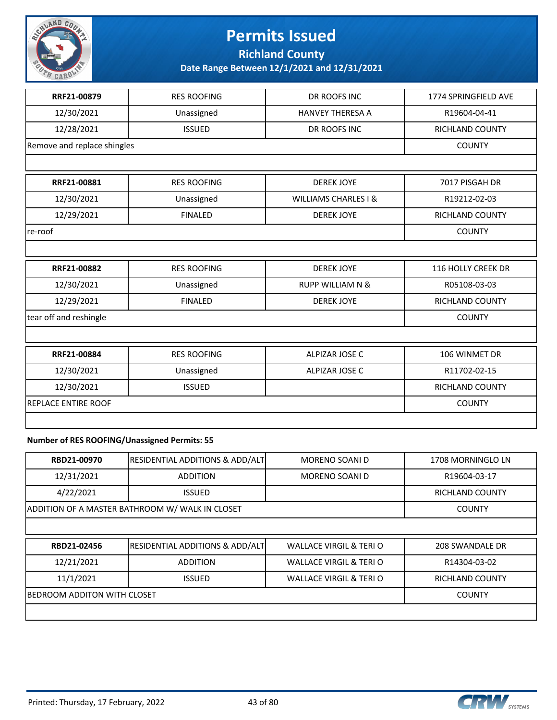

**Richland County**

**Date Range Between 12/1/2021 and 12/31/2021**

| RRF21-00879                 | <b>RES ROOFING</b> | DR ROOFS INC                    | 1774 SPRINGFIELD AVE   |
|-----------------------------|--------------------|---------------------------------|------------------------|
| 12/30/2021                  | Unassigned         | <b>HANVEY THERESA A</b>         | R19604-04-41           |
| 12/28/2021                  | <b>ISSUED</b>      | DR ROOFS INC                    | RICHLAND COUNTY        |
| Remove and replace shingles |                    |                                 | <b>COUNTY</b>          |
|                             |                    |                                 |                        |
| RRF21-00881                 | <b>RES ROOFING</b> | <b>DEREK JOYE</b>               | 7017 PISGAH DR         |
| 12/30/2021                  | Unassigned         | <b>WILLIAMS CHARLES I &amp;</b> | R19212-02-03           |
| 12/29/2021                  | <b>FINALED</b>     | <b>DEREK JOYE</b>               | RICHLAND COUNTY        |
| re-roof                     |                    |                                 | <b>COUNTY</b>          |
|                             |                    |                                 |                        |
| RRF21-00882                 | <b>RES ROOFING</b> | <b>DEREK JOYE</b>               | 116 HOLLY CREEK DR     |
| 12/30/2021                  | Unassigned         | <b>RUPP WILLIAM N &amp;</b>     | R05108-03-03           |
| 12/29/2021                  | <b>FINALED</b>     | <b>DEREK JOYE</b>               | RICHLAND COUNTY        |
| tear off and reshingle      |                    |                                 | <b>COUNTY</b>          |
|                             |                    |                                 |                        |
| RRF21-00884                 | <b>RES ROOFING</b> | <b>ALPIZAR JOSE C</b>           | 106 WINMET DR          |
| 12/30/2021                  | Unassigned         | ALPIZAR JOSE C                  | R11702-02-15           |
| 12/30/2021                  | <b>ISSUED</b>      |                                 | <b>RICHLAND COUNTY</b> |
| <b>REPLACE ENTIRE ROOF</b>  |                    |                                 | <b>COUNTY</b>          |
|                             |                    |                                 |                        |

### **Number of RES ROOFING/Unassigned Permits: 55**

| RBD21-00970                 | <b>RESIDENTIAL ADDITIONS &amp; ADD/ALT</b>      | <b>MORENO SOANI D</b>             | 1708 MORNINGLO LN |  |  |
|-----------------------------|-------------------------------------------------|-----------------------------------|-------------------|--|--|
| 12/31/2021                  | <b>ADDITION</b>                                 | <b>MORENO SOANI D</b>             | R19604-03-17      |  |  |
| 4/22/2021                   | <b>ISSUED</b>                                   |                                   | RICHLAND COUNTY   |  |  |
|                             | ADDITION OF A MASTER BATHROOM W/ WALK IN CLOSET |                                   |                   |  |  |
|                             |                                                 |                                   |                   |  |  |
| RBD21-02456                 | <b>RESIDENTIAL ADDITIONS &amp; ADD/ALT</b>      | WALLACE VIRGIL & TERI O           | 208 SWANDALE DR   |  |  |
| 12/21/2021                  | <b>ADDITION</b>                                 | <b>WALLACE VIRGIL &amp; TERIO</b> | R14304-03-02      |  |  |
| 11/1/2021                   | <b>ISSUED</b>                                   | <b>WALLACE VIRGIL &amp; TERIO</b> | RICHLAND COUNTY   |  |  |
| BEDROOM ADDITON WITH CLOSET |                                                 |                                   | <b>COUNTY</b>     |  |  |

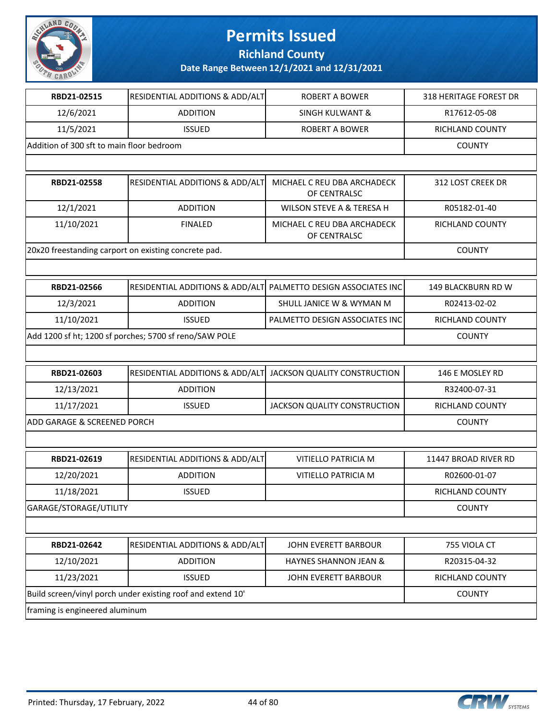

**Richland County**

| RBD21-02515                                            | RESIDENTIAL ADDITIONS & ADD/ALT                             | <b>ROBERT A BOWER</b>                       | 318 HERITAGE FOREST DR |
|--------------------------------------------------------|-------------------------------------------------------------|---------------------------------------------|------------------------|
| 12/6/2021                                              | <b>ADDITION</b>                                             | <b>SINGH KULWANT &amp;</b>                  | R17612-05-08           |
| 11/5/2021                                              | <b>ISSUED</b>                                               | <b>ROBERT A BOWER</b>                       | RICHLAND COUNTY        |
| Addition of 300 sft to main floor bedroom              |                                                             |                                             | <b>COUNTY</b>          |
|                                                        |                                                             |                                             |                        |
| RBD21-02558                                            | RESIDENTIAL ADDITIONS & ADD/ALT                             | MICHAEL C REU DBA ARCHADECK<br>OF CENTRALSC | 312 LOST CREEK DR      |
| 12/1/2021                                              | <b>ADDITION</b>                                             | WILSON STEVE A & TERESA H                   | R05182-01-40           |
| 11/10/2021                                             | <b>FINALED</b>                                              | MICHAEL C REU DBA ARCHADECK<br>OF CENTRALSC | RICHLAND COUNTY        |
|                                                        | 20x20 freestanding carport on existing concrete pad.        |                                             | <b>COUNTY</b>          |
|                                                        |                                                             |                                             |                        |
| RBD21-02566                                            | RESIDENTIAL ADDITIONS & ADD/ALT                             | PALMETTO DESIGN ASSOCIATES INC              | 149 BLACKBURN RD W     |
| 12/3/2021                                              | <b>ADDITION</b>                                             | SHULL JANICE W & WYMAN M                    | R02413-02-02           |
| 11/10/2021                                             | <b>ISSUED</b>                                               | PALMETTO DESIGN ASSOCIATES INC              | RICHLAND COUNTY        |
| Add 1200 sf ht; 1200 sf porches; 5700 sf reno/SAW POLE | <b>COUNTY</b>                                               |                                             |                        |
|                                                        |                                                             |                                             |                        |
| RBD21-02603                                            | RESIDENTIAL ADDITIONS & ADD/ALT                             | JACKSON QUALITY CONSTRUCTION                | 146 E MOSLEY RD        |
| 12/13/2021                                             | <b>ADDITION</b>                                             |                                             | R32400-07-31           |
| 11/17/2021                                             | <b>ISSUED</b>                                               | JACKSON QUALITY CONSTRUCTION                | RICHLAND COUNTY        |
| ADD GARAGE & SCREENED PORCH                            |                                                             |                                             | <b>COUNTY</b>          |
|                                                        |                                                             |                                             |                        |
| RBD21-02619                                            | RESIDENTIAL ADDITIONS & ADD/ALT                             | VITIELLO PATRICIA M                         | 11447 BROAD RIVER RD   |
| 12/20/2021                                             | <b>ADDITION</b>                                             | VITIELLO PATRICIA M                         | R02600-01-07           |
| 11/18/2021                                             | <b>ISSUED</b>                                               |                                             | RICHLAND COUNTY        |
| GARAGE/STORAGE/UTILITY                                 |                                                             | <b>COUNTY</b>                               |                        |
|                                                        |                                                             |                                             |                        |
| RBD21-02642                                            | RESIDENTIAL ADDITIONS & ADD/ALT                             | JOHN EVERETT BARBOUR                        | 755 VIOLA CT           |
| 12/10/2021                                             | <b>ADDITION</b>                                             | HAYNES SHANNON JEAN &                       | R20315-04-32           |
| 11/23/2021                                             | <b>ISSUED</b>                                               | JOHN EVERETT BARBOUR                        | RICHLAND COUNTY        |
|                                                        | Build screen/vinyl porch under existing roof and extend 10' |                                             | <b>COUNTY</b>          |
| framing is engineered aluminum                         |                                                             |                                             |                        |

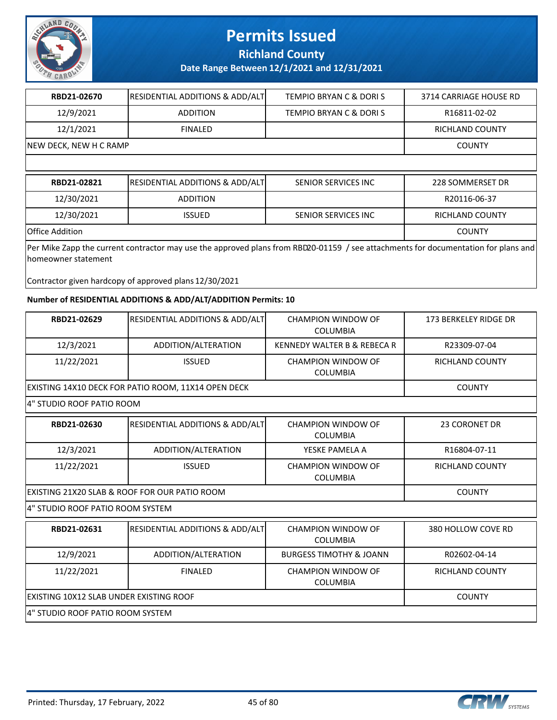

**Richland County**

**Date Range Between 12/1/2021 and 12/31/2021**

| RBD21-02670                                                                                                                                                | <b>RESIDENTIAL ADDITIONS &amp; ADD/ALT</b> | <b>TEMPIO BRYAN C &amp; DORI S</b> | 3714 CARRIAGE HOUSE RD |  |
|------------------------------------------------------------------------------------------------------------------------------------------------------------|--------------------------------------------|------------------------------------|------------------------|--|
| 12/9/2021                                                                                                                                                  | <b>ADDITION</b>                            | TEMPIO BRYAN C & DORIS             | R16811-02-02           |  |
| 12/1/2021                                                                                                                                                  | <b>FINALED</b>                             |                                    | <b>RICHLAND COUNTY</b> |  |
| NEW DECK, NEW H C RAMP                                                                                                                                     |                                            |                                    | <b>COUNTY</b>          |  |
|                                                                                                                                                            |                                            |                                    |                        |  |
| RBD21-02821                                                                                                                                                | <b>RESIDENTIAL ADDITIONS &amp; ADD/ALT</b> | SENIOR SERVICES INC                | 228 SOMMERSET DR       |  |
| 12/30/2021                                                                                                                                                 | <b>ADDITION</b>                            |                                    | R20116-06-37           |  |
| 12/30/2021                                                                                                                                                 | <b>ISSUED</b>                              | SENIOR SERVICES INC                | RICHLAND COUNTY        |  |
| Office Addition<br><b>COUNTY</b>                                                                                                                           |                                            |                                    |                        |  |
| Per Mike Zapp the current contractor may use the approved plans from RBD20-01159 / see attachments for documentation for plans and<br>Ihomeowner statement |                                            |                                    |                        |  |

Contractor given hardcopy of approved plans 12/30/2021

### **Number of RESIDENTIAL ADDITIONS & ADD/ALT/ADDITION Permits: 10**

| RBD21-02629                                   | RESIDENTIAL ADDITIONS & ADD/ALT                     | CHAMPION WINDOW OF<br><b>COLUMBIA</b>        | 173 BERKELEY RIDGE DR  |  |
|-----------------------------------------------|-----------------------------------------------------|----------------------------------------------|------------------------|--|
| 12/3/2021                                     | ADDITION/ALTERATION                                 | <b>KENNEDY WALTER B &amp; REBECA R</b>       | R23309-07-04           |  |
| 11/22/2021                                    | <b>ISSUED</b>                                       | CHAMPION WINDOW OF<br><b>COLUMBIA</b>        | <b>RICHLAND COUNTY</b> |  |
|                                               | EXISTING 14X10 DECK FOR PATIO ROOM, 11X14 OPEN DECK |                                              | <b>COUNTY</b>          |  |
| 4" STUDIO ROOF PATIO ROOM                     |                                                     |                                              |                        |  |
| RBD21-02630                                   | <b>RESIDENTIAL ADDITIONS &amp; ADD/ALT</b>          | <b>CHAMPION WINDOW OF</b><br><b>COLUMBIA</b> | <b>23 CORONET DR</b>   |  |
| 12/3/2021                                     | ADDITION/ALTERATION                                 | YESKE PAMELA A                               | R16804-07-11           |  |
| 11/22/2021                                    | <b>ISSUED</b>                                       | <b>CHAMPION WINDOW OF</b><br><b>COLUMBIA</b> | <b>RICHLAND COUNTY</b> |  |
| EXISTING 21X20 SLAB & ROOF FOR OUR PATIO ROOM | <b>COUNTY</b>                                       |                                              |                        |  |
| 4" STUDIO ROOF PATIO ROOM SYSTEM              |                                                     |                                              |                        |  |
| RBD21-02631                                   | <b>RESIDENTIAL ADDITIONS &amp; ADD/ALT</b>          | CHAMPION WINDOW OF<br><b>COLUMBIA</b>        | 380 HOLLOW COVE RD     |  |
| 12/9/2021                                     | ADDITION/ALTERATION                                 | <b>BURGESS TIMOTHY &amp; JOANN</b>           | R02602-04-14           |  |
| 11/22/2021                                    | <b>FINALED</b>                                      | CHAMPION WINDOW OF<br><b>COLUMBIA</b>        | <b>RICHLAND COUNTY</b> |  |
| EXISTING 10X12 SLAB UNDER EXISTING ROOF       | <b>COUNTY</b>                                       |                                              |                        |  |
|                                               | 4" STUDIO ROOF PATIO ROOM SYSTEM                    |                                              |                        |  |



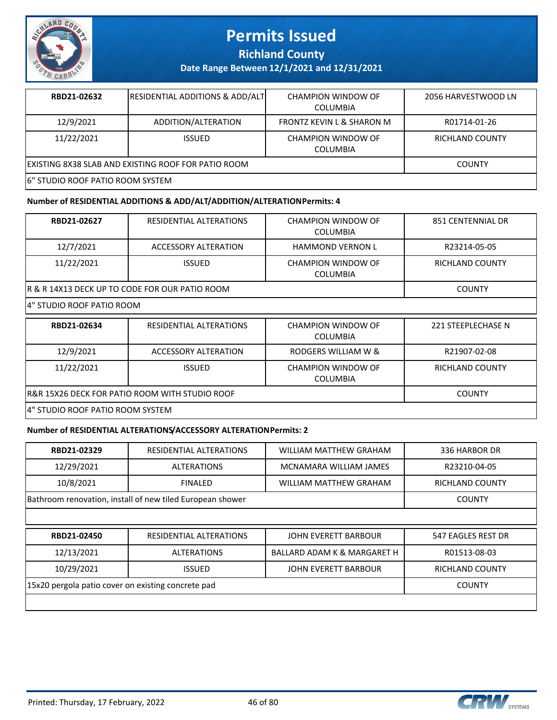

**Richland County**

**Date Range Between 12/1/2021 and 12/31/2021**

| RBD21-02632                                         | <b>RESIDENTIAL ADDITIONS &amp; ADD/ALT</b> | <b>CHAMPION WINDOW OF</b><br><b>COLUMBIA</b> | 2056 HARVESTWOOD LN    |
|-----------------------------------------------------|--------------------------------------------|----------------------------------------------|------------------------|
| 12/9/2021                                           | ADDITION/ALTERATION                        | FRONTZ KEVIN L & SHARON M                    | R01714-01-26           |
| 11/22/2021                                          | <b>ISSUED</b>                              | CHAMPION WINDOW OF<br><b>COLUMBIA</b>        | <b>RICHLAND COUNTY</b> |
| EXISTING 8X38 SLAB AND EXISTING ROOF FOR PATIO ROOM | <b>COUNTY</b>                              |                                              |                        |
| 6" STUDIO ROOF PATIO ROOM SYSTEM                    |                                            |                                              |                        |

#### **Number of RESIDENTIAL ADDITIONS & ADD/ALT/ADDITION/ALTERATION Permits: 4**

| RBD21-02627                                    | RESIDENTIAL ALTERATIONS | CHAMPION WINDOW OF<br><b>COLUMBIA</b> | 851 CENTENNIAL DR      |
|------------------------------------------------|-------------------------|---------------------------------------|------------------------|
|                                                |                         |                                       |                        |
| 12/7/2021                                      | ACCESSORY ALTERATION    | <b>HAMMOND VERNON L</b>               | R23214-05-05           |
| 11/22/2021                                     | <b>ISSUED</b>           | CHAMPION WINDOW OF<br><b>COLUMBIA</b> | <b>RICHLAND COUNTY</b> |
| R & R 14X13 DECK UP TO CODE FOR OUR PATIO ROOM |                         |                                       | <b>COUNTY</b>          |
| 4" STUDIO ROOF PATIO ROOM                      |                         |                                       |                        |
| RBD21-02634                                    | RESIDENTIAL ALTERATIONS | CHAMPION WINDOW OF<br><b>COLUMBIA</b> | 221 STEEPLECHASE N     |
| 12/9/2021                                      | ACCESSORY ALTERATION    | RODGERS WILLIAM W &                   | R21907-02-08           |
| 11/22/2021                                     | <b>ISSUED</b>           | CHAMPION WINDOW OF<br><b>COLUMBIA</b> | <b>RICHLAND COUNTY</b> |

R&R 15X26 DECK FOR PATIO ROOM WITH STUDIO ROOF THE COUNTY COUNTY COUNTY

4" STUDIO ROOF PATIO ROOM SYSTEM

#### **Number of RESIDENTIAL ALTERATIONS/ACCESSORY ALTERATION Permits: 2**

| RBD21-02329                                        | RESIDENTIAL ALTERATIONS                                   | WILLIAM MATTHEW GRAHAM                 | 336 HARBOR DR      |
|----------------------------------------------------|-----------------------------------------------------------|----------------------------------------|--------------------|
| 12/29/2021                                         | <b>ALTERATIONS</b>                                        | MCNAMARA WILLIAM JAMES                 | R23210-04-05       |
| 10/8/2021                                          | <b>FINALED</b>                                            | WILLIAM MATTHEW GRAHAM                 | RICHLAND COUNTY    |
|                                                    | Bathroom renovation, install of new tiled European shower |                                        | <b>COUNTY</b>      |
|                                                    |                                                           |                                        |                    |
| RBD21-02450                                        | RESIDENTIAL ALTERATIONS                                   | <b>JOHN EVERETT BARBOUR</b>            | 547 EAGLES REST DR |
|                                                    |                                                           |                                        |                    |
| 12/13/2021                                         | <b>ALTERATIONS</b>                                        | <b>BALLARD ADAM K &amp; MARGARET H</b> | R01513-08-03       |
| 10/29/2021                                         | <b>ISSUED</b>                                             | JOHN EVERETT BARBOUR                   | RICHLAND COUNTY    |
| 15x20 pergola patio cover on existing concrete pad |                                                           |                                        | <b>COUNTY</b>      |

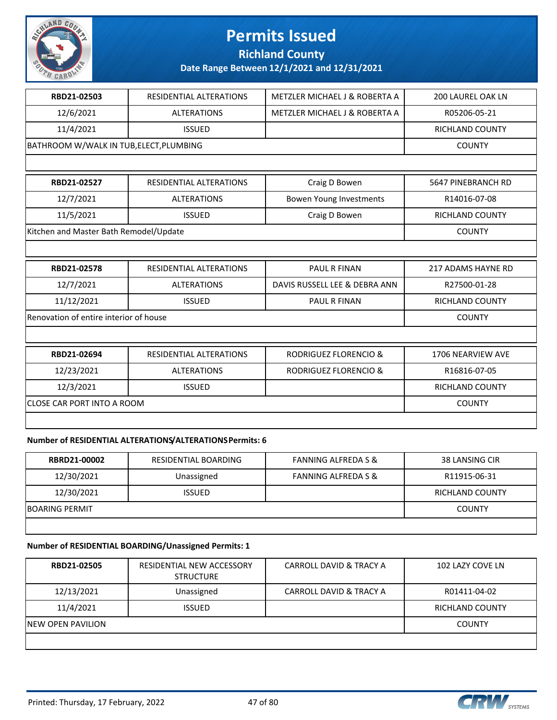

### **Richland County**

**Date Range Between 12/1/2021 and 12/31/2021**

| RBD21-02503                             | RESIDENTIAL ALTERATIONS        | METZLER MICHAEL J & ROBERTA A    | <b>200 LAUREL OAK LN</b>  |
|-----------------------------------------|--------------------------------|----------------------------------|---------------------------|
| 12/6/2021                               | <b>ALTERATIONS</b>             | METZLER MICHAEL J & ROBERTA A    | R05206-05-21              |
| 11/4/2021                               | <b>ISSUED</b>                  |                                  | RICHLAND COUNTY           |
| BATHROOM W/WALK IN TUB, ELECT, PLUMBING |                                |                                  | <b>COUNTY</b>             |
|                                         |                                |                                  |                           |
| RBD21-02527                             | <b>RESIDENTIAL ALTERATIONS</b> | Craig D Bowen                    | 5647 PINEBRANCH RD        |
| 12/7/2021                               | <b>ALTERATIONS</b>             | Bowen Young Investments          | R14016-07-08              |
| 11/5/2021                               | <b>ISSUED</b>                  | Craig D Bowen                    | <b>RICHLAND COUNTY</b>    |
| Kitchen and Master Bath Remodel/Update  |                                |                                  | <b>COUNTY</b>             |
|                                         |                                |                                  |                           |
|                                         |                                |                                  |                           |
| RBD21-02578                             | RESIDENTIAL ALTERATIONS        | PAUL R FINAN                     | <b>217 ADAMS HAYNE RD</b> |
| 12/7/2021                               | <b>ALTERATIONS</b>             | DAVIS RUSSELL LEE & DEBRA ANN    | R27500-01-28              |
| 11/12/2021                              | <b>ISSUED</b>                  | PAUL R FINAN                     | <b>RICHLAND COUNTY</b>    |
| Renovation of entire interior of house  |                                |                                  | <b>COUNTY</b>             |
|                                         |                                |                                  |                           |
| RBD21-02694                             | <b>RESIDENTIAL ALTERATIONS</b> | <b>RODRIGUEZ FLORENCIO &amp;</b> | 1706 NEARVIEW AVE         |
| 12/23/2021                              | <b>ALTERATIONS</b>             | <b>RODRIGUEZ FLORENCIO &amp;</b> | R16816-07-05              |
| 12/3/2021                               | <b>ISSUED</b>                  |                                  | <b>RICHLAND COUNTY</b>    |
| <b>CLOSE CAR PORT INTO A ROOM</b>       |                                |                                  | <b>COUNTY</b>             |
|                                         |                                |                                  |                           |

### **Number of RESIDENTIAL ALTERATIONS/ALTERATIONS Permits: 6**

| <b>RBRD21-00002</b>   | RESIDENTIAL BOARDING | <b>FANNING ALFREDA S &amp;</b> | 38 LANSING CIR  |
|-----------------------|----------------------|--------------------------------|-----------------|
| 12/30/2021            | Unassigned           | <b>FANNING ALFREDA S &amp;</b> | R11915-06-31    |
| 12/30/2021            | <b>ISSUED</b>        |                                | RICHLAND COUNTY |
| <b>BOARING PERMIT</b> |                      |                                | <b>COUNTY</b>   |
|                       |                      |                                |                 |

### **Number of RESIDENTIAL BOARDING/Unassigned Permits: 1**

| <b>RBD21-02505</b>        | RESIDENTIAL NEW ACCESSORY<br><b>STRUCTURE</b> | CARROLL DAVID & TRACY A | 102 LAZY COVE LN       |
|---------------------------|-----------------------------------------------|-------------------------|------------------------|
| 12/13/2021                | Unassigned                                    | CARROLL DAVID & TRACY A | R01411-04-02           |
| 11/4/2021                 | <b>ISSUED</b>                                 |                         | <b>RICHLAND COUNTY</b> |
| <b>INEW OPEN PAVILION</b> |                                               |                         | <b>COUNTY</b>          |
|                           |                                               |                         |                        |

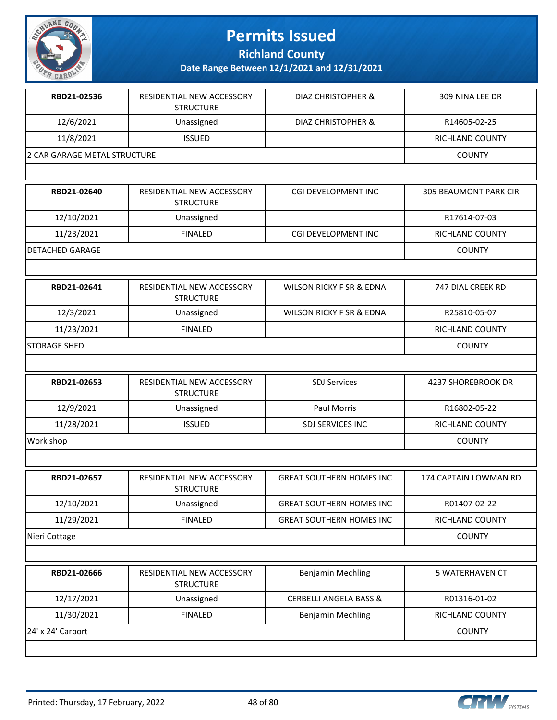

**Richland County**

| RBD21-02536                  | RESIDENTIAL NEW ACCESSORY<br><b>STRUCTURE</b> | DIAZ CHRISTOPHER &                  | 309 NINA LEE DR              |
|------------------------------|-----------------------------------------------|-------------------------------------|------------------------------|
| 12/6/2021                    | Unassigned                                    | DIAZ CHRISTOPHER &                  | R14605-02-25                 |
| 11/8/2021                    | <b>ISSUED</b>                                 |                                     | RICHLAND COUNTY              |
| 2 CAR GARAGE METAL STRUCTURE |                                               |                                     | <b>COUNTY</b>                |
|                              |                                               |                                     |                              |
| RBD21-02640                  | RESIDENTIAL NEW ACCESSORY<br><b>STRUCTURE</b> | CGI DEVELOPMENT INC                 | <b>305 BEAUMONT PARK CIR</b> |
| 12/10/2021                   | Unassigned                                    |                                     | R17614-07-03                 |
| 11/23/2021                   | <b>FINALED</b>                                | CGI DEVELOPMENT INC                 | RICHLAND COUNTY              |
| <b>DETACHED GARAGE</b>       |                                               |                                     | <b>COUNTY</b>                |
|                              |                                               |                                     |                              |
| RBD21-02641                  | RESIDENTIAL NEW ACCESSORY<br><b>STRUCTURE</b> | <b>WILSON RICKY F SR &amp; EDNA</b> | 747 DIAL CREEK RD            |
| 12/3/2021                    | Unassigned                                    | <b>WILSON RICKY F SR &amp; EDNA</b> | R25810-05-07                 |
| 11/23/2021                   | <b>FINALED</b>                                |                                     | RICHLAND COUNTY              |
| <b>STORAGE SHED</b>          |                                               |                                     | <b>COUNTY</b>                |
|                              |                                               |                                     |                              |
| RBD21-02653                  | RESIDENTIAL NEW ACCESSORY<br><b>STRUCTURE</b> | <b>SDJ Services</b>                 | <b>4237 SHOREBROOK DR</b>    |
| 12/9/2021                    | Unassigned                                    | Paul Morris                         | R16802-05-22                 |
| 11/28/2021                   | <b>ISSUED</b>                                 | SDJ SERVICES INC                    | RICHLAND COUNTY              |
| Work shop                    |                                               |                                     | <b>COUNTY</b>                |
|                              |                                               |                                     |                              |
| RBD21-02657                  | RESIDENTIAL NEW ACCESSORY<br><b>STRUCTURE</b> | <b>GREAT SOUTHERN HOMES INC</b>     | 174 CAPTAIN LOWMAN RD        |
| 12/10/2021                   | Unassigned                                    | <b>GREAT SOUTHERN HOMES INC</b>     | R01407-02-22                 |
| 11/29/2021                   | <b>FINALED</b>                                | <b>GREAT SOUTHERN HOMES INC</b>     | RICHLAND COUNTY              |
| Nieri Cottage                |                                               |                                     | <b>COUNTY</b>                |
|                              |                                               |                                     |                              |
| RBD21-02666                  | RESIDENTIAL NEW ACCESSORY<br><b>STRUCTURE</b> | <b>Benjamin Mechling</b>            | 5 WATERHAVEN CT              |
| 12/17/2021                   | Unassigned                                    | <b>CERBELLI ANGELA BASS &amp;</b>   | R01316-01-02                 |
| 11/30/2021                   | <b>FINALED</b>                                | <b>Benjamin Mechling</b>            | RICHLAND COUNTY              |
| 24' x 24' Carport            |                                               |                                     | <b>COUNTY</b>                |
|                              |                                               |                                     |                              |

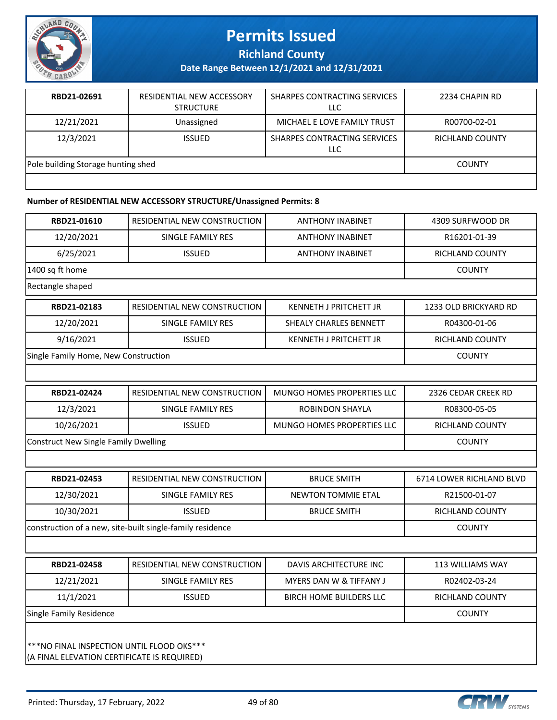

**Richland County**

**Date Range Between 12/1/2021 and 12/31/2021**

| RBD21-02691                        | RESIDENTIAL NEW ACCESSORY<br><b>STRUCTURE</b> | SHARPES CONTRACTING SERVICES<br>LLC | 2234 CHAPIN RD  |
|------------------------------------|-----------------------------------------------|-------------------------------------|-----------------|
| 12/21/2021                         | Unassigned                                    | MICHAEL E LOVE FAMILY TRUST         | R00700-02-01    |
| 12/3/2021                          | <b>ISSUED</b>                                 | SHARPES CONTRACTING SERVICES<br>LLC | RICHLAND COUNTY |
| Pole building Storage hunting shed |                                               |                                     | <b>COUNTY</b>   |
|                                    |                                               |                                     |                 |

#### **Number of RESIDENTIAL NEW ACCESSORY STRUCTURE/Unassigned Permits: 8**

| RBD21-01610                                 | RESIDENTIAL NEW CONSTRUCTION                              | <b>ANTHONY INABINET</b>            | 4309 SURFWOOD DR         |
|---------------------------------------------|-----------------------------------------------------------|------------------------------------|--------------------------|
| 12/20/2021                                  | SINGLE FAMILY RES                                         | <b>ANTHONY INABINET</b>            | R16201-01-39             |
| 6/25/2021                                   | <b>ISSUED</b>                                             | <b>ANTHONY INABINET</b>            | RICHLAND COUNTY          |
| 1400 sq ft home                             |                                                           |                                    | <b>COUNTY</b>            |
| Rectangle shaped                            |                                                           |                                    |                          |
| RBD21-02183                                 | RESIDENTIAL NEW CONSTRUCTION                              | <b>KENNETH J PRITCHETT JR</b>      | 1233 OLD BRICKYARD RD    |
| 12/20/2021                                  | SINGLE FAMILY RES                                         | SHEALY CHARLES BENNETT             | R04300-01-06             |
| 9/16/2021                                   | <b>ISSUED</b>                                             | <b>KENNETH J PRITCHETT JR</b>      | RICHLAND COUNTY          |
| Single Family Home, New Construction        |                                                           |                                    | <b>COUNTY</b>            |
|                                             |                                                           |                                    |                          |
| RBD21-02424                                 | RESIDENTIAL NEW CONSTRUCTION                              | <b>MUNGO HOMES PROPERTIES LLC</b>  | 2326 CEDAR CREEK RD      |
| 12/3/2021                                   | SINGLE FAMILY RES                                         | ROBINDON SHAYLA                    | R08300-05-05             |
| 10/26/2021                                  | <b>ISSUED</b>                                             | MUNGO HOMES PROPERTIES LLC         | RICHLAND COUNTY          |
| <b>Construct New Single Family Dwelling</b> | <b>COUNTY</b>                                             |                                    |                          |
|                                             |                                                           |                                    |                          |
| RBD21-02453                                 | <b>RESIDENTIAL NEW CONSTRUCTION</b>                       | <b>BRUCE SMITH</b>                 | 6714 LOWER RICHLAND BLVD |
| 12/30/2021                                  | <b>SINGLE FAMILY RES</b>                                  | <b>NEWTON TOMMIE ETAL</b>          | R21500-01-07             |
| 10/30/2021                                  | <b>ISSUED</b>                                             | <b>BRUCE SMITH</b>                 | RICHLAND COUNTY          |
|                                             | construction of a new, site-built single-family residence |                                    | <b>COUNTY</b>            |
|                                             |                                                           |                                    |                          |
| RBD21-02458                                 | RESIDENTIAL NEW CONSTRUCTION                              | <b>DAVIS ARCHITECTURE INC</b>      | <b>113 WILLIAMS WAY</b>  |
| 12/21/2021                                  | <b>SINGLE FAMILY RES</b>                                  | <b>MYERS DAN W &amp; TIFFANY J</b> | R02402-03-24             |
| 11/1/2021                                   | <b>ISSUED</b>                                             | <b>BIRCH HOME BUILDERS LLC</b>     | RICHLAND COUNTY          |
| <b>Single Family Residence</b>              |                                                           |                                    | COUNTY                   |
|                                             |                                                           |                                    |                          |
| *** NO FINAL INSPECTION UNTIL FLOOD OKS***  |                                                           |                                    |                          |
| (A FINAL ELEVATION CERTIFICATE IS REQUIRED) |                                                           |                                    |                          |

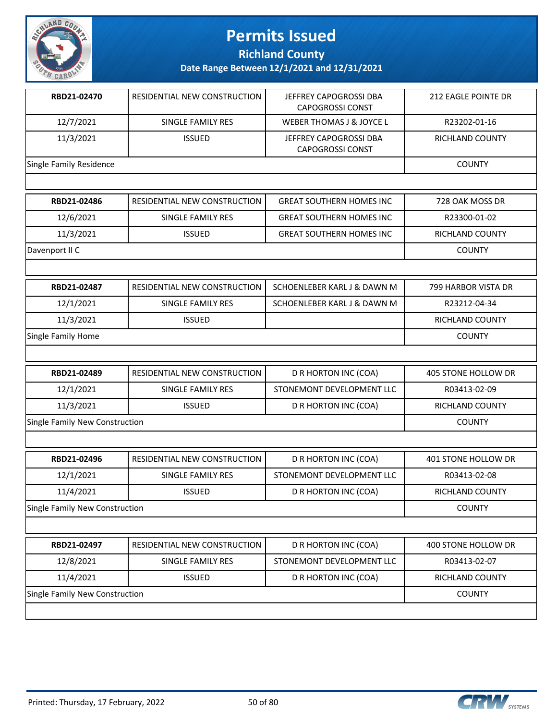

**Richland County**

| RBD21-02470                    | RESIDENTIAL NEW CONSTRUCTION | JEFFREY CAPOGROSSI DBA<br><b>CAPOGROSSI CONST</b> | 212 EAGLE POINTE DR |
|--------------------------------|------------------------------|---------------------------------------------------|---------------------|
| 12/7/2021                      | SINGLE FAMILY RES            | WEBER THOMAS J & JOYCE L                          | R23202-01-16        |
| 11/3/2021                      | <b>ISSUED</b>                | JEFFREY CAPOGROSSI DBA<br><b>CAPOGROSSI CONST</b> | RICHLAND COUNTY     |
| Single Family Residence        |                              |                                                   | <b>COUNTY</b>       |
|                                |                              |                                                   |                     |
| RBD21-02486                    | RESIDENTIAL NEW CONSTRUCTION | <b>GREAT SOUTHERN HOMES INC</b>                   | 728 OAK MOSS DR     |
| 12/6/2021                      | SINGLE FAMILY RES            | <b>GREAT SOUTHERN HOMES INC.</b>                  | R23300-01-02        |
| 11/3/2021                      | <b>ISSUED</b>                | <b>GREAT SOUTHERN HOMES INC</b>                   | RICHLAND COUNTY     |
| Davenport II C                 |                              |                                                   | COUNTY              |
|                                |                              |                                                   |                     |
| RBD21-02487                    | RESIDENTIAL NEW CONSTRUCTION | SCHOENLEBER KARL J & DAWN M                       | 799 HARBOR VISTA DR |
| 12/1/2021                      | SINGLE FAMILY RES            | SCHOENLEBER KARL J & DAWN M                       | R23212-04-34        |
| 11/3/2021                      | <b>ISSUED</b>                |                                                   | RICHLAND COUNTY     |
| Single Family Home             |                              |                                                   | <b>COUNTY</b>       |
|                                |                              |                                                   |                     |
| RBD21-02489                    | RESIDENTIAL NEW CONSTRUCTION | D R HORTON INC (COA)                              | 405 STONE HOLLOW DR |
| 12/1/2021                      | SINGLE FAMILY RES            | STONEMONT DEVELOPMENT LLC                         | R03413-02-09        |
| 11/3/2021                      | <b>ISSUED</b>                | D R HORTON INC (COA)                              | RICHLAND COUNTY     |
| Single Family New Construction |                              |                                                   | <b>COUNTY</b>       |
|                                |                              |                                                   |                     |
| RBD21-02496                    | RESIDENTIAL NEW CONSTRUCTION | D R HORTON INC (COA)                              | 401 STONE HOLLOW DR |
| 12/1/2021                      | SINGLE FAMILY RES            | STONEMONT DEVELOPMENT LLC                         | R03413-02-08        |
| 11/4/2021                      | <b>ISSUED</b>                | D R HORTON INC (COA)                              | RICHLAND COUNTY     |
| Single Family New Construction |                              |                                                   | <b>COUNTY</b>       |
|                                |                              |                                                   |                     |
| RBD21-02497                    | RESIDENTIAL NEW CONSTRUCTION | D R HORTON INC (COA)                              | 400 STONE HOLLOW DR |
| 12/8/2021                      | <b>SINGLE FAMILY RES</b>     | STONEMONT DEVELOPMENT LLC                         | R03413-02-07        |
| 11/4/2021                      | <b>ISSUED</b>                | D R HORTON INC (COA)                              | RICHLAND COUNTY     |
| Single Family New Construction |                              |                                                   | <b>COUNTY</b>       |

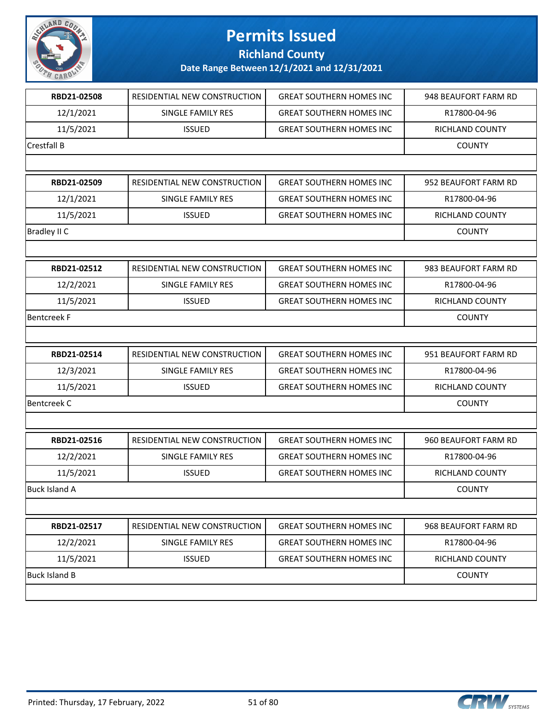

**Richland County**

| RBD21-02508          | RESIDENTIAL NEW CONSTRUCTION | <b>GREAT SOUTHERN HOMES INC</b> | 948 BEAUFORT FARM RD   |
|----------------------|------------------------------|---------------------------------|------------------------|
| 12/1/2021            | SINGLE FAMILY RES            | <b>GREAT SOUTHERN HOMES INC</b> | R17800-04-96           |
| 11/5/2021            | <b>ISSUED</b>                | <b>GREAT SOUTHERN HOMES INC</b> | RICHLAND COUNTY        |
| Crestfall B          |                              |                                 | <b>COUNTY</b>          |
|                      |                              |                                 |                        |
| RBD21-02509          | RESIDENTIAL NEW CONSTRUCTION | <b>GREAT SOUTHERN HOMES INC</b> | 952 BEAUFORT FARM RD   |
| 12/1/2021            | <b>SINGLE FAMILY RES</b>     | <b>GREAT SOUTHERN HOMES INC</b> | R17800-04-96           |
| 11/5/2021            | <b>ISSUED</b>                | <b>GREAT SOUTHERN HOMES INC</b> | RICHLAND COUNTY        |
| Bradley II C         |                              |                                 | <b>COUNTY</b>          |
|                      |                              |                                 |                        |
| RBD21-02512          | RESIDENTIAL NEW CONSTRUCTION | <b>GREAT SOUTHERN HOMES INC</b> | 983 BEAUFORT FARM RD   |
| 12/2/2021            | SINGLE FAMILY RES            | <b>GREAT SOUTHERN HOMES INC</b> | R17800-04-96           |
| 11/5/2021            | <b>ISSUED</b>                | <b>GREAT SOUTHERN HOMES INC</b> | <b>RICHLAND COUNTY</b> |
| Bentcreek F          |                              |                                 | <b>COUNTY</b>          |
|                      |                              |                                 |                        |
| RBD21-02514          | RESIDENTIAL NEW CONSTRUCTION | <b>GREAT SOUTHERN HOMES INC</b> | 951 BEAUFORT FARM RD   |
| 12/3/2021            | SINGLE FAMILY RES            | <b>GREAT SOUTHERN HOMES INC</b> | R17800-04-96           |
| 11/5/2021            | <b>ISSUED</b>                | <b>GREAT SOUTHERN HOMES INC</b> | RICHLAND COUNTY        |
| <b>Bentcreek C</b>   |                              |                                 | <b>COUNTY</b>          |
|                      |                              |                                 |                        |
| RBD21-02516          | RESIDENTIAL NEW CONSTRUCTION | <b>GREAT SOUTHERN HOMES INC</b> | 960 BEAUFORT FARM RD   |
| 12/2/2021            | <b>SINGLE FAMILY RES</b>     | <b>GREAT SOUTHERN HOMES INC</b> | R17800-04-96           |
| 11/5/2021            | <b>ISSUED</b>                | <b>GREAT SOUTHERN HOMES INC</b> | RICHLAND COUNTY        |
| Buck Island A        |                              |                                 | <b>COUNTY</b>          |
|                      |                              |                                 |                        |
| RBD21-02517          | RESIDENTIAL NEW CONSTRUCTION | <b>GREAT SOUTHERN HOMES INC</b> | 968 BEAUFORT FARM RD   |
| 12/2/2021            | SINGLE FAMILY RES            | <b>GREAT SOUTHERN HOMES INC</b> | R17800-04-96           |
| 11/5/2021            | <b>ISSUED</b>                | <b>GREAT SOUTHERN HOMES INC</b> | <b>RICHLAND COUNTY</b> |
| <b>Buck Island B</b> |                              |                                 | <b>COUNTY</b>          |
|                      |                              |                                 |                        |
|                      |                              |                                 |                        |

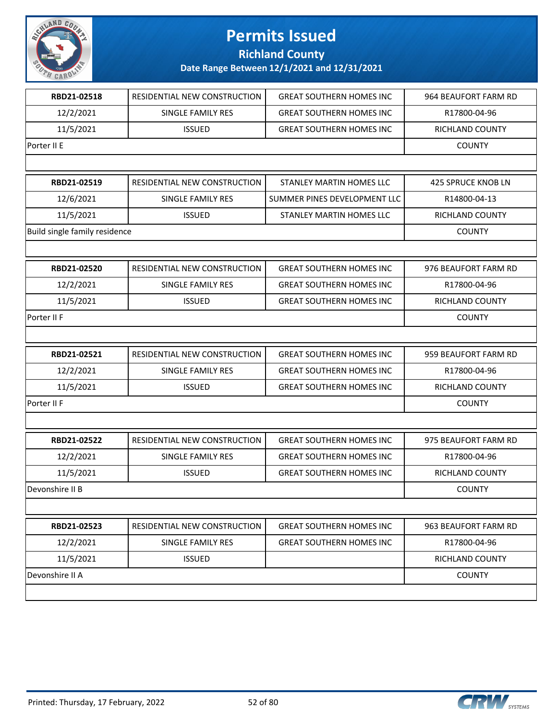

**Richland County**

| RBD21-02518                   | RESIDENTIAL NEW CONSTRUCTION | <b>GREAT SOUTHERN HOMES INC</b> | 964 BEAUFORT FARM RD      |
|-------------------------------|------------------------------|---------------------------------|---------------------------|
| 12/2/2021                     | SINGLE FAMILY RES            | <b>GREAT SOUTHERN HOMES INC</b> | R17800-04-96              |
| 11/5/2021                     | <b>ISSUED</b>                | <b>GREAT SOUTHERN HOMES INC</b> | RICHLAND COUNTY           |
| Porter II E                   |                              |                                 | <b>COUNTY</b>             |
|                               |                              |                                 |                           |
| RBD21-02519                   | RESIDENTIAL NEW CONSTRUCTION | <b>STANLEY MARTIN HOMES LLC</b> | <b>425 SPRUCE KNOB LN</b> |
| 12/6/2021                     | SINGLE FAMILY RES            | SUMMER PINES DEVELOPMENT LLC    | R14800-04-13              |
| 11/5/2021                     | <b>ISSUED</b>                | STANLEY MARTIN HOMES LLC        | RICHLAND COUNTY           |
| Build single family residence |                              |                                 | <b>COUNTY</b>             |
|                               |                              |                                 |                           |
| RBD21-02520                   | RESIDENTIAL NEW CONSTRUCTION | <b>GREAT SOUTHERN HOMES INC</b> | 976 BEAUFORT FARM RD      |
| 12/2/2021                     | <b>SINGLE FAMILY RES</b>     | <b>GREAT SOUTHERN HOMES INC</b> | R17800-04-96              |
| 11/5/2021                     | <b>ISSUED</b>                | <b>GREAT SOUTHERN HOMES INC</b> | RICHLAND COUNTY           |
| Porter II F                   |                              |                                 | <b>COUNTY</b>             |
|                               |                              |                                 |                           |
| RBD21-02521                   | RESIDENTIAL NEW CONSTRUCTION | <b>GREAT SOUTHERN HOMES INC</b> | 959 BEAUFORT FARM RD      |
| 12/2/2021                     | SINGLE FAMILY RES            | <b>GREAT SOUTHERN HOMES INC</b> | R17800-04-96              |
| 11/5/2021                     | <b>ISSUED</b>                | <b>GREAT SOUTHERN HOMES INC</b> | RICHLAND COUNTY           |
| Porter II F                   |                              |                                 | <b>COUNTY</b>             |
|                               |                              |                                 |                           |
| RBD21-02522                   | RESIDENTIAL NEW CONSTRUCTION | <b>GREAT SOUTHERN HOMES INC</b> | 975 BEAUFORT FARM RD      |
| 12/2/2021                     | SINGLE FAMILY RES            | <b>GREAT SOUTHERN HOMES INC</b> | R17800-04-96              |
| 11/5/2021                     | <b>ISSUED</b>                | <b>GREAT SOUTHERN HOMES INC</b> | RICHLAND COUNTY           |
| Devonshire II B               |                              |                                 | <b>COUNTY</b>             |
|                               |                              |                                 |                           |
| RBD21-02523                   | RESIDENTIAL NEW CONSTRUCTION | <b>GREAT SOUTHERN HOMES INC</b> | 963 BEAUFORT FARM RD      |
| 12/2/2021                     | <b>SINGLE FAMILY RES</b>     | <b>GREAT SOUTHERN HOMES INC</b> | R17800-04-96              |
| 11/5/2021                     | <b>ISSUED</b>                |                                 | RICHLAND COUNTY           |
| Devonshire II A               |                              |                                 | <b>COUNTY</b>             |
|                               |                              |                                 |                           |

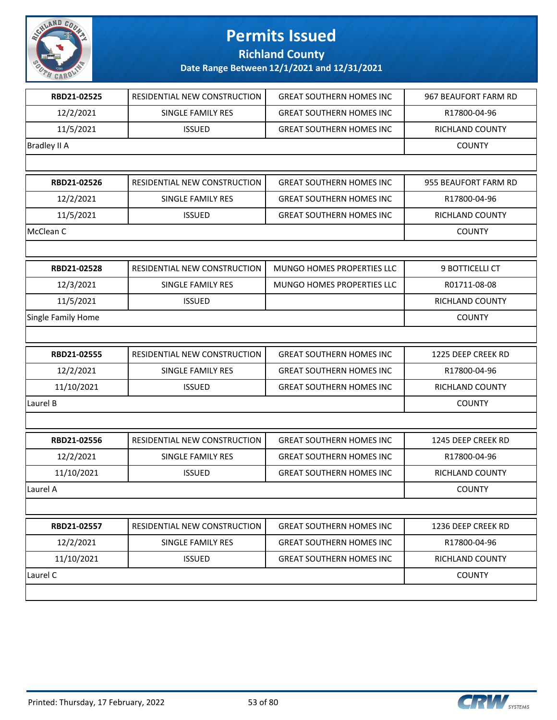

### **Richland County**

| RBD21-02525         | RESIDENTIAL NEW CONSTRUCTION | <b>GREAT SOUTHERN HOMES INC</b> | 967 BEAUFORT FARM RD   |
|---------------------|------------------------------|---------------------------------|------------------------|
| 12/2/2021           | <b>SINGLE FAMILY RES</b>     | <b>GREAT SOUTHERN HOMES INC</b> | R17800-04-96           |
| 11/5/2021           | <b>ISSUED</b>                | <b>GREAT SOUTHERN HOMES INC</b> | RICHLAND COUNTY        |
| <b>Bradley II A</b> |                              |                                 | <b>COUNTY</b>          |
|                     |                              |                                 |                        |
| RBD21-02526         | RESIDENTIAL NEW CONSTRUCTION | <b>GREAT SOUTHERN HOMES INC</b> | 955 BEAUFORT FARM RD   |
| 12/2/2021           | <b>SINGLE FAMILY RES</b>     | <b>GREAT SOUTHERN HOMES INC</b> | R17800-04-96           |
| 11/5/2021           | <b>ISSUED</b>                | <b>GREAT SOUTHERN HOMES INC</b> | RICHLAND COUNTY        |
| McClean C           |                              |                                 | <b>COUNTY</b>          |
|                     |                              |                                 |                        |
| RBD21-02528         | RESIDENTIAL NEW CONSTRUCTION | MUNGO HOMES PROPERTIES LLC      | 9 BOTTICELLI CT        |
| 12/3/2021           | <b>SINGLE FAMILY RES</b>     | MUNGO HOMES PROPERTIES LLC      | R01711-08-08           |
| 11/5/2021           | <b>ISSUED</b>                |                                 | RICHLAND COUNTY        |
| Single Family Home  |                              |                                 | <b>COUNTY</b>          |
|                     |                              |                                 |                        |
| RBD21-02555         | RESIDENTIAL NEW CONSTRUCTION | <b>GREAT SOUTHERN HOMES INC</b> | 1225 DEEP CREEK RD     |
| 12/2/2021           | SINGLE FAMILY RES            | <b>GREAT SOUTHERN HOMES INC</b> | R17800-04-96           |
| 11/10/2021          | <b>ISSUED</b>                | <b>GREAT SOUTHERN HOMES INC</b> | RICHLAND COUNTY        |
| Laurel B            |                              |                                 | <b>COUNTY</b>          |
|                     |                              |                                 |                        |
| RBD21-02556         | RESIDENTIAL NEW CONSTRUCTION | <b>GREAT SOUTHERN HOMES INC</b> | 1245 DEEP CREEK RD     |
| 12/2/2021           | <b>SINGLE FAMILY RES</b>     | <b>GREAT SOUTHERN HOMES INC</b> | R17800-04-96           |
| 11/10/2021          | <b>ISSUED</b>                | <b>GREAT SOUTHERN HOMES INC</b> | <b>RICHLAND COUNTY</b> |
| Laurel A            |                              |                                 | <b>COUNTY</b>          |
|                     |                              |                                 |                        |
| RBD21-02557         | RESIDENTIAL NEW CONSTRUCTION | <b>GREAT SOUTHERN HOMES INC</b> | 1236 DEEP CREEK RD     |
| 12/2/2021           | SINGLE FAMILY RES            | <b>GREAT SOUTHERN HOMES INC</b> | R17800-04-96           |
| 11/10/2021          | <b>ISSUED</b>                | <b>GREAT SOUTHERN HOMES INC</b> | RICHLAND COUNTY        |
| Laurel C            |                              |                                 | <b>COUNTY</b>          |
|                     |                              |                                 |                        |

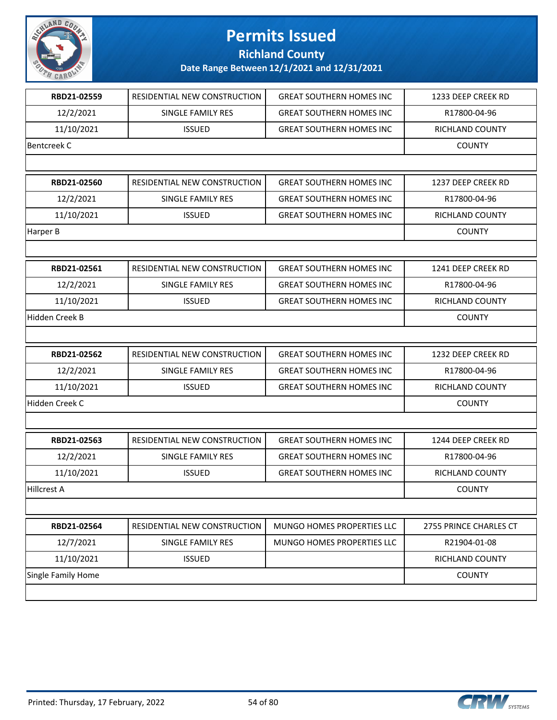

**Richland County**

| RBD21-02559        | RESIDENTIAL NEW CONSTRUCTION        | <b>GREAT SOUTHERN HOMES INC</b> | 1233 DEEP CREEK RD     |
|--------------------|-------------------------------------|---------------------------------|------------------------|
| 12/2/2021          | <b>SINGLE FAMILY RES</b>            | <b>GREAT SOUTHERN HOMES INC</b> | R17800-04-96           |
| 11/10/2021         | <b>ISSUED</b>                       | <b>GREAT SOUTHERN HOMES INC</b> | RICHLAND COUNTY        |
| <b>Bentcreek C</b> |                                     |                                 | <b>COUNTY</b>          |
|                    |                                     |                                 |                        |
| RBD21-02560        | RESIDENTIAL NEW CONSTRUCTION        | <b>GREAT SOUTHERN HOMES INC</b> | 1237 DEEP CREEK RD     |
| 12/2/2021          | SINGLE FAMILY RES                   | <b>GREAT SOUTHERN HOMES INC</b> | R17800-04-96           |
| 11/10/2021         | <b>ISSUED</b>                       | <b>GREAT SOUTHERN HOMES INC</b> | RICHLAND COUNTY        |
| Harper B           |                                     |                                 | <b>COUNTY</b>          |
|                    |                                     |                                 |                        |
| RBD21-02561        | RESIDENTIAL NEW CONSTRUCTION        | <b>GREAT SOUTHERN HOMES INC</b> | 1241 DEEP CREEK RD     |
| 12/2/2021          | SINGLE FAMILY RES                   | <b>GREAT SOUTHERN HOMES INC</b> | R17800-04-96           |
| 11/10/2021         | <b>ISSUED</b>                       | <b>GREAT SOUTHERN HOMES INC</b> | RICHLAND COUNTY        |
| Hidden Creek B     |                                     |                                 | <b>COUNTY</b>          |
|                    |                                     |                                 |                        |
| RBD21-02562        | RESIDENTIAL NEW CONSTRUCTION        | <b>GREAT SOUTHERN HOMES INC</b> | 1232 DEEP CREEK RD     |
| 12/2/2021          | SINGLE FAMILY RES                   | <b>GREAT SOUTHERN HOMES INC</b> | R17800-04-96           |
| 11/10/2021         | <b>ISSUED</b>                       | <b>GREAT SOUTHERN HOMES INC</b> | RICHLAND COUNTY        |
| Hidden Creek C     |                                     |                                 | <b>COUNTY</b>          |
|                    |                                     |                                 |                        |
| RBD21-02563        | <b>RESIDENTIAL NEW CONSTRUCTION</b> | <b>GREAT SOUTHERN HOMES INC</b> | 1244 DEEP CREEK RD     |
| 12/2/2021          | SINGLE FAMILY RES                   | <b>GREAT SOUTHERN HOMES INC</b> | R17800-04-96           |
| 11/10/2021         | <b>ISSUED</b>                       | <b>GREAT SOUTHERN HOMES INC</b> | RICHLAND COUNTY        |
| Hillcrest A        |                                     |                                 | <b>COUNTY</b>          |
|                    |                                     |                                 |                        |
| RBD21-02564        | RESIDENTIAL NEW CONSTRUCTION        | MUNGO HOMES PROPERTIES LLC      | 2755 PRINCE CHARLES CT |
| 12/7/2021          | SINGLE FAMILY RES                   | MUNGO HOMES PROPERTIES LLC      | R21904-01-08           |
| 11/10/2021         | <b>ISSUED</b>                       |                                 | RICHLAND COUNTY        |
| Single Family Home |                                     |                                 | <b>COUNTY</b>          |
|                    |                                     |                                 |                        |
|                    |                                     |                                 |                        |

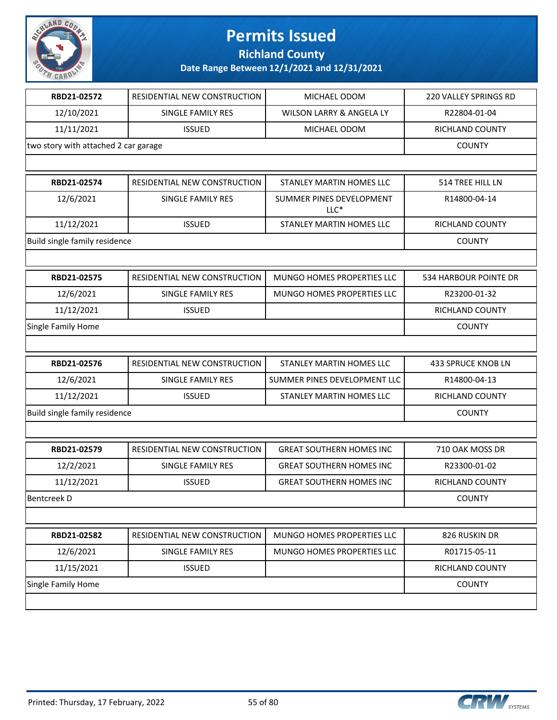

**Richland County**

| RBD21-02572                          | RESIDENTIAL NEW CONSTRUCTION | MICHAEL ODOM                       | 220 VALLEY SPRINGS RD |
|--------------------------------------|------------------------------|------------------------------------|-----------------------|
| 12/10/2021                           | SINGLE FAMILY RES            | WILSON LARRY & ANGELA LY           | R22804-01-04          |
| 11/11/2021                           | <b>ISSUED</b>                | MICHAEL ODOM                       | RICHLAND COUNTY       |
| two story with attached 2 car garage |                              |                                    | <b>COUNTY</b>         |
|                                      |                              |                                    |                       |
| RBD21-02574                          | RESIDENTIAL NEW CONSTRUCTION | <b>STANLEY MARTIN HOMES LLC</b>    | 514 TREE HILL LN      |
| 12/6/2021                            | <b>SINGLE FAMILY RES</b>     | SUMMER PINES DEVELOPMENT<br>$LLC*$ | R14800-04-14          |
| 11/12/2021                           | <b>ISSUED</b>                | STANLEY MARTIN HOMES LLC           | RICHLAND COUNTY       |
| Build single family residence        |                              |                                    | <b>COUNTY</b>         |
|                                      |                              |                                    |                       |
| RBD21-02575                          | RESIDENTIAL NEW CONSTRUCTION | MUNGO HOMES PROPERTIES LLC         | 534 HARBOUR POINTE DR |
| 12/6/2021                            | SINGLE FAMILY RES            | MUNGO HOMES PROPERTIES LLC         | R23200-01-32          |
| 11/12/2021                           | <b>ISSUED</b>                |                                    | RICHLAND COUNTY       |
| Single Family Home                   |                              |                                    | <b>COUNTY</b>         |
|                                      |                              |                                    |                       |
| RBD21-02576                          | RESIDENTIAL NEW CONSTRUCTION | STANLEY MARTIN HOMES LLC           | 433 SPRUCE KNOB LN    |
| 12/6/2021                            | SINGLE FAMILY RES            | SUMMER PINES DEVELOPMENT LLC       | R14800-04-13          |
| 11/12/2021                           | <b>ISSUED</b>                | STANLEY MARTIN HOMES LLC           | RICHLAND COUNTY       |
| Build single family residence        |                              |                                    | <b>COUNTY</b>         |
|                                      |                              |                                    |                       |
| RBD21-02579                          | RESIDENTIAL NEW CONSTRUCTION | <b>GREAT SOUTHERN HOMES INC</b>    | 710 OAK MOSS DR       |
| 12/2/2021                            | SINGLE FAMILY RES            | <b>GREAT SOUTHERN HOMES INC</b>    | R23300-01-02          |
| 11/12/2021                           | <b>ISSUED</b>                | <b>GREAT SOUTHERN HOMES INC</b>    | RICHLAND COUNTY       |
| <b>Bentcreek D</b>                   |                              |                                    | <b>COUNTY</b>         |
|                                      |                              |                                    |                       |
| RBD21-02582                          | RESIDENTIAL NEW CONSTRUCTION | MUNGO HOMES PROPERTIES LLC         | 826 RUSKIN DR         |
| 12/6/2021                            | SINGLE FAMILY RES            | MUNGO HOMES PROPERTIES LLC         | R01715-05-11          |
| 11/15/2021                           | <b>ISSUED</b>                |                                    | RICHLAND COUNTY       |
| Single Family Home                   |                              |                                    | <b>COUNTY</b>         |
|                                      |                              |                                    |                       |

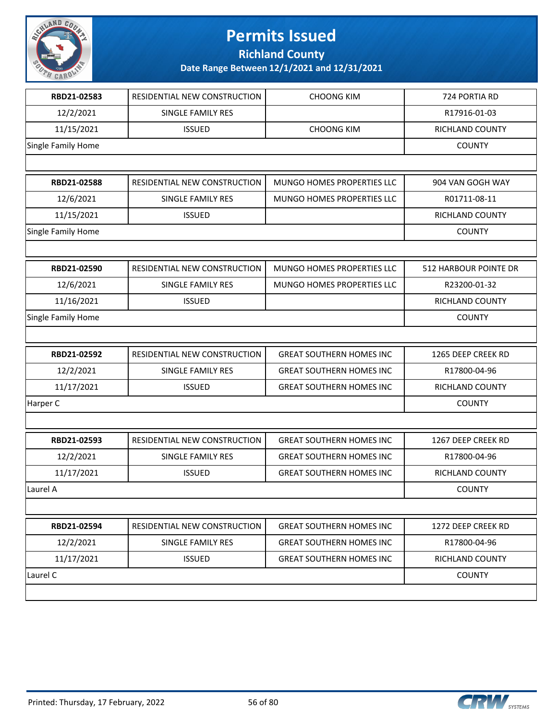

**Richland County**

| RBD21-02583        | RESIDENTIAL NEW CONSTRUCTION | <b>CHOONG KIM</b>               | 724 PORTIA RD         |
|--------------------|------------------------------|---------------------------------|-----------------------|
| 12/2/2021          | SINGLE FAMILY RES            |                                 | R17916-01-03          |
| 11/15/2021         | <b>ISSUED</b>                | <b>CHOONG KIM</b>               | RICHLAND COUNTY       |
| Single Family Home |                              |                                 | <b>COUNTY</b>         |
|                    |                              |                                 |                       |
| RBD21-02588        | RESIDENTIAL NEW CONSTRUCTION | MUNGO HOMES PROPERTIES LLC      | 904 VAN GOGH WAY      |
| 12/6/2021          | SINGLE FAMILY RES            | MUNGO HOMES PROPERTIES LLC      | R01711-08-11          |
| 11/15/2021         | <b>ISSUED</b>                |                                 | RICHLAND COUNTY       |
| Single Family Home |                              |                                 | <b>COUNTY</b>         |
|                    |                              |                                 |                       |
| RBD21-02590        | RESIDENTIAL NEW CONSTRUCTION | MUNGO HOMES PROPERTIES LLC      | 512 HARBOUR POINTE DR |
| 12/6/2021          | SINGLE FAMILY RES            | MUNGO HOMES PROPERTIES LLC      | R23200-01-32          |
| 11/16/2021         | <b>ISSUED</b>                |                                 | RICHLAND COUNTY       |
| Single Family Home |                              |                                 | <b>COUNTY</b>         |
|                    |                              |                                 |                       |
| RBD21-02592        | RESIDENTIAL NEW CONSTRUCTION | <b>GREAT SOUTHERN HOMES INC</b> | 1265 DEEP CREEK RD    |
| 12/2/2021          | SINGLE FAMILY RES            | <b>GREAT SOUTHERN HOMES INC</b> | R17800-04-96          |
| 11/17/2021         | <b>ISSUED</b>                | <b>GREAT SOUTHERN HOMES INC</b> | RICHLAND COUNTY       |
| Harper C           |                              |                                 | <b>COUNTY</b>         |
|                    |                              |                                 |                       |
| RBD21-02593        | RESIDENTIAL NEW CONSTRUCTION | <b>GREAT SOUTHERN HOMES INC</b> | 1267 DEEP CREEK RD    |
| 12/2/2021          | SINGLE FAMILY RES            | <b>GREAT SOUTHERN HOMES INC</b> | R17800-04-96          |
| 11/17/2021         | <b>ISSUED</b>                | <b>GREAT SOUTHERN HOMES INC</b> | RICHLAND COUNTY       |
| Laurel A           |                              |                                 | <b>COUNTY</b>         |
|                    |                              |                                 |                       |
| RBD21-02594        | RESIDENTIAL NEW CONSTRUCTION | <b>GREAT SOUTHERN HOMES INC</b> | 1272 DEEP CREEK RD    |
| 12/2/2021          | SINGLE FAMILY RES            | <b>GREAT SOUTHERN HOMES INC</b> | R17800-04-96          |
| 11/17/2021         | <b>ISSUED</b>                | <b>GREAT SOUTHERN HOMES INC</b> | RICHLAND COUNTY       |
| Laurel C           |                              |                                 | <b>COUNTY</b>         |
|                    |                              |                                 |                       |

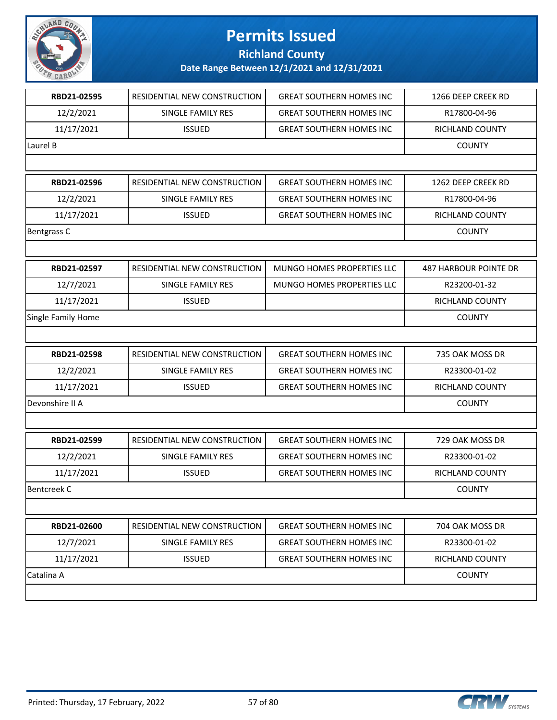

**Richland County**

| RBD21-02595        | RESIDENTIAL NEW CONSTRUCTION | <b>GREAT SOUTHERN HOMES INC</b> | 1266 DEEP CREEK RD           |
|--------------------|------------------------------|---------------------------------|------------------------------|
| 12/2/2021          | SINGLE FAMILY RES            | <b>GREAT SOUTHERN HOMES INC</b> | R17800-04-96                 |
| 11/17/2021         | <b>ISSUED</b>                | <b>GREAT SOUTHERN HOMES INC</b> | RICHLAND COUNTY              |
| Laurel B           |                              |                                 | <b>COUNTY</b>                |
|                    |                              |                                 |                              |
| RBD21-02596        | RESIDENTIAL NEW CONSTRUCTION | <b>GREAT SOUTHERN HOMES INC</b> | 1262 DEEP CREEK RD           |
| 12/2/2021          | <b>SINGLE FAMILY RES</b>     | <b>GREAT SOUTHERN HOMES INC</b> | R17800-04-96                 |
| 11/17/2021         | <b>ISSUED</b>                | <b>GREAT SOUTHERN HOMES INC</b> | RICHLAND COUNTY              |
| Bentgrass C        |                              |                                 | <b>COUNTY</b>                |
|                    |                              |                                 |                              |
| RBD21-02597        | RESIDENTIAL NEW CONSTRUCTION | MUNGO HOMES PROPERTIES LLC      | <b>487 HARBOUR POINTE DR</b> |
| 12/7/2021          | SINGLE FAMILY RES            | MUNGO HOMES PROPERTIES LLC      | R23200-01-32                 |
| 11/17/2021         | <b>ISSUED</b>                |                                 | RICHLAND COUNTY              |
| Single Family Home |                              |                                 | <b>COUNTY</b>                |
|                    |                              |                                 |                              |
| RBD21-02598        | RESIDENTIAL NEW CONSTRUCTION | <b>GREAT SOUTHERN HOMES INC</b> | 735 OAK MOSS DR              |
| 12/2/2021          | SINGLE FAMILY RES            | <b>GREAT SOUTHERN HOMES INC</b> | R23300-01-02                 |
| 11/17/2021         | <b>ISSUED</b>                | <b>GREAT SOUTHERN HOMES INC</b> | RICHLAND COUNTY              |
| Devonshire II A    |                              |                                 | <b>COUNTY</b>                |
|                    |                              |                                 |                              |
| RBD21-02599        | RESIDENTIAL NEW CONSTRUCTION | <b>GREAT SOUTHERN HOMES INC</b> | 729 OAK MOSS DR              |
| 12/2/2021          | SINGLE FAMILY RES            | <b>GREAT SOUTHERN HOMES INC</b> | R23300-01-02                 |
| 11/17/2021         | <b>ISSUED</b>                | <b>GREAT SOUTHERN HOMES INC</b> | RICHLAND COUNTY              |
| <b>Bentcreek C</b> |                              |                                 | <b>COUNTY</b>                |
|                    |                              |                                 |                              |
| RBD21-02600        | RESIDENTIAL NEW CONSTRUCTION | <b>GREAT SOUTHERN HOMES INC</b> | 704 OAK MOSS DR              |
| 12/7/2021          | SINGLE FAMILY RES            | <b>GREAT SOUTHERN HOMES INC</b> | R23300-01-02                 |
| 11/17/2021         | <b>ISSUED</b>                | <b>GREAT SOUTHERN HOMES INC</b> | RICHLAND COUNTY              |
| Catalina A         |                              |                                 | <b>COUNTY</b>                |
|                    |                              |                                 |                              |
|                    |                              |                                 |                              |

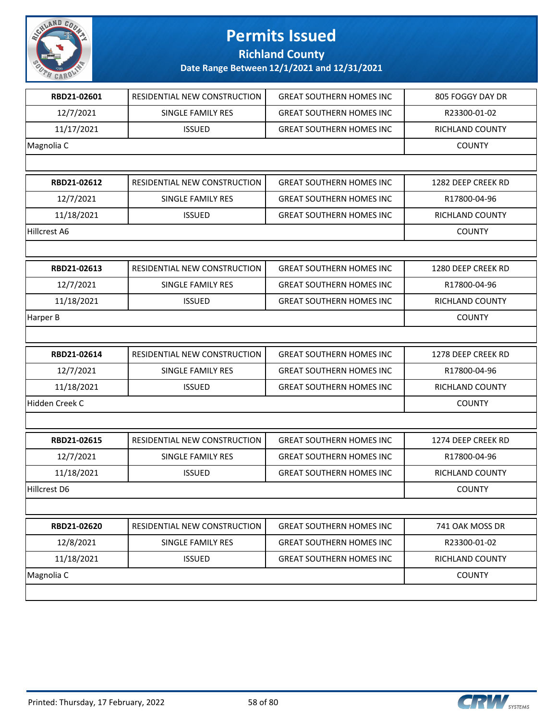

**Richland County**

| RBD21-02601    | RESIDENTIAL NEW CONSTRUCTION        | <b>GREAT SOUTHERN HOMES INC</b> | 805 FOGGY DAY DR       |
|----------------|-------------------------------------|---------------------------------|------------------------|
| 12/7/2021      | SINGLE FAMILY RES                   | <b>GREAT SOUTHERN HOMES INC</b> | R23300-01-02           |
| 11/17/2021     | <b>ISSUED</b>                       | <b>GREAT SOUTHERN HOMES INC</b> | RICHLAND COUNTY        |
| Magnolia C     |                                     |                                 | <b>COUNTY</b>          |
|                |                                     |                                 |                        |
| RBD21-02612    | RESIDENTIAL NEW CONSTRUCTION        | <b>GREAT SOUTHERN HOMES INC</b> | 1282 DEEP CREEK RD     |
| 12/7/2021      | SINGLE FAMILY RES                   | <b>GREAT SOUTHERN HOMES INC</b> | R17800-04-96           |
| 11/18/2021     | <b>ISSUED</b>                       | <b>GREAT SOUTHERN HOMES INC</b> | <b>RICHLAND COUNTY</b> |
| Hillcrest A6   |                                     |                                 | <b>COUNTY</b>          |
|                |                                     |                                 |                        |
| RBD21-02613    | <b>RESIDENTIAL NEW CONSTRUCTION</b> | <b>GREAT SOUTHERN HOMES INC</b> | 1280 DEEP CREEK RD     |
| 12/7/2021      | SINGLE FAMILY RES                   | <b>GREAT SOUTHERN HOMES INC</b> | R17800-04-96           |
| 11/18/2021     | <b>ISSUED</b>                       | <b>GREAT SOUTHERN HOMES INC</b> | RICHLAND COUNTY        |
| Harper B       |                                     |                                 | <b>COUNTY</b>          |
|                |                                     |                                 |                        |
| RBD21-02614    | RESIDENTIAL NEW CONSTRUCTION        | <b>GREAT SOUTHERN HOMES INC</b> | 1278 DEEP CREEK RD     |
| 12/7/2021      | SINGLE FAMILY RES                   | <b>GREAT SOUTHERN HOMES INC</b> | R17800-04-96           |
| 11/18/2021     | <b>ISSUED</b>                       | <b>GREAT SOUTHERN HOMES INC</b> | RICHLAND COUNTY        |
| Hidden Creek C |                                     |                                 | <b>COUNTY</b>          |
|                |                                     |                                 |                        |
| RBD21-02615    | <b>RESIDENTIAL NEW CONSTRUCTION</b> | <b>GREAT SOUTHERN HOMES INC</b> | 1274 DEEP CREEK RD     |
| 12/7/2021      | SINGLE FAMILY RES                   | <b>GREAT SOUTHERN HOMES INC</b> | R17800-04-96           |
| 11/18/2021     | <b>ISSUED</b>                       | <b>GREAT SOUTHERN HOMES INC</b> | <b>RICHLAND COUNTY</b> |
| Hillcrest D6   |                                     |                                 | <b>COUNTY</b>          |
|                |                                     |                                 |                        |
| RBD21-02620    | RESIDENTIAL NEW CONSTRUCTION        | <b>GREAT SOUTHERN HOMES INC</b> | 741 OAK MOSS DR        |
| 12/8/2021      | SINGLE FAMILY RES                   | <b>GREAT SOUTHERN HOMES INC</b> | R23300-01-02           |
| 11/18/2021     | <b>ISSUED</b>                       | <b>GREAT SOUTHERN HOMES INC</b> | RICHLAND COUNTY        |
|                |                                     |                                 |                        |
| Magnolia C     |                                     |                                 | <b>COUNTY</b>          |

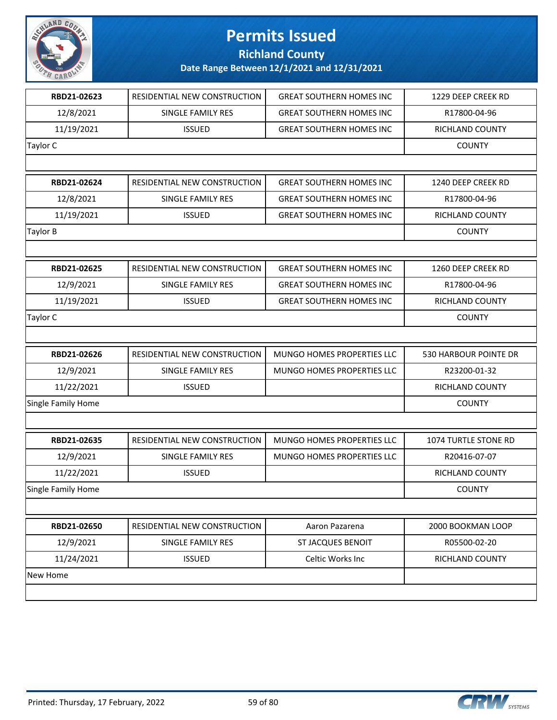

**Richland County**

| RBD21-02623        | RESIDENTIAL NEW CONSTRUCTION | <b>GREAT SOUTHERN HOMES INC</b>   | 1229 DEEP CREEK RD          |
|--------------------|------------------------------|-----------------------------------|-----------------------------|
| 12/8/2021          | SINGLE FAMILY RES            | <b>GREAT SOUTHERN HOMES INC</b>   | R17800-04-96                |
| 11/19/2021         | <b>ISSUED</b>                | <b>GREAT SOUTHERN HOMES INC</b>   | RICHLAND COUNTY             |
| <b>Taylor C</b>    |                              |                                   | <b>COUNTY</b>               |
|                    |                              |                                   |                             |
| RBD21-02624        | RESIDENTIAL NEW CONSTRUCTION | <b>GREAT SOUTHERN HOMES INC</b>   | 1240 DEEP CREEK RD          |
| 12/8/2021          | SINGLE FAMILY RES            | <b>GREAT SOUTHERN HOMES INC</b>   | R17800-04-96                |
| 11/19/2021         | <b>ISSUED</b>                | <b>GREAT SOUTHERN HOMES INC</b>   | RICHLAND COUNTY             |
| <b>Taylor B</b>    |                              |                                   | <b>COUNTY</b>               |
|                    |                              |                                   |                             |
| RBD21-02625        | RESIDENTIAL NEW CONSTRUCTION | <b>GREAT SOUTHERN HOMES INC</b>   | 1260 DEEP CREEK RD          |
| 12/9/2021          | SINGLE FAMILY RES            | <b>GREAT SOUTHERN HOMES INC</b>   | R17800-04-96                |
| 11/19/2021         | <b>ISSUED</b>                | <b>GREAT SOUTHERN HOMES INC</b>   | <b>RICHLAND COUNTY</b>      |
| <b>Taylor C</b>    |                              |                                   | <b>COUNTY</b>               |
|                    |                              |                                   |                             |
| RBD21-02626        | RESIDENTIAL NEW CONSTRUCTION | MUNGO HOMES PROPERTIES LLC        | 530 HARBOUR POINTE DR       |
| 12/9/2021          | SINGLE FAMILY RES            | MUNGO HOMES PROPERTIES LLC        | R23200-01-32                |
| 11/22/2021         | <b>ISSUED</b>                |                                   | RICHLAND COUNTY             |
| Single Family Home |                              |                                   | <b>COUNTY</b>               |
|                    |                              |                                   |                             |
| RBD21-02635        | RESIDENTIAL NEW CONSTRUCTION | <b>MUNGO HOMES PROPERTIES LLC</b> | <b>1074 TURTLE STONE RD</b> |
| 12/9/2021          | SINGLE FAMILY RES            | MUNGO HOMES PROPERTIES LLC        | R20416-07-07                |
| 11/22/2021         | <b>ISSUED</b>                |                                   | <b>RICHLAND COUNTY</b>      |
| Single Family Home |                              |                                   | <b>COUNTY</b>               |
|                    |                              |                                   |                             |
| RBD21-02650        | RESIDENTIAL NEW CONSTRUCTION | Aaron Pazarena                    | 2000 BOOKMAN LOOP           |
| 12/9/2021          | SINGLE FAMILY RES            | <b>ST JACQUES BENOIT</b>          | R05500-02-20                |
| 11/24/2021         | <b>ISSUED</b>                | Celtic Works Inc                  | RICHLAND COUNTY             |
| New Home           |                              |                                   |                             |
|                    |                              |                                   |                             |
|                    |                              |                                   |                             |

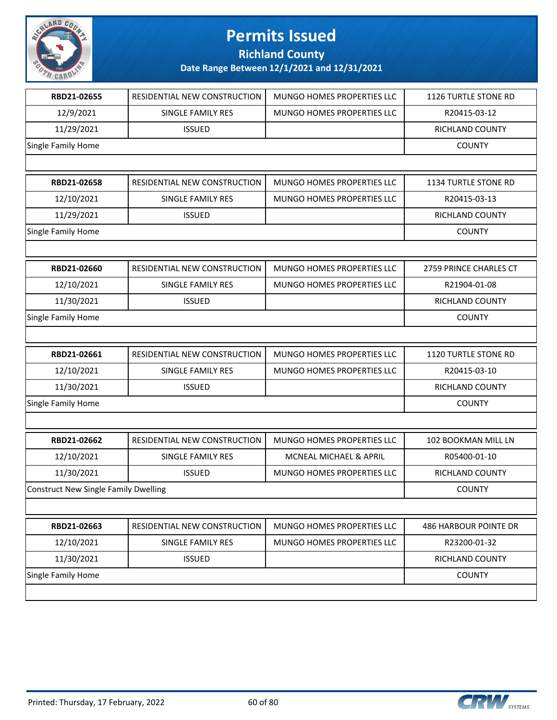

**Richland County**

| RBD21-02655                                 | RESIDENTIAL NEW CONSTRUCTION | MUNGO HOMES PROPERTIES LLC | 1126 TURTLE STONE RD        |
|---------------------------------------------|------------------------------|----------------------------|-----------------------------|
| 12/9/2021                                   | SINGLE FAMILY RES            | MUNGO HOMES PROPERTIES LLC | R20415-03-12                |
| 11/29/2021                                  | <b>ISSUED</b>                |                            | RICHLAND COUNTY             |
| Single Family Home                          |                              |                            | <b>COUNTY</b>               |
|                                             |                              |                            |                             |
| RBD21-02658                                 | RESIDENTIAL NEW CONSTRUCTION | MUNGO HOMES PROPERTIES LLC | 1134 TURTLE STONE RD        |
| 12/10/2021                                  | SINGLE FAMILY RES            | MUNGO HOMES PROPERTIES LLC | R20415-03-13                |
| 11/29/2021                                  | <b>ISSUED</b>                |                            | <b>RICHLAND COUNTY</b>      |
| Single Family Home                          |                              |                            | <b>COUNTY</b>               |
|                                             |                              |                            |                             |
| RBD21-02660                                 | RESIDENTIAL NEW CONSTRUCTION | MUNGO HOMES PROPERTIES LLC | 2759 PRINCE CHARLES CT      |
| 12/10/2021                                  | SINGLE FAMILY RES            | MUNGO HOMES PROPERTIES LLC | R21904-01-08                |
| 11/30/2021                                  | <b>ISSUED</b>                |                            | RICHLAND COUNTY             |
| Single Family Home                          |                              |                            | <b>COUNTY</b>               |
|                                             |                              |                            |                             |
| RBD21-02661                                 | RESIDENTIAL NEW CONSTRUCTION | MUNGO HOMES PROPERTIES LLC | <b>1120 TURTLE STONE RD</b> |
| 12/10/2021                                  | SINGLE FAMILY RES            | MUNGO HOMES PROPERTIES LLC | R20415-03-10                |
| 11/30/2021                                  | <b>ISSUED</b>                |                            | RICHLAND COUNTY             |
| Single Family Home                          |                              |                            | <b>COUNTY</b>               |
|                                             |                              |                            |                             |
| RBD21-02662                                 | RESIDENTIAL NEW CONSTRUCTION | MUNGO HOMES PROPERTIES LLC | 102 BOOKMAN MILL LN         |
| 12/10/2021                                  | <b>SINGLE FAMILY RES</b>     | MCNEAL MICHAEL & APRIL     | R05400-01-10                |
| 11/30/2021                                  | <b>ISSUED</b>                | MUNGO HOMES PROPERTIES LLC | RICHLAND COUNTY             |
| <b>Construct New Single Family Dwelling</b> |                              |                            | <b>COUNTY</b>               |
|                                             |                              |                            |                             |
| RBD21-02663                                 | RESIDENTIAL NEW CONSTRUCTION | MUNGO HOMES PROPERTIES LLC | 486 HARBOUR POINTE DR       |
| 12/10/2021                                  | SINGLE FAMILY RES            | MUNGO HOMES PROPERTIES LLC | R23200-01-32                |
| 11/30/2021                                  | <b>ISSUED</b>                |                            | RICHLAND COUNTY             |
| Single Family Home                          |                              |                            | <b>COUNTY</b>               |
|                                             |                              |                            |                             |

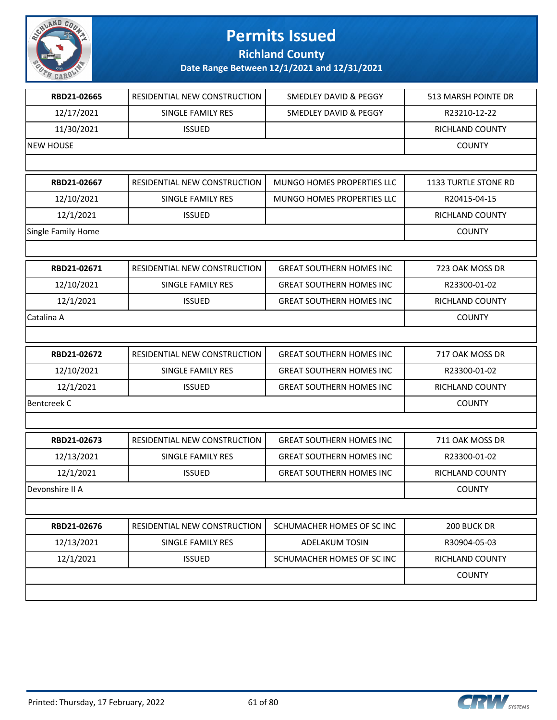

**Richland County**

| RBD21-02665        | RESIDENTIAL NEW CONSTRUCTION | SMEDLEY DAVID & PEGGY           | 513 MARSH POINTE DR    |
|--------------------|------------------------------|---------------------------------|------------------------|
| 12/17/2021         | SINGLE FAMILY RES            | SMEDLEY DAVID & PEGGY           | R23210-12-22           |
| 11/30/2021         | <b>ISSUED</b>                |                                 | RICHLAND COUNTY        |
| <b>NEW HOUSE</b>   |                              |                                 | <b>COUNTY</b>          |
|                    |                              |                                 |                        |
| RBD21-02667        | RESIDENTIAL NEW CONSTRUCTION | MUNGO HOMES PROPERTIES LLC      | 1133 TURTLE STONE RD   |
| 12/10/2021         | SINGLE FAMILY RES            | MUNGO HOMES PROPERTIES LLC      | R20415-04-15           |
| 12/1/2021          | <b>ISSUED</b>                |                                 | RICHLAND COUNTY        |
| Single Family Home |                              |                                 | <b>COUNTY</b>          |
|                    |                              |                                 |                        |
| RBD21-02671        | RESIDENTIAL NEW CONSTRUCTION | <b>GREAT SOUTHERN HOMES INC</b> | 723 OAK MOSS DR        |
| 12/10/2021         | SINGLE FAMILY RES            | <b>GREAT SOUTHERN HOMES INC</b> | R23300-01-02           |
| 12/1/2021          | <b>ISSUED</b>                | <b>GREAT SOUTHERN HOMES INC</b> | <b>RICHLAND COUNTY</b> |
| Catalina A         |                              |                                 | <b>COUNTY</b>          |
|                    |                              |                                 |                        |
| RBD21-02672        | RESIDENTIAL NEW CONSTRUCTION | <b>GREAT SOUTHERN HOMES INC</b> | 717 OAK MOSS DR        |
| 12/10/2021         | SINGLE FAMILY RES            | <b>GREAT SOUTHERN HOMES INC</b> | R23300-01-02           |
| 12/1/2021          | <b>ISSUED</b>                | <b>GREAT SOUTHERN HOMES INC</b> | RICHLAND COUNTY        |
| <b>Bentcreek C</b> |                              |                                 | <b>COUNTY</b>          |
|                    |                              |                                 |                        |
| RBD21-02673        | RESIDENTIAL NEW CONSTRUCTION | <b>GREAT SOUTHERN HOMES INC</b> | 711 OAK MOSS DR        |
| 12/13/2021         | SINGLE FAMILY RES            | <b>GREAT SOUTHERN HOMES INC</b> | R23300-01-02           |
| 12/1/2021          | <b>ISSUED</b>                | <b>GREAT SOUTHERN HOMES INC</b> | RICHLAND COUNTY        |
| Devonshire II A    |                              |                                 | <b>COUNTY</b>          |
|                    |                              |                                 |                        |
| RBD21-02676        | RESIDENTIAL NEW CONSTRUCTION | SCHUMACHER HOMES OF SC INC      | 200 BUCK DR            |
| 12/13/2021         | SINGLE FAMILY RES            | ADELAKUM TOSIN                  | R30904-05-03           |
| 12/1/2021          | <b>ISSUED</b>                | SCHUMACHER HOMES OF SC INC      | RICHLAND COUNTY        |
|                    |                              |                                 | <b>COUNTY</b>          |
|                    |                              |                                 |                        |

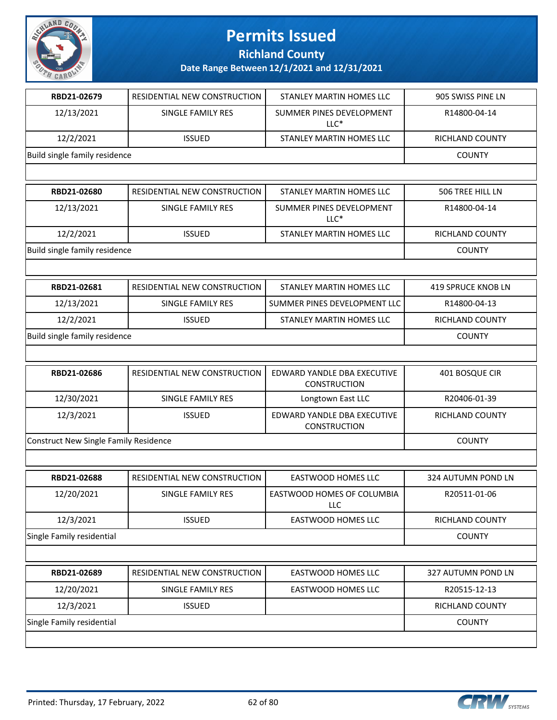

**Richland County**

| RBD21-02679                                  | RESIDENTIAL NEW CONSTRUCTION | STANLEY MARTIN HOMES LLC                           | 905 SWISS PINE LN  |
|----------------------------------------------|------------------------------|----------------------------------------------------|--------------------|
| 12/13/2021                                   | SINGLE FAMILY RES            | SUMMER PINES DEVELOPMENT<br>$LLC*$                 | R14800-04-14       |
| 12/2/2021                                    | <b>ISSUED</b>                | STANLEY MARTIN HOMES LLC                           | RICHLAND COUNTY    |
| Build single family residence                |                              |                                                    | <b>COUNTY</b>      |
|                                              |                              |                                                    |                    |
| RBD21-02680                                  | RESIDENTIAL NEW CONSTRUCTION | STANLEY MARTIN HOMES LLC                           | 506 TREE HILL LN   |
| 12/13/2021                                   | SINGLE FAMILY RES            | SUMMER PINES DEVELOPMENT<br>$LLC*$                 | R14800-04-14       |
| 12/2/2021                                    | <b>ISSUED</b>                | STANLEY MARTIN HOMES LLC                           | RICHLAND COUNTY    |
| Build single family residence                |                              |                                                    | <b>COUNTY</b>      |
|                                              |                              |                                                    |                    |
| RBD21-02681                                  | RESIDENTIAL NEW CONSTRUCTION | STANLEY MARTIN HOMES LLC                           | 419 SPRUCE KNOB LN |
| 12/13/2021                                   | SINGLE FAMILY RES            | SUMMER PINES DEVELOPMENT LLC                       | R14800-04-13       |
| 12/2/2021                                    | <b>ISSUED</b>                | STANLEY MARTIN HOMES LLC                           | RICHLAND COUNTY    |
| Build single family residence                |                              |                                                    | <b>COUNTY</b>      |
|                                              |                              |                                                    |                    |
| RBD21-02686                                  | RESIDENTIAL NEW CONSTRUCTION | EDWARD YANDLE DBA EXECUTIVE<br><b>CONSTRUCTION</b> | 401 BOSQUE CIR     |
| 12/30/2021                                   | SINGLE FAMILY RES            | Longtown East LLC                                  | R20406-01-39       |
| 12/3/2021                                    | <b>ISSUED</b>                | EDWARD YANDLE DBA EXECUTIVE<br><b>CONSTRUCTION</b> | RICHLAND COUNTY    |
| <b>Construct New Single Family Residence</b> |                              |                                                    | <b>COUNTY</b>      |
|                                              |                              |                                                    |                    |
| RBD21-02688                                  | RESIDENTIAL NEW CONSTRUCTION | <b>EASTWOOD HOMES LLC</b>                          | 324 AUTUMN POND LN |
| 12/20/2021                                   | SINGLE FAMILY RES            | EASTWOOD HOMES OF COLUMBIA<br>LLC                  | R20511-01-06       |
|                                              |                              |                                                    |                    |
| 12/3/2021                                    | <b>ISSUED</b>                | EASTWOOD HOMES LLC                                 | RICHLAND COUNTY    |
| Single Family residential                    |                              |                                                    | <b>COUNTY</b>      |
|                                              |                              |                                                    |                    |
| RBD21-02689                                  | RESIDENTIAL NEW CONSTRUCTION | EASTWOOD HOMES LLC                                 | 327 AUTUMN POND LN |
| 12/20/2021                                   | <b>SINGLE FAMILY RES</b>     | <b>EASTWOOD HOMES LLC</b>                          | R20515-12-13       |
| 12/3/2021                                    | <b>ISSUED</b>                |                                                    | RICHLAND COUNTY    |

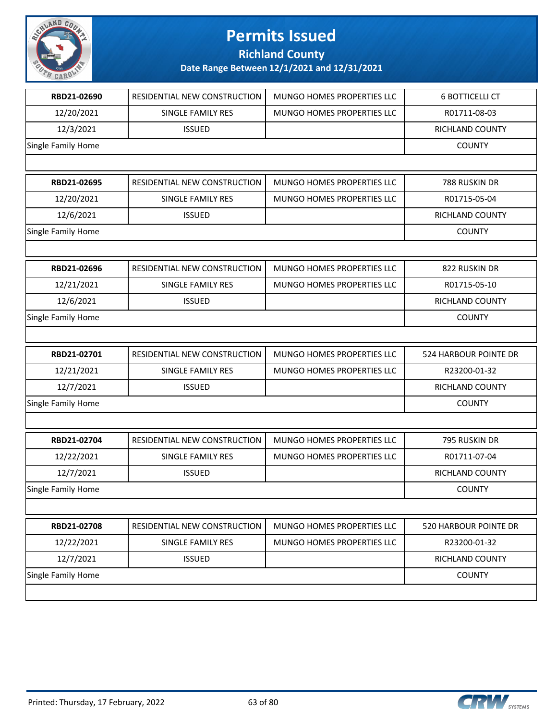

**Richland County**

| RBD21-02690        | RESIDENTIAL NEW CONSTRUCTION | MUNGO HOMES PROPERTIES LLC | <b>6 BOTTICELLI CT</b> |
|--------------------|------------------------------|----------------------------|------------------------|
| 12/20/2021         | SINGLE FAMILY RES            | MUNGO HOMES PROPERTIES LLC | R01711-08-03           |
| 12/3/2021          | <b>ISSUED</b>                |                            | RICHLAND COUNTY        |
| Single Family Home |                              |                            | <b>COUNTY</b>          |
|                    |                              |                            |                        |
| RBD21-02695        | RESIDENTIAL NEW CONSTRUCTION | MUNGO HOMES PROPERTIES LLC | 788 RUSKIN DR          |
| 12/20/2021         | SINGLE FAMILY RES            | MUNGO HOMES PROPERTIES LLC | R01715-05-04           |
| 12/6/2021          | <b>ISSUED</b>                |                            | RICHLAND COUNTY        |
| Single Family Home |                              |                            | <b>COUNTY</b>          |
|                    |                              |                            |                        |
| RBD21-02696        | RESIDENTIAL NEW CONSTRUCTION | MUNGO HOMES PROPERTIES LLC | 822 RUSKIN DR          |
| 12/21/2021         | SINGLE FAMILY RES            | MUNGO HOMES PROPERTIES LLC | R01715-05-10           |
| 12/6/2021          | <b>ISSUED</b>                |                            | RICHLAND COUNTY        |
| Single Family Home |                              |                            | <b>COUNTY</b>          |
|                    |                              |                            |                        |
| RBD21-02701        | RESIDENTIAL NEW CONSTRUCTION | MUNGO HOMES PROPERTIES LLC | 524 HARBOUR POINTE DR  |
| 12/21/2021         | SINGLE FAMILY RES            | MUNGO HOMES PROPERTIES LLC | R23200-01-32           |
| 12/7/2021          | <b>ISSUED</b>                |                            | RICHLAND COUNTY        |
| Single Family Home |                              |                            | <b>COUNTY</b>          |
|                    |                              |                            |                        |
| RBD21-02704        | RESIDENTIAL NEW CONSTRUCTION | MUNGO HOMES PROPERTIES LLC | 795 RUSKIN DR          |
| 12/22/2021         | SINGLE FAMILY RES            | MUNGO HOMES PROPERTIES LLC | R01711-07-04           |
| 12/7/2021          | <b>ISSUED</b>                |                            | RICHLAND COUNTY        |
| Single Family Home |                              |                            | <b>COUNTY</b>          |
|                    |                              |                            |                        |
| RBD21-02708        | RESIDENTIAL NEW CONSTRUCTION | MUNGO HOMES PROPERTIES LLC | 520 HARBOUR POINTE DR  |
| 12/22/2021         | SINGLE FAMILY RES            | MUNGO HOMES PROPERTIES LLC | R23200-01-32           |
| 12/7/2021          | <b>ISSUED</b>                |                            | RICHLAND COUNTY        |
| Single Family Home |                              |                            | <b>COUNTY</b>          |
|                    |                              |                            |                        |

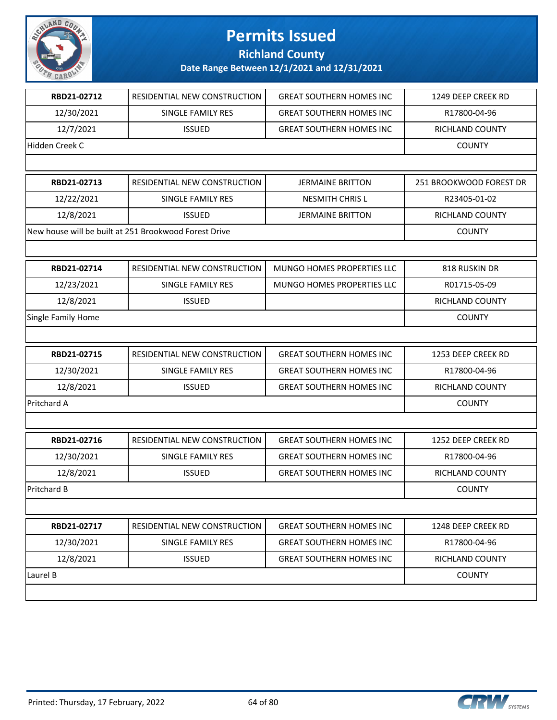

**Richland County**

| RBD21-02712        | RESIDENTIAL NEW CONSTRUCTION                          | <b>GREAT SOUTHERN HOMES INC</b> | 1249 DEEP CREEK RD      |
|--------------------|-------------------------------------------------------|---------------------------------|-------------------------|
| 12/30/2021         | SINGLE FAMILY RES                                     | <b>GREAT SOUTHERN HOMES INC</b> | R17800-04-96            |
| 12/7/2021          | <b>ISSUED</b>                                         | <b>GREAT SOUTHERN HOMES INC</b> | RICHLAND COUNTY         |
| Hidden Creek C     |                                                       |                                 | <b>COUNTY</b>           |
|                    |                                                       |                                 |                         |
| RBD21-02713        | RESIDENTIAL NEW CONSTRUCTION                          | <b>JERMAINE BRITTON</b>         | 251 BROOKWOOD FOREST DR |
| 12/22/2021         | SINGLE FAMILY RES                                     | <b>NESMITH CHRIS L</b>          | R23405-01-02            |
| 12/8/2021          | <b>ISSUED</b>                                         | <b>JERMAINE BRITTON</b>         | <b>RICHLAND COUNTY</b>  |
|                    | New house will be built at 251 Brookwood Forest Drive |                                 | <b>COUNTY</b>           |
|                    |                                                       |                                 |                         |
| RBD21-02714        | RESIDENTIAL NEW CONSTRUCTION                          | MUNGO HOMES PROPERTIES LLC      | 818 RUSKIN DR           |
| 12/23/2021         | SINGLE FAMILY RES                                     | MUNGO HOMES PROPERTIES LLC      | R01715-05-09            |
| 12/8/2021          | <b>ISSUED</b>                                         |                                 | RICHLAND COUNTY         |
| Single Family Home |                                                       |                                 | <b>COUNTY</b>           |
|                    |                                                       |                                 |                         |
| RBD21-02715        | RESIDENTIAL NEW CONSTRUCTION                          | <b>GREAT SOUTHERN HOMES INC</b> | 1253 DEEP CREEK RD      |
| 12/30/2021         | SINGLE FAMILY RES                                     | <b>GREAT SOUTHERN HOMES INC</b> | R17800-04-96            |
| 12/8/2021          | <b>ISSUED</b>                                         | <b>GREAT SOUTHERN HOMES INC</b> | RICHLAND COUNTY         |
| Pritchard A        |                                                       |                                 | <b>COUNTY</b>           |
|                    |                                                       |                                 |                         |
| RBD21-02716        | RESIDENTIAL NEW CONSTRUCTION                          | <b>GREAT SOUTHERN HOMES INC</b> | 1252 DEEP CREEK RD      |
| 12/30/2021         | <b>SINGLE FAMILY RES</b>                              | <b>GREAT SOUTHERN HOMES INC</b> | R17800-04-96            |
| 12/8/2021          | <b>ISSUED</b>                                         | <b>GREAT SOUTHERN HOMES INC</b> | <b>RICHLAND COUNTY</b>  |
| <b>Pritchard B</b> |                                                       |                                 | <b>COUNTY</b>           |
|                    |                                                       |                                 |                         |
| RBD21-02717        | RESIDENTIAL NEW CONSTRUCTION                          | <b>GREAT SOUTHERN HOMES INC</b> | 1248 DEEP CREEK RD      |
| 12/30/2021         | SINGLE FAMILY RES                                     | <b>GREAT SOUTHERN HOMES INC</b> | R17800-04-96            |
| 12/8/2021          | <b>ISSUED</b>                                         | <b>GREAT SOUTHERN HOMES INC</b> | RICHLAND COUNTY         |
| Laurel B           |                                                       |                                 | <b>COUNTY</b>           |
|                    |                                                       |                                 |                         |
|                    |                                                       |                                 |                         |

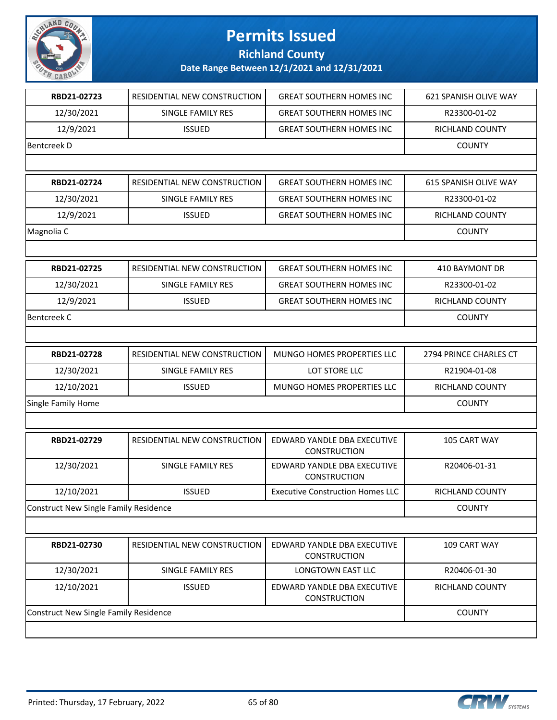

**Richland County**

| RBD21-02723<br>12/30/2021<br>12/9/2021<br>RBD21-02724<br>12/30/2021<br>12/9/2021<br>RBD21-02725<br>12/30/2021<br>12/9/2021<br>RBD21-02728<br>12/30/2021 | RESIDENTIAL NEW CONSTRUCTION<br>SINGLE FAMILY RES<br><b>ISSUED</b><br>RESIDENTIAL NEW CONSTRUCTION<br>SINGLE FAMILY RES<br><b>ISSUED</b><br>RESIDENTIAL NEW CONSTRUCTION<br>SINGLE FAMILY RES<br><b>ISSUED</b> | <b>GREAT SOUTHERN HOMES INC</b><br><b>GREAT SOUTHERN HOMES INC</b><br><b>GREAT SOUTHERN HOMES INC</b><br><b>GREAT SOUTHERN HOMES INC</b><br><b>GREAT SOUTHERN HOMES INC</b><br><b>GREAT SOUTHERN HOMES INC</b><br><b>GREAT SOUTHERN HOMES INC</b><br><b>GREAT SOUTHERN HOMES INC</b> | <b>621 SPANISH OLIVE WAY</b><br>R23300-01-02<br><b>RICHLAND COUNTY</b><br><b>COUNTY</b><br>615 SPANISH OLIVE WAY<br>R23300-01-02<br>RICHLAND COUNTY<br><b>COUNTY</b><br><b>410 BAYMONT DR</b> |
|---------------------------------------------------------------------------------------------------------------------------------------------------------|----------------------------------------------------------------------------------------------------------------------------------------------------------------------------------------------------------------|--------------------------------------------------------------------------------------------------------------------------------------------------------------------------------------------------------------------------------------------------------------------------------------|-----------------------------------------------------------------------------------------------------------------------------------------------------------------------------------------------|
|                                                                                                                                                         |                                                                                                                                                                                                                |                                                                                                                                                                                                                                                                                      |                                                                                                                                                                                               |
|                                                                                                                                                         |                                                                                                                                                                                                                |                                                                                                                                                                                                                                                                                      |                                                                                                                                                                                               |
| <b>Bentcreek D</b>                                                                                                                                      |                                                                                                                                                                                                                |                                                                                                                                                                                                                                                                                      |                                                                                                                                                                                               |
|                                                                                                                                                         |                                                                                                                                                                                                                |                                                                                                                                                                                                                                                                                      |                                                                                                                                                                                               |
| Magnolia C<br><b>Bentcreek C</b>                                                                                                                        |                                                                                                                                                                                                                |                                                                                                                                                                                                                                                                                      |                                                                                                                                                                                               |
|                                                                                                                                                         |                                                                                                                                                                                                                |                                                                                                                                                                                                                                                                                      |                                                                                                                                                                                               |
|                                                                                                                                                         |                                                                                                                                                                                                                |                                                                                                                                                                                                                                                                                      |                                                                                                                                                                                               |
|                                                                                                                                                         |                                                                                                                                                                                                                |                                                                                                                                                                                                                                                                                      |                                                                                                                                                                                               |
|                                                                                                                                                         |                                                                                                                                                                                                                |                                                                                                                                                                                                                                                                                      |                                                                                                                                                                                               |
|                                                                                                                                                         |                                                                                                                                                                                                                |                                                                                                                                                                                                                                                                                      |                                                                                                                                                                                               |
|                                                                                                                                                         |                                                                                                                                                                                                                |                                                                                                                                                                                                                                                                                      |                                                                                                                                                                                               |
|                                                                                                                                                         |                                                                                                                                                                                                                |                                                                                                                                                                                                                                                                                      | R23300-01-02                                                                                                                                                                                  |
|                                                                                                                                                         |                                                                                                                                                                                                                | <b>GREAT SOUTHERN HOMES INC</b>                                                                                                                                                                                                                                                      | RICHLAND COUNTY                                                                                                                                                                               |
|                                                                                                                                                         |                                                                                                                                                                                                                |                                                                                                                                                                                                                                                                                      | <b>COUNTY</b>                                                                                                                                                                                 |
|                                                                                                                                                         |                                                                                                                                                                                                                |                                                                                                                                                                                                                                                                                      |                                                                                                                                                                                               |
|                                                                                                                                                         | RESIDENTIAL NEW CONSTRUCTION                                                                                                                                                                                   | MUNGO HOMES PROPERTIES LLC                                                                                                                                                                                                                                                           | 2794 PRINCE CHARLES CT                                                                                                                                                                        |
|                                                                                                                                                         | SINGLE FAMILY RES                                                                                                                                                                                              | LOT STORE LLC                                                                                                                                                                                                                                                                        | R21904-01-08                                                                                                                                                                                  |
| 12/10/2021                                                                                                                                              | <b>ISSUED</b>                                                                                                                                                                                                  | MUNGO HOMES PROPERTIES LLC                                                                                                                                                                                                                                                           | RICHLAND COUNTY                                                                                                                                                                               |
| Single Family Home                                                                                                                                      |                                                                                                                                                                                                                |                                                                                                                                                                                                                                                                                      | <b>COUNTY</b>                                                                                                                                                                                 |
|                                                                                                                                                         |                                                                                                                                                                                                                |                                                                                                                                                                                                                                                                                      |                                                                                                                                                                                               |
| RBD21-02729                                                                                                                                             | RESIDENTIAL NEW CONSTRUCTION                                                                                                                                                                                   | EDWARD YANDLE DBA EXECUTIVE<br><b>CONSTRUCTION</b>                                                                                                                                                                                                                                   | 105 CART WAY                                                                                                                                                                                  |
| 12/30/2021                                                                                                                                              | SINGLE FAMILY RES                                                                                                                                                                                              | EDWARD YANDLE DBA EXECUTIVE<br><b>CONSTRUCTION</b>                                                                                                                                                                                                                                   | R20406-01-31                                                                                                                                                                                  |
| 12/10/2021                                                                                                                                              | <b>ISSUED</b>                                                                                                                                                                                                  | <b>Executive Construction Homes LLC</b>                                                                                                                                                                                                                                              | RICHLAND COUNTY                                                                                                                                                                               |
| <b>Construct New Single Family Residence</b>                                                                                                            |                                                                                                                                                                                                                |                                                                                                                                                                                                                                                                                      | <b>COUNTY</b>                                                                                                                                                                                 |
|                                                                                                                                                         |                                                                                                                                                                                                                |                                                                                                                                                                                                                                                                                      |                                                                                                                                                                                               |
| RBD21-02730                                                                                                                                             | RESIDENTIAL NEW CONSTRUCTION                                                                                                                                                                                   | EDWARD YANDLE DBA EXECUTIVE<br><b>CONSTRUCTION</b>                                                                                                                                                                                                                                   | 109 CART WAY                                                                                                                                                                                  |
| 12/30/2021                                                                                                                                              | SINGLE FAMILY RES                                                                                                                                                                                              | LONGTOWN EAST LLC                                                                                                                                                                                                                                                                    | R20406-01-30                                                                                                                                                                                  |
| 12/10/2021                                                                                                                                              | <b>ISSUED</b>                                                                                                                                                                                                  | EDWARD YANDLE DBA EXECUTIVE<br><b>CONSTRUCTION</b>                                                                                                                                                                                                                                   | RICHLAND COUNTY                                                                                                                                                                               |
| <b>Construct New Single Family Residence</b>                                                                                                            |                                                                                                                                                                                                                |                                                                                                                                                                                                                                                                                      | <b>COUNTY</b>                                                                                                                                                                                 |

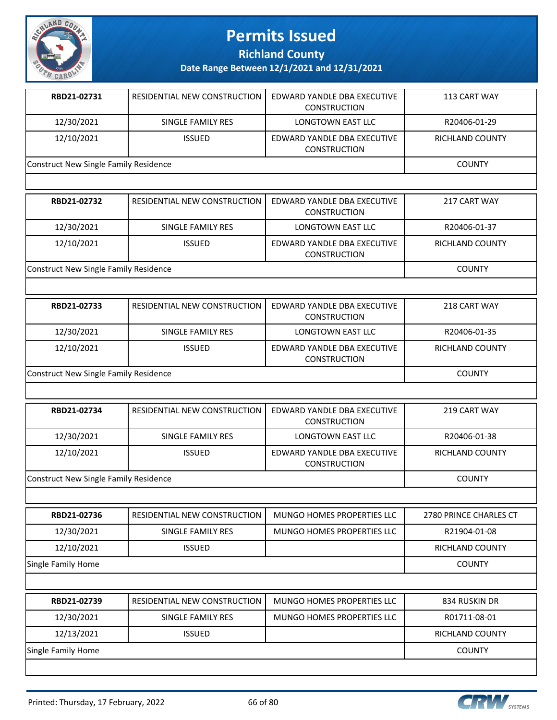

**Richland County**

| RBD21-02731                           | RESIDENTIAL NEW CONSTRUCTION | EDWARD YANDLE DBA EXECUTIVE<br><b>CONSTRUCTION</b> | 113 CART WAY    |
|---------------------------------------|------------------------------|----------------------------------------------------|-----------------|
| 12/30/2021                            | SINGLE FAMILY RES            | <b>LONGTOWN EAST LLC</b>                           | R20406-01-29    |
| 12/10/2021                            | <b>ISSUED</b>                | EDWARD YANDLE DBA EXECUTIVE<br><b>CONSTRUCTION</b> | RICHLAND COUNTY |
| Construct New Single Family Residence |                              |                                                    | COUNTY          |

| RBD21-02732                           | RESIDENTIAL NEW CONSTRUCTION | EDWARD YANDLE DBA EXECUTIVE<br><b>CONSTRUCTION</b> | 217 CART WAY    |
|---------------------------------------|------------------------------|----------------------------------------------------|-----------------|
| 12/30/2021                            | SINGLE FAMILY RES            | LONGTOWN EAST LLC                                  | R20406-01-37    |
| 12/10/2021                            | <b>ISSUED</b>                | EDWARD YANDLE DBA EXECUTIVE<br><b>CONSTRUCTION</b> | RICHLAND COUNTY |
| Construct New Single Family Residence |                              |                                                    | <b>COUNTY</b>   |

| RBD21-02733                           | RESIDENTIAL NEW CONSTRUCTION | EDWARD YANDLE DBA EXECUTIVE<br><b>CONSTRUCTION</b> | 218 CART WAY    |
|---------------------------------------|------------------------------|----------------------------------------------------|-----------------|
| 12/30/2021                            | SINGLE FAMILY RES            | LONGTOWN EAST LLC                                  | R20406-01-35    |
| 12/10/2021                            | <b>ISSUED</b>                | EDWARD YANDLE DBA EXECUTIVE<br><b>CONSTRUCTION</b> | RICHLAND COUNTY |
| Construct New Single Family Residence |                              |                                                    | <b>COUNTY</b>   |

| RBD21-02734                           | RESIDENTIAL NEW CONSTRUCTION | EDWARD YANDLE DBA EXECUTIVE<br><b>CONSTRUCTION</b> | 219 CART WAY           |
|---------------------------------------|------------------------------|----------------------------------------------------|------------------------|
| 12/30/2021                            | SINGLE FAMILY RES            | LONGTOWN EAST LLC                                  | R20406-01-38           |
| 12/10/2021                            | <b>ISSUED</b>                | EDWARD YANDLE DBA EXECUTIVE<br><b>CONSTRUCTION</b> | <b>RICHLAND COUNTY</b> |
| Construct New Single Family Residence |                              |                                                    | <b>COUNTY</b>          |

| RBD21-02736        | RESIDENTIAL NEW CONSTRUCTION | MUNGO HOMES PROPERTIES LLC | 2780 PRINCE CHARLES CT |
|--------------------|------------------------------|----------------------------|------------------------|
| 12/30/2021         | SINGLE FAMILY RES            | MUNGO HOMES PROPERTIES LLC | R21904-01-08           |
| 12/10/2021         | <b>ISSUED</b>                |                            | RICHLAND COUNTY        |
| Single Family Home |                              |                            | <b>COUNTY</b>          |

| RBD21-02739        |                              | MUNGO HOMES PROPERTIES LLC | 834 RUSKIN DR   |
|--------------------|------------------------------|----------------------------|-----------------|
|                    | RESIDENTIAL NEW CONSTRUCTION |                            |                 |
| 12/30/2021         | SINGLE FAMILY RES            | MUNGO HOMES PROPERTIES LLC | R01711-08-01    |
| 12/13/2021         | <b>ISSUED</b>                |                            | RICHLAND COUNTY |
| Single Family Home |                              |                            | <b>COUNTY</b>   |
|                    |                              |                            |                 |

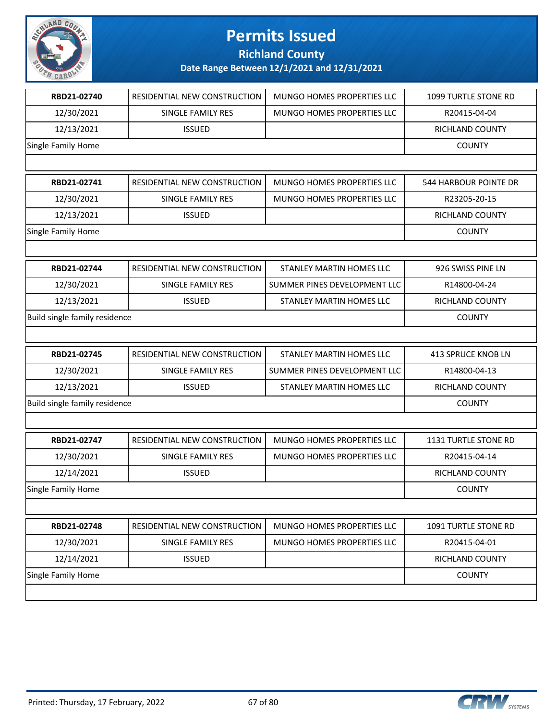

**Richland County**

| RBD21-02740                   | RESIDENTIAL NEW CONSTRUCTION | MUNGO HOMES PROPERTIES LLC   | 1099 TURTLE STONE RD   |
|-------------------------------|------------------------------|------------------------------|------------------------|
| 12/30/2021                    | SINGLE FAMILY RES            | MUNGO HOMES PROPERTIES LLC   | R20415-04-04           |
| 12/13/2021                    | <b>ISSUED</b>                |                              | RICHLAND COUNTY        |
| Single Family Home            |                              |                              | <b>COUNTY</b>          |
|                               |                              |                              |                        |
| RBD21-02741                   | RESIDENTIAL NEW CONSTRUCTION | MUNGO HOMES PROPERTIES LLC   | 544 HARBOUR POINTE DR  |
| 12/30/2021                    | SINGLE FAMILY RES            | MUNGO HOMES PROPERTIES LLC   | R23205-20-15           |
| 12/13/2021                    | <b>ISSUED</b>                |                              | <b>RICHLAND COUNTY</b> |
| Single Family Home            |                              |                              | <b>COUNTY</b>          |
|                               |                              |                              |                        |
| RBD21-02744                   | RESIDENTIAL NEW CONSTRUCTION | STANLEY MARTIN HOMES LLC     | 926 SWISS PINE LN      |
| 12/30/2021                    | SINGLE FAMILY RES            | SUMMER PINES DEVELOPMENT LLC | R14800-04-24           |
| 12/13/2021                    | <b>ISSUED</b>                | STANLEY MARTIN HOMES LLC     | <b>RICHLAND COUNTY</b> |
| Build single family residence |                              |                              | <b>COUNTY</b>          |
|                               |                              |                              |                        |
| RBD21-02745                   | RESIDENTIAL NEW CONSTRUCTION | STANLEY MARTIN HOMES LLC     | 413 SPRUCE KNOB LN     |
| 12/30/2021                    | SINGLE FAMILY RES            | SUMMER PINES DEVELOPMENT LLC | R14800-04-13           |
| 12/13/2021                    | <b>ISSUED</b>                | STANLEY MARTIN HOMES LLC     | RICHLAND COUNTY        |
| Build single family residence |                              |                              | <b>COUNTY</b>          |
|                               |                              |                              |                        |
| RBD21-02747                   | RESIDENTIAL NEW CONSTRUCTION | MUNGO HOMES PROPERTIES LLC   | 1131 TURTLE STONE RD   |
| 12/30/2021                    | SINGLE FAMILY RES            | MUNGO HOMES PROPERTIES LLC   | R20415-04-14           |
| 12/14/2021                    | <b>ISSUED</b>                |                              | RICHLAND COUNTY        |
| <b>Single Family Home</b>     |                              |                              | <b>COUNTY</b>          |
|                               |                              |                              |                        |
| RBD21-02748                   | RESIDENTIAL NEW CONSTRUCTION | MUNGO HOMES PROPERTIES LLC   | 1091 TURTLE STONE RD   |
|                               | SINGLE FAMILY RES            | MUNGO HOMES PROPERTIES LLC   | R20415-04-01           |
| 12/30/2021                    |                              |                              |                        |
| 12/14/2021                    | <b>ISSUED</b>                |                              | RICHLAND COUNTY        |
| Single Family Home            |                              |                              | <b>COUNTY</b>          |

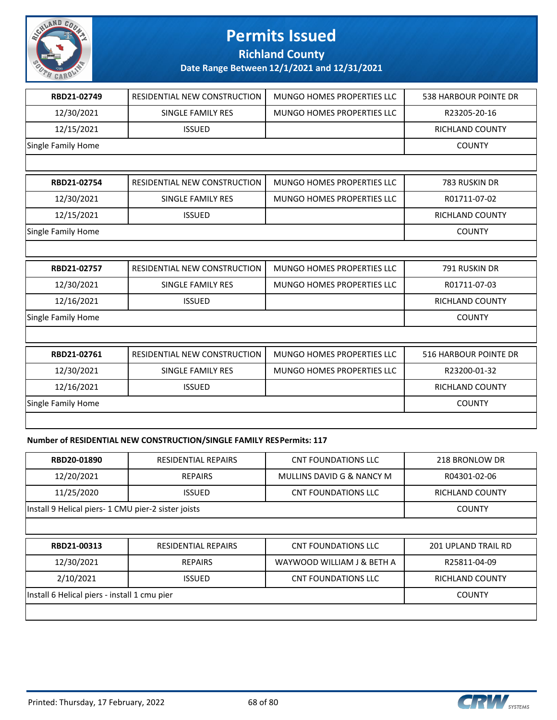

**Richland County**

**Date Range Between 12/1/2021 and 12/31/2021**

| RBD21-02749               | <b>RESIDENTIAL NEW CONSTRUCTION</b> | <b>MUNGO HOMES PROPERTIES LLC</b> | <b>538 HARBOUR POINTE DR</b> |
|---------------------------|-------------------------------------|-----------------------------------|------------------------------|
| 12/30/2021                | <b>SINGLE FAMILY RES</b>            | <b>MUNGO HOMES PROPERTIES LLC</b> | R23205-20-16                 |
| 12/15/2021                | <b>ISSUED</b>                       |                                   | <b>RICHLAND COUNTY</b>       |
| <b>Single Family Home</b> |                                     |                                   | <b>COUNTY</b>                |
|                           |                                     |                                   |                              |
| RBD21-02754               | <b>RESIDENTIAL NEW CONSTRUCTION</b> | <b>MUNGO HOMES PROPERTIES LLC</b> | 783 RUSKIN DR                |
| 12/30/2021                | SINGLE FAMILY RES                   | <b>MUNGO HOMES PROPERTIES LLC</b> | R01711-07-02                 |
| 12/15/2021                | <b>ISSUED</b>                       |                                   | <b>RICHLAND COUNTY</b>       |
| Single Family Home        |                                     |                                   | <b>COUNTY</b>                |
|                           |                                     |                                   |                              |
| RBD21-02757               | RESIDENTIAL NEW CONSTRUCTION        | MUNGO HOMES PROPERTIES LLC        | 791 RUSKIN DR                |
| 12/30/2021                | <b>SINGLE FAMILY RES</b>            | MUNGO HOMES PROPERTIES LLC        | R01711-07-03                 |
| 12/16/2021                | <b>ISSUED</b>                       |                                   | RICHLAND COUNTY              |
| Single Family Home        |                                     |                                   | <b>COUNTY</b>                |
|                           |                                     |                                   |                              |
| RBD21-02761               | RESIDENTIAL NEW CONSTRUCTION        | <b>MUNGO HOMES PROPERTIES LLC</b> | <b>516 HARBOUR POINTE DR</b> |
| 12/30/2021                | <b>SINGLE FAMILY RES</b>            | <b>MUNGO HOMES PROPERTIES LLC</b> | R23200-01-32                 |
| 12/16/2021                | <b>ISSUED</b>                       |                                   | <b>RICHLAND COUNTY</b>       |
| Single Family Home        |                                     |                                   | <b>COUNTY</b>                |
|                           |                                     |                                   |                              |

### **Number of RESIDENTIAL NEW CONSTRUCTION/SINGLE FAMILY RES Permits: 117**

| RBD20-01890                                         | RESIDENTIAL REPAIRS | CNT FOUNDATIONS LLC       | 218 BRONLOW DR  |
|-----------------------------------------------------|---------------------|---------------------------|-----------------|
| 12/20/2021                                          | <b>REPAIRS</b>      | MULLINS DAVID G & NANCY M | R04301-02-06    |
| 11/25/2020                                          | <b>ISSUED</b>       | CNT FOUNDATIONS LLC       | RICHLAND COUNTY |
| Install 9 Helical piers- 1 CMU pier-2 sister joists |                     |                           | <b>COUNTY</b>   |
|                                                     |                     |                           |                 |

| RBD21-00313                                  | <b>RESIDENTIAL REPAIRS</b> | CNT FOUNDATIONS LLC        | <b>201 UPLAND TRAIL RD</b> |
|----------------------------------------------|----------------------------|----------------------------|----------------------------|
| 12/30/2021                                   | <b>REPAIRS</b>             | WAYWOOD WILLIAM J & BETH A | R25811-04-09               |
| 2/10/2021                                    | <b>ISSUED</b>              | CNT FOUNDATIONS LLC        | <b>RICHLAND COUNTY</b>     |
| Install 6 Helical piers - install 1 cmu pier |                            |                            | <b>COUNTY</b>              |
|                                              |                            |                            |                            |

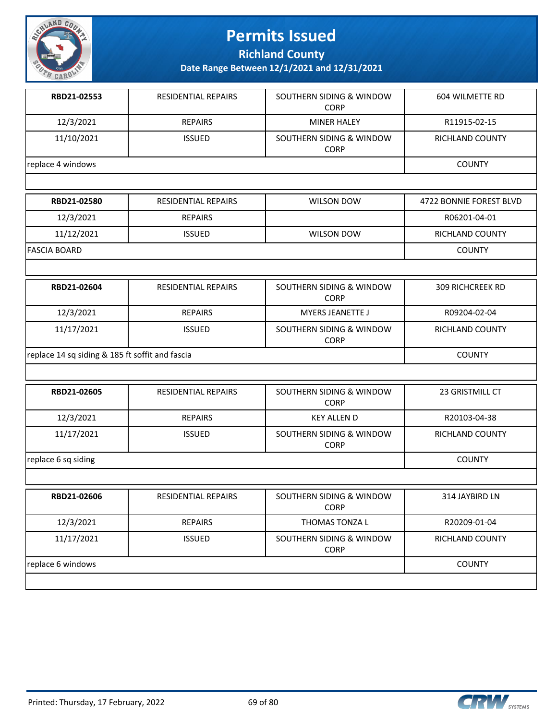

**Richland County**

| RBD21-02553       | <b>RESIDENTIAL REPAIRS</b> | SOUTHERN SIDING & WINDOW<br><b>CORP</b> | 604 WILMETTE RD         |
|-------------------|----------------------------|-----------------------------------------|-------------------------|
| 12/3/2021         | <b>REPAIRS</b>             | <b>MINER HALEY</b>                      | R11915-02-15            |
| 11/10/2021        | <b>ISSUED</b>              | SOUTHERN SIDING & WINDOW<br><b>CORP</b> | RICHLAND COUNTY         |
| replace 4 windows |                            |                                         | <b>COUNTY</b>           |
|                   |                            |                                         |                         |
| RBD21-02580       | <b>RESIDENTIAL REPAIRS</b> | <b>WILSON DOW</b>                       | 4722 BONNIE FOREST BLVD |
| 12/3/2021         | <b>REPAIRS</b>             |                                         | R06201-04-01            |
| 11/12/2021        | <b>ISSUED</b>              | <b>WILSON DOW</b>                       | <b>RICHLAND COUNTY</b>  |
| FASCIA BOARD      | <b>COUNTY</b>              |                                         |                         |
|                   |                            |                                         |                         |
| RBD21-02604       | <b>RESIDENTIAL REPAIRS</b> | SOUTHERN SIDING & WINDOW<br>$\cap$      | <b>309 RICHCREEK RD</b> |

|                                                 |                | <b>CORP</b>                             |                 |
|-------------------------------------------------|----------------|-----------------------------------------|-----------------|
| 12/3/2021                                       | <b>REPAIRS</b> | <b>MYERS JEANETTE J</b>                 | R09204-02-04    |
| 11/17/2021                                      | <b>ISSUED</b>  | SOUTHERN SIDING & WINDOW<br><b>CORP</b> | RICHLAND COUNTY |
| replace 14 sq siding & 185 ft soffit and fascia |                |                                         | <b>COUNTY</b>   |

| RBD21-02605         | <b>RESIDENTIAL REPAIRS</b> | SOUTHERN SIDING & WINDOW<br><b>CORP</b> | <b>23 GRISTMILL CT</b> |
|---------------------|----------------------------|-----------------------------------------|------------------------|
| 12/3/2021           | <b>REPAIRS</b>             | <b>KEY ALLEN D</b>                      | R20103-04-38           |
| 11/17/2021          | <b>ISSUED</b>              | SOUTHERN SIDING & WINDOW<br><b>CORP</b> | <b>RICHLAND COUNTY</b> |
| replace 6 sq siding |                            |                                         | <b>COUNTY</b>          |
|                     |                            |                                         |                        |

| RBD21-02606       | <b>RESIDENTIAL REPAIRS</b> | SOUTHERN SIDING & WINDOW<br><b>CORP</b> | 314 JAYBIRD LN  |
|-------------------|----------------------------|-----------------------------------------|-----------------|
| 12/3/2021         | <b>REPAIRS</b>             | THOMAS TONZA L                          | R20209-01-04    |
| 11/17/2021        | <b>ISSUED</b>              | SOUTHERN SIDING & WINDOW<br><b>CORP</b> | RICHLAND COUNTY |
| replace 6 windows |                            |                                         | <b>COUNTY</b>   |
|                   |                            |                                         |                 |

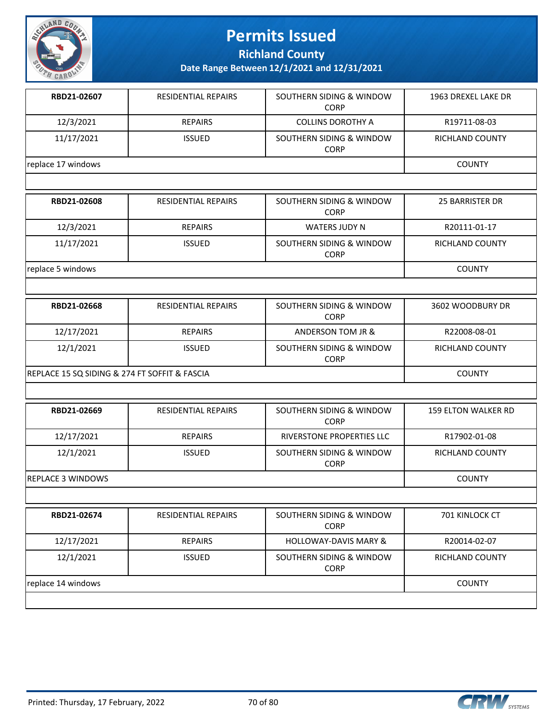

**Richland County**

**Date Range Between 12/1/2021 and 12/31/2021**

| RBD21-02607                                   | <b>RESIDENTIAL REPAIRS</b> | SOUTHERN SIDING & WINDOW<br>CORP        | 1963 DREXEL LAKE DR        |
|-----------------------------------------------|----------------------------|-----------------------------------------|----------------------------|
| 12/3/2021                                     | <b>REPAIRS</b>             | <b>COLLINS DOROTHY A</b>                | R19711-08-03               |
| 11/17/2021                                    | <b>ISSUED</b>              | SOUTHERN SIDING & WINDOW<br><b>CORP</b> | <b>RICHLAND COUNTY</b>     |
| replace 17 windows                            |                            |                                         | <b>COUNTY</b>              |
|                                               |                            |                                         |                            |
| RBD21-02608                                   | RESIDENTIAL REPAIRS        | SOUTHERN SIDING & WINDOW<br><b>CORP</b> | 25 BARRISTER DR            |
| 12/3/2021                                     | <b>REPAIRS</b>             | <b>WATERS JUDY N</b>                    | R20111-01-17               |
| 11/17/2021                                    | <b>ISSUED</b>              | SOUTHERN SIDING & WINDOW<br><b>CORP</b> | <b>RICHLAND COUNTY</b>     |
| replace 5 windows                             |                            |                                         | <b>COUNTY</b>              |
|                                               |                            |                                         |                            |
| RBD21-02668                                   | <b>RESIDENTIAL REPAIRS</b> | SOUTHERN SIDING & WINDOW<br><b>CORP</b> | 3602 WOODBURY DR           |
| 12/17/2021                                    | <b>REPAIRS</b>             | ANDERSON TOM JR &                       | R22008-08-01               |
| 12/1/2021                                     | <b>ISSUED</b>              | SOUTHERN SIDING & WINDOW<br><b>CORP</b> | RICHLAND COUNTY            |
| REPLACE 15 SQ SIDING & 274 FT SOFFIT & FASCIA |                            |                                         | <b>COUNTY</b>              |
|                                               |                            |                                         |                            |
| RBD21-02669                                   | <b>RESIDENTIAL REPAIRS</b> | SOUTHERN SIDING & WINDOW<br><b>CORP</b> | <b>159 ELTON WALKER RD</b> |
| 12/17/2021                                    | <b>REPAIRS</b>             | RIVERSTONE PROPERTIES LLC               | R17902-01-08               |
| 12/1/2021                                     | <b>ISSUED</b>              | SOUTHERN SIDING & WINDOW<br><b>CORP</b> | RICHLAND COUNTY            |
| <b>REPLACE 3 WINDOWS</b>                      |                            |                                         | <b>COUNTY</b>              |
|                                               |                            |                                         |                            |
| RBD21-02674                                   | <b>RESIDENTIAL REPAIRS</b> | SOUTHERN SIDING & WINDOW<br><b>CORP</b> | <b>701 KINLOCK CT</b>      |
|                                               | $\frac{1}{2}$              |                                         | <b>BOON 4 00 00</b>        |

12/17/2021 REPAIRS HOLLOWAY-DAVIS MARY & R20014-02-07 12/1/2021 | ISSUED | SOUTHERN SIDING & WINDOW CORP RICHLAND COUNTY replace 14 windows COUNTY

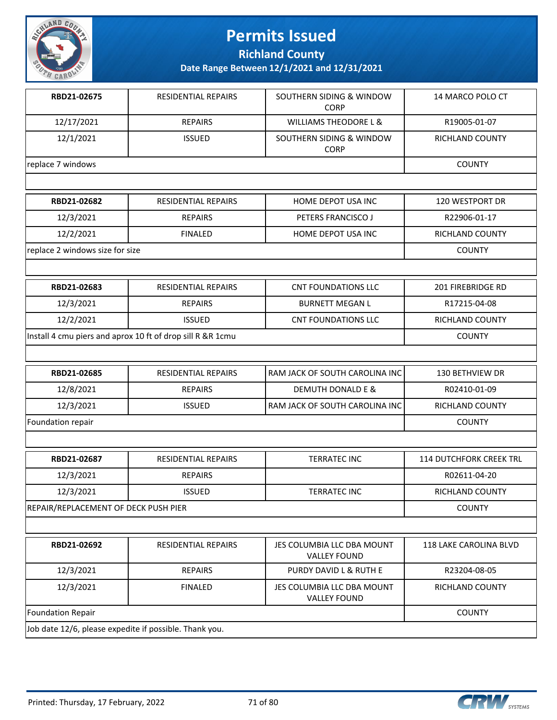

**Richland County**

**Date Range Between 12/1/2021 and 12/31/2021**

| RBD21-02675                                            | RESIDENTIAL REPAIRS                                        | SOUTHERN SIDING & WINDOW<br><b>CORP</b>           | 14 MARCO POLO CT               |
|--------------------------------------------------------|------------------------------------------------------------|---------------------------------------------------|--------------------------------|
| 12/17/2021                                             | <b>REPAIRS</b>                                             | <b>WILLIAMS THEODORE L &amp;</b>                  | R19005-01-07                   |
| 12/1/2021                                              | <b>ISSUED</b>                                              | SOUTHERN SIDING & WINDOW<br><b>CORP</b>           | RICHLAND COUNTY                |
| replace 7 windows                                      |                                                            |                                                   | <b>COUNTY</b>                  |
|                                                        |                                                            |                                                   |                                |
| RBD21-02682                                            | <b>RESIDENTIAL REPAIRS</b>                                 | HOME DEPOT USA INC                                | 120 WESTPORT DR                |
| 12/3/2021                                              | <b>REPAIRS</b>                                             | PETERS FRANCISCO J                                | R22906-01-17                   |
| 12/2/2021                                              | <b>FINALED</b>                                             | HOME DEPOT USA INC                                | RICHLAND COUNTY                |
| replace 2 windows size for size                        |                                                            |                                                   | <b>COUNTY</b>                  |
|                                                        |                                                            |                                                   |                                |
| RBD21-02683                                            | RESIDENTIAL REPAIRS                                        | <b>CNT FOUNDATIONS LLC</b>                        | 201 FIREBRIDGE RD              |
| 12/3/2021                                              | <b>REPAIRS</b>                                             | <b>BURNETT MEGAN L</b>                            | R17215-04-08                   |
| 12/2/2021                                              | <b>ISSUED</b>                                              | <b>CNT FOUNDATIONS LLC</b>                        | RICHLAND COUNTY                |
|                                                        | Install 4 cmu piers and aprox 10 ft of drop sill R &R 1cmu |                                                   | <b>COUNTY</b>                  |
|                                                        |                                                            |                                                   |                                |
| RBD21-02685                                            | <b>RESIDENTIAL REPAIRS</b>                                 | RAM JACK OF SOUTH CAROLINA INC                    | <b>130 BETHVIEW DR</b>         |
| 12/8/2021                                              | <b>REPAIRS</b>                                             | <b>DEMUTH DONALD E &amp;</b>                      | R02410-01-09                   |
| 12/3/2021                                              | <b>ISSUED</b>                                              | RAM JACK OF SOUTH CAROLINA INC                    | RICHLAND COUNTY                |
| Foundation repair                                      |                                                            |                                                   | <b>COUNTY</b>                  |
|                                                        |                                                            |                                                   |                                |
| RBD21-02687                                            | <b>RESIDENTIAL REPAIRS</b>                                 | <b>TERRATEC INC</b>                               | <b>114 DUTCHFORK CREEK TRL</b> |
| 12/3/2021                                              | <b>REPAIRS</b>                                             |                                                   | R02611-04-20                   |
| 12/3/2021                                              | <b>ISSUED</b>                                              | <b>TERRATEC INC</b>                               | RICHLAND COUNTY                |
| REPAIR/REPLACEMENT OF DECK PUSH PIER                   |                                                            |                                                   | <b>COUNTY</b>                  |
|                                                        |                                                            |                                                   |                                |
| RBD21-02692                                            | RESIDENTIAL REPAIRS                                        | JES COLUMBIA LLC DBA MOUNT<br><b>VALLEY FOUND</b> | 118 LAKE CAROLINA BLVD         |
| 12/3/2021                                              | <b>REPAIRS</b>                                             | PURDY DAVID L & RUTH E                            | R23204-08-05                   |
| 12/3/2021                                              | <b>FINALED</b>                                             | JES COLUMBIA LLC DBA MOUNT<br><b>VALLEY FOUND</b> | RICHLAND COUNTY                |
| Foundation Repair                                      |                                                            |                                                   | <b>COUNTY</b>                  |
| Job date 12/6, please expedite if possible. Thank you, |                                                            |                                                   |                                |

Job date 12/6, please expedite if possible. Thank you.

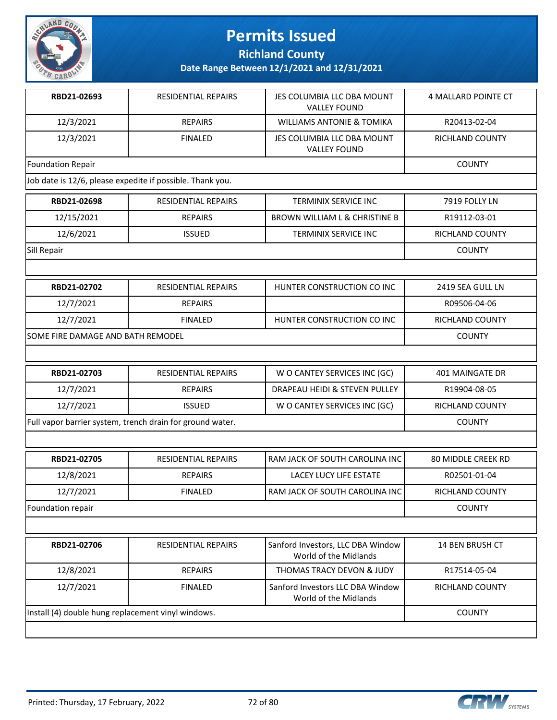

**Richland County**

**Date Range Between 12/1/2021 and 12/31/2021**

| RBD21-02693                                               | <b>RESIDENTIAL REPAIRS</b> | JES COLUMBIA LLC DBA MOUNT<br><b>VALLEY FOUND</b>          | 4 MALLARD POINTE CT       |
|-----------------------------------------------------------|----------------------------|------------------------------------------------------------|---------------------------|
| 12/3/2021                                                 | <b>REPAIRS</b>             | <b>WILLIAMS ANTONIE &amp; TOMIKA</b>                       | R20413-02-04              |
| 12/3/2021                                                 | <b>FINALED</b>             | JES COLUMBIA LLC DBA MOUNT<br><b>VALLEY FOUND</b>          | RICHLAND COUNTY           |
| <b>Foundation Repair</b>                                  |                            |                                                            | <b>COUNTY</b>             |
| Job date is 12/6, please expedite if possible. Thank you. |                            |                                                            |                           |
| RBD21-02698                                               | <b>RESIDENTIAL REPAIRS</b> | TERMINIX SERVICE INC                                       | 7919 FOLLY LN             |
| 12/15/2021                                                | <b>REPAIRS</b>             | BROWN WILLIAM L & CHRISTINE B                              | R19112-03-01              |
| 12/6/2021                                                 | <b>ISSUED</b>              | TERMINIX SERVICE INC                                       | RICHLAND COUNTY           |
| Sill Repair                                               |                            |                                                            | <b>COUNTY</b>             |
|                                                           |                            |                                                            |                           |
| RBD21-02702                                               | RESIDENTIAL REPAIRS        | HUNTER CONSTRUCTION CO INC                                 | 2419 SEA GULL LN          |
| 12/7/2021                                                 | <b>REPAIRS</b>             |                                                            | R09506-04-06              |
| 12/7/2021                                                 | <b>FINALED</b>             | HUNTER CONSTRUCTION CO INC                                 | RICHLAND COUNTY           |
| SOME FIRE DAMAGE AND BATH REMODEL                         |                            |                                                            | <b>COUNTY</b>             |
|                                                           |                            |                                                            |                           |
| RBD21-02703                                               | RESIDENTIAL REPAIRS        | W O CANTEY SERVICES INC (GC)                               | <b>401 MAINGATE DR</b>    |
| 12/7/2021                                                 | <b>REPAIRS</b>             | DRAPEAU HEIDI & STEVEN PULLEY                              | R19904-08-05              |
| 12/7/2021                                                 | <b>ISSUED</b>              | W O CANTEY SERVICES INC (GC)                               | RICHLAND COUNTY           |
| Full vapor barrier system, trench drain for ground water. |                            |                                                            | <b>COUNTY</b>             |
|                                                           |                            |                                                            |                           |
| RBD21-02705                                               | <b>RESIDENTIAL REPAIRS</b> | RAM JACK OF SOUTH CAROLINA INC                             | <b>80 MIDDLE CREEK RD</b> |
| 12/8/2021                                                 | <b>REPAIRS</b>             | <b>LACEY LUCY LIFE ESTATE</b>                              | R02501-01-04              |
| 12/7/2021                                                 | <b>FINALED</b>             | RAM JACK OF SOUTH CAROLINA INC                             | RICHLAND COUNTY           |
| Foundation repair                                         |                            |                                                            | <b>COUNTY</b>             |
|                                                           |                            |                                                            |                           |
| RBD21-02706                                               | RESIDENTIAL REPAIRS        | Sanford Investors, LLC DBA Window<br>World of the Midlands | 14 BEN BRUSH CT           |
| 12/8/2021                                                 | <b>REPAIRS</b>             | THOMAS TRACY DEVON & JUDY                                  | R17514-05-04              |
| 12/7/2021                                                 | <b>FINALED</b>             | Sanford Investors LLC DBA Window<br>World of the Midlands  | <b>RICHLAND COUNTY</b>    |
|                                                           |                            |                                                            |                           |

Install (4) double hung replacement vinyl windows. COUNTY

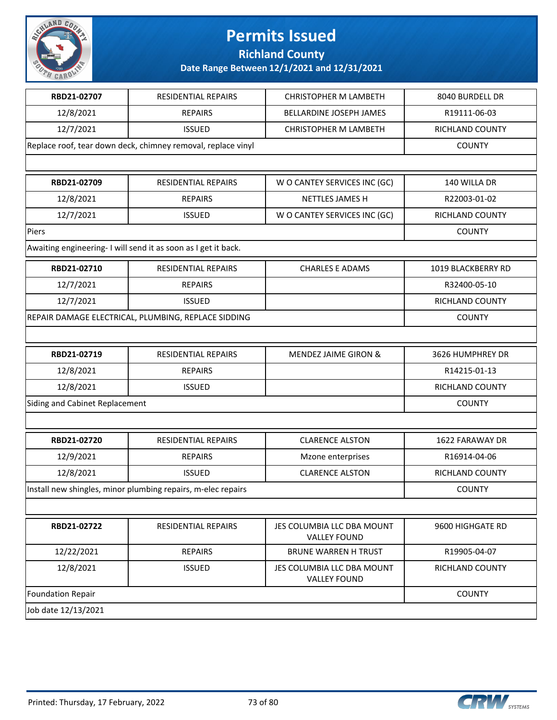

**Richland County**

| RBD21-02707                                                  | RESIDENTIAL REPAIRS                                           | <b>CHRISTOPHER M LAMBETH</b>                      | 8040 BURDELL DR    |
|--------------------------------------------------------------|---------------------------------------------------------------|---------------------------------------------------|--------------------|
| 12/8/2021                                                    | <b>REPAIRS</b>                                                | BELLARDINE JOSEPH JAMES                           | R19111-06-03       |
| 12/7/2021                                                    | <b>ISSUED</b>                                                 | <b>CHRISTOPHER M LAMBETH</b>                      | RICHLAND COUNTY    |
| Replace roof, tear down deck, chimney removal, replace vinyl | <b>COUNTY</b>                                                 |                                                   |                    |
|                                                              |                                                               |                                                   |                    |
| RBD21-02709                                                  | <b>RESIDENTIAL REPAIRS</b>                                    | W O CANTEY SERVICES INC (GC)                      | 140 WILLA DR       |
| 12/8/2021                                                    | <b>REPAIRS</b>                                                | NETTLES JAMES H                                   | R22003-01-02       |
| 12/7/2021                                                    | <b>ISSUED</b>                                                 | W O CANTEY SERVICES INC (GC)                      | RICHLAND COUNTY    |
| Piers                                                        |                                                               |                                                   | <b>COUNTY</b>      |
|                                                              | Awaiting engineering-I will send it as soon as I get it back. |                                                   |                    |
| RBD21-02710                                                  | RESIDENTIAL REPAIRS                                           | <b>CHARLES E ADAMS</b>                            | 1019 BLACKBERRY RD |
| 12/7/2021                                                    | <b>REPAIRS</b>                                                |                                                   | R32400-05-10       |
| 12/7/2021                                                    | <b>ISSUED</b>                                                 |                                                   | RICHLAND COUNTY    |
|                                                              | REPAIR DAMAGE ELECTRICAL, PLUMBING, REPLACE SIDDING           |                                                   | <b>COUNTY</b>      |
|                                                              |                                                               |                                                   |                    |
| RBD21-02719                                                  | RESIDENTIAL REPAIRS                                           | MENDEZ JAIME GIRON &                              | 3626 HUMPHREY DR   |
| 12/8/2021                                                    | <b>REPAIRS</b>                                                |                                                   | R14215-01-13       |
| 12/8/2021                                                    | <b>ISSUED</b>                                                 |                                                   | RICHLAND COUNTY    |
| Siding and Cabinet Replacement                               |                                                               |                                                   | <b>COUNTY</b>      |
|                                                              |                                                               |                                                   |                    |
| RBD21-02720                                                  | RESIDENTIAL REPAIRS                                           | <b>CLARENCE ALSTON</b>                            | 1622 FARAWAY DR    |
| 12/9/2021                                                    | <b>REPAIRS</b>                                                | Mzone enterprises                                 | R16914-04-06       |
| 12/8/2021                                                    | <b>ISSUED</b>                                                 | <b>CLARENCE ALSTON</b>                            | RICHLAND COUNTY    |
|                                                              | Install new shingles, minor plumbing repairs, m-elec repairs  |                                                   | <b>COUNTY</b>      |
|                                                              |                                                               |                                                   |                    |
| RBD21-02722                                                  | RESIDENTIAL REPAIRS                                           | JES COLUMBIA LLC DBA MOUNT<br><b>VALLEY FOUND</b> | 9600 HIGHGATE RD   |
| 12/22/2021                                                   | <b>REPAIRS</b>                                                | <b>BRUNE WARREN H TRUST</b>                       | R19905-04-07       |
| 12/8/2021                                                    | <b>ISSUED</b>                                                 | JES COLUMBIA LLC DBA MOUNT<br><b>VALLEY FOUND</b> | RICHLAND COUNTY    |
| Foundation Repair                                            |                                                               |                                                   | <b>COUNTY</b>      |
| Job date 12/13/2021                                          |                                                               |                                                   |                    |

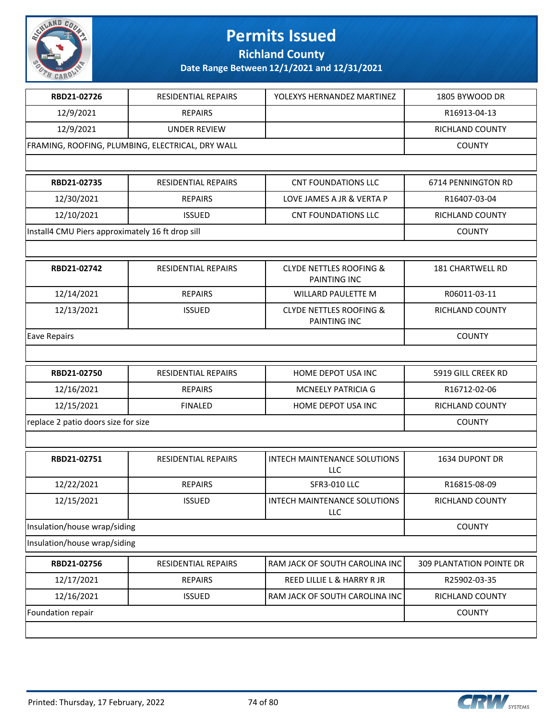

**Richland County**

| RBD21-02726                                      | <b>RESIDENTIAL REPAIRS</b> | YOLEXYS HERNANDEZ MARTINEZ                         | 1805 BYWOOD DR           |
|--------------------------------------------------|----------------------------|----------------------------------------------------|--------------------------|
| 12/9/2021                                        | <b>REPAIRS</b>             |                                                    | R16913-04-13             |
| 12/9/2021                                        | <b>UNDER REVIEW</b>        |                                                    | RICHLAND COUNTY          |
| FRAMING, ROOFING, PLUMBING, ELECTRICAL, DRY WALL | <b>COUNTY</b>              |                                                    |                          |
|                                                  |                            |                                                    |                          |
| RBD21-02735                                      | RESIDENTIAL REPAIRS        | <b>CNT FOUNDATIONS LLC</b>                         | 6714 PENNINGTON RD       |
| 12/30/2021                                       | <b>REPAIRS</b>             | LOVE JAMES A JR & VERTA P                          | R16407-03-04             |
| 12/10/2021                                       | <b>ISSUED</b>              | <b>CNT FOUNDATIONS LLC</b>                         | RICHLAND COUNTY          |
| Install4 CMU Piers approximately 16 ft drop sill |                            |                                                    | <b>COUNTY</b>            |
|                                                  |                            |                                                    |                          |
| RBD21-02742                                      | RESIDENTIAL REPAIRS        | <b>CLYDE NETTLES ROOFING &amp;</b><br>PAINTING INC | 181 CHARTWELL RD         |
| 12/14/2021                                       | <b>REPAIRS</b>             | <b>WILLARD PAULETTE M</b>                          | R06011-03-11             |
| 12/13/2021                                       | <b>ISSUED</b>              | <b>CLYDE NETTLES ROOFING &amp;</b><br>PAINTING INC | RICHLAND COUNTY          |
| <b>Eave Repairs</b>                              |                            |                                                    | <b>COUNTY</b>            |
|                                                  |                            |                                                    |                          |
| RBD21-02750                                      | RESIDENTIAL REPAIRS        | HOME DEPOT USA INC                                 | 5919 GILL CREEK RD       |
| 12/16/2021                                       | <b>REPAIRS</b>             | <b>MCNEELY PATRICIA G</b>                          | R16712-02-06             |
| 12/15/2021                                       | <b>FINALED</b>             | HOME DEPOT USA INC                                 | RICHLAND COUNTY          |
| replace 2 patio doors size for size              |                            |                                                    | <b>COUNTY</b>            |
|                                                  |                            |                                                    |                          |
| RBD21-02751                                      | <b>RESIDENTIAL REPAIRS</b> | <b>INTECH MAINTENANCE SOLUTIONS</b><br><b>LLC</b>  | 1634 DUPONT DR           |
| 12/22/2021                                       | <b>REPAIRS</b>             | <b>SFR3-010 LLC</b>                                | R16815-08-09             |
| 12/15/2021                                       | <b>ISSUED</b>              | <b>INTECH MAINTENANCE SOLUTIONS</b><br>LLC         | RICHLAND COUNTY          |
| Insulation/house wrap/siding                     |                            |                                                    | <b>COUNTY</b>            |
| Insulation/house wrap/siding                     |                            |                                                    |                          |
| RBD21-02756                                      | <b>RESIDENTIAL REPAIRS</b> | RAM JACK OF SOUTH CAROLINA INC                     | 309 PLANTATION POINTE DR |
| 12/17/2021                                       | <b>REPAIRS</b>             | REED LILLIE L & HARRY R JR                         | R25902-03-35             |
| 12/16/2021                                       | <b>ISSUED</b>              | RAM JACK OF SOUTH CAROLINA INC                     | RICHLAND COUNTY          |
| Foundation repair                                |                            |                                                    |                          |
|                                                  |                            |                                                    |                          |

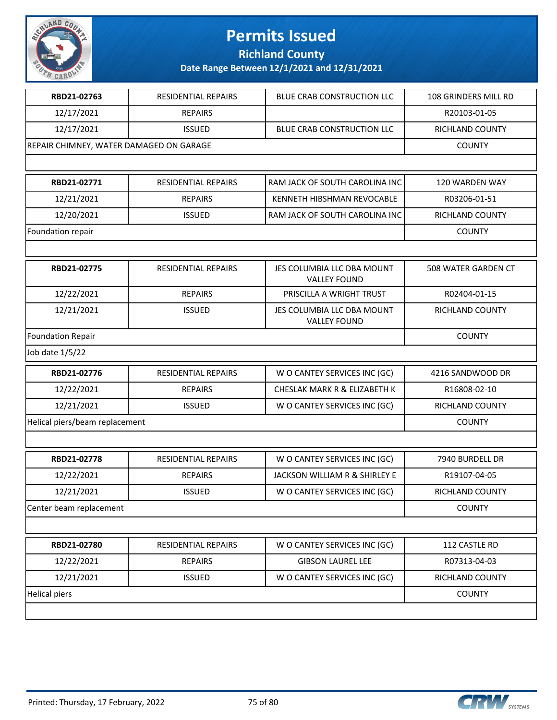

**Richland County**

| RBD21-02763                    | RESIDENTIAL REPAIRS                     | BLUE CRAB CONSTRUCTION LLC                        | 108 GRINDERS MILL RD   |  |
|--------------------------------|-----------------------------------------|---------------------------------------------------|------------------------|--|
| 12/17/2021                     | <b>REPAIRS</b>                          |                                                   | R20103-01-05           |  |
| 12/17/2021                     | <b>ISSUED</b>                           | BLUE CRAB CONSTRUCTION LLC                        | RICHLAND COUNTY        |  |
|                                | REPAIR CHIMNEY, WATER DAMAGED ON GARAGE |                                                   |                        |  |
|                                |                                         |                                                   |                        |  |
| RBD21-02771                    | RESIDENTIAL REPAIRS                     | RAM JACK OF SOUTH CAROLINA INC                    | 120 WARDEN WAY         |  |
| 12/21/2021                     | <b>REPAIRS</b>                          | KENNETH HIBSHMAN REVOCABLE                        | R03206-01-51           |  |
| 12/20/2021                     | <b>ISSUED</b>                           | RAM JACK OF SOUTH CAROLINA INC                    | RICHLAND COUNTY        |  |
| Foundation repair              |                                         |                                                   | <b>COUNTY</b>          |  |
|                                |                                         |                                                   |                        |  |
| RBD21-02775                    | <b>RESIDENTIAL REPAIRS</b>              | JES COLUMBIA LLC DBA MOUNT<br><b>VALLEY FOUND</b> | 508 WATER GARDEN CT    |  |
| 12/22/2021                     | <b>REPAIRS</b>                          | PRISCILLA A WRIGHT TRUST                          | R02404-01-15           |  |
| 12/21/2021                     | <b>ISSUED</b>                           | JES COLUMBIA LLC DBA MOUNT<br><b>VALLEY FOUND</b> | <b>RICHLAND COUNTY</b> |  |
| <b>Foundation Repair</b>       |                                         |                                                   | <b>COUNTY</b>          |  |
| Job date 1/5/22                |                                         |                                                   |                        |  |
| RBD21-02776                    | <b>RESIDENTIAL REPAIRS</b>              | W O CANTEY SERVICES INC (GC)                      | 4216 SANDWOOD DR       |  |
| 12/22/2021                     | <b>REPAIRS</b>                          | CHESLAK MARK R & ELIZABETH K                      | R16808-02-10           |  |
| 12/21/2021                     | <b>ISSUED</b>                           | W O CANTEY SERVICES INC (GC)                      | RICHLAND COUNTY        |  |
| Helical piers/beam replacement |                                         |                                                   | <b>COUNTY</b>          |  |
|                                |                                         |                                                   |                        |  |
| RBD21-02778                    | <b>RESIDENTIAL REPAIRS</b>              | W O CANTEY SERVICES INC (GC)                      | 7940 BURDELL DR        |  |
| 12/22/2021                     | <b>REPAIRS</b>                          | JACKSON WILLIAM R & SHIRLEY E                     | R19107-04-05           |  |
| 12/21/2021                     | <b>ISSUED</b>                           | W O CANTEY SERVICES INC (GC)                      | RICHLAND COUNTY        |  |
| Center beam replacement        |                                         |                                                   | <b>COUNTY</b>          |  |
|                                |                                         |                                                   |                        |  |
| RBD21-02780                    | RESIDENTIAL REPAIRS                     | W O CANTEY SERVICES INC (GC)                      | 112 CASTLE RD          |  |
| 12/22/2021                     | <b>REPAIRS</b>                          | <b>GIBSON LAUREL LEE</b>                          | R07313-04-03           |  |
| 12/21/2021                     | <b>ISSUED</b>                           | W O CANTEY SERVICES INC (GC)                      | RICHLAND COUNTY        |  |
| <b>Helical piers</b>           |                                         |                                                   |                        |  |
|                                |                                         |                                                   |                        |  |

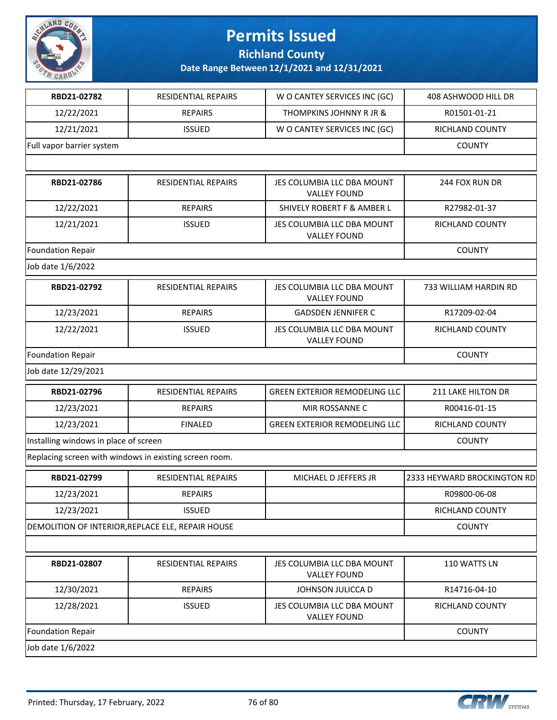

**Richland County**

| RBD21-02782                           | <b>RESIDENTIAL REPAIRS</b>                             | W O CANTEY SERVICES INC (GC)                      | 408 ASHWOOD HILL DR         |
|---------------------------------------|--------------------------------------------------------|---------------------------------------------------|-----------------------------|
| 12/22/2021                            | <b>REPAIRS</b>                                         | THOMPKINS JOHNNY R JR &                           | R01501-01-21                |
| 12/21/2021                            | <b>ISSUED</b>                                          | W O CANTEY SERVICES INC (GC)                      | RICHLAND COUNTY             |
| Full vapor barrier system             |                                                        |                                                   | <b>COUNTY</b>               |
|                                       |                                                        |                                                   |                             |
| RBD21-02786                           | RESIDENTIAL REPAIRS                                    | JES COLUMBIA LLC DBA MOUNT<br><b>VALLEY FOUND</b> | 244 FOX RUN DR              |
| 12/22/2021                            | <b>REPAIRS</b>                                         | <b>SHIVELY ROBERT F &amp; AMBER L</b>             | R27982-01-37                |
| 12/21/2021                            | <b>ISSUED</b>                                          | JES COLUMBIA LLC DBA MOUNT<br><b>VALLEY FOUND</b> | RICHLAND COUNTY             |
| <b>Foundation Repair</b>              |                                                        |                                                   | <b>COUNTY</b>               |
| Job date 1/6/2022                     |                                                        |                                                   |                             |
| RBD21-02792                           | RESIDENTIAL REPAIRS                                    | JES COLUMBIA LLC DBA MOUNT<br><b>VALLEY FOUND</b> | 733 WILLIAM HARDIN RD       |
| 12/23/2021                            | <b>REPAIRS</b>                                         | <b>GADSDEN JENNIFER C</b>                         | R17209-02-04                |
| 12/22/2021                            | <b>ISSUED</b>                                          | JES COLUMBIA LLC DBA MOUNT<br><b>VALLEY FOUND</b> | RICHLAND COUNTY             |
| <b>Foundation Repair</b>              |                                                        |                                                   | <b>COUNTY</b>               |
| Job date 12/29/2021                   |                                                        |                                                   |                             |
| RBD21-02796                           | RESIDENTIAL REPAIRS                                    | <b>GREEN EXTERIOR REMODELING LLC</b>              | 211 LAKE HILTON DR          |
| 12/23/2021                            | <b>REPAIRS</b>                                         | MIR ROSSANNE C                                    | R00416-01-15                |
| 12/23/2021                            | <b>FINALED</b>                                         | <b>GREEN EXTERIOR REMODELING LLC</b>              | RICHLAND COUNTY             |
| Installing windows in place of screen |                                                        |                                                   | <b>COUNTY</b>               |
|                                       | Replacing screen with windows in existing screen room. |                                                   |                             |
| RBD21-02799                           | RESIDENTIAL REPAIRS                                    | MICHAEL D JEFFERS JR                              | 2333 HEYWARD BROCKINGTON RD |
| 12/23/2021                            | <b>REPAIRS</b>                                         |                                                   | R09800-06-08                |
| 12/23/2021                            | <b>ISSUED</b>                                          |                                                   | RICHLAND COUNTY             |
|                                       | DEMOLITION OF INTERIOR, REPLACE ELE, REPAIR HOUSE      |                                                   | <b>COUNTY</b>               |
|                                       |                                                        |                                                   |                             |
| RBD21-02807                           | RESIDENTIAL REPAIRS                                    | JES COLUMBIA LLC DBA MOUNT<br><b>VALLEY FOUND</b> | 110 WATTS LN                |
| 12/30/2021                            | <b>REPAIRS</b>                                         | JOHNSON JULICCA D                                 | R14716-04-10                |
| 12/28/2021                            | <b>ISSUED</b>                                          | JES COLUMBIA LLC DBA MOUNT<br><b>VALLEY FOUND</b> | RICHLAND COUNTY             |
| Foundation Repair                     |                                                        |                                                   | <b>COUNTY</b>               |
| Job date 1/6/2022                     |                                                        |                                                   |                             |
|                                       |                                                        |                                                   |                             |

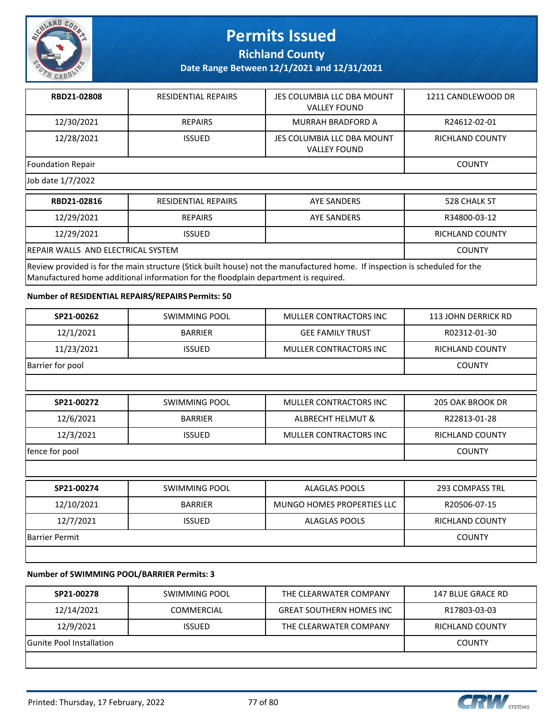

**Richland County**

**Date Range Between 12/1/2021 and 12/31/2021**

| RBD21-02808              | <b>RESIDENTIAL REPAIRS</b> | JES COLUMBIA LLC DBA MOUNT<br><b>VALLEY FOUND</b> | 1211 CANDLEWOOD DR |
|--------------------------|----------------------------|---------------------------------------------------|--------------------|
| 12/30/2021               | <b>REPAIRS</b>             | MURRAH BRADFORD A                                 | R24612-02-01       |
| 12/28/2021               | <b>ISSUED</b>              | JES COLUMBIA LLC DBA MOUNT<br><b>VALLEY FOUND</b> | RICHLAND COUNTY    |
| <b>Foundation Repair</b> |                            |                                                   | <b>COUNTY</b>      |
| Job date 1/7/2022        |                            |                                                   |                    |
| RBD21-02816              | <b>RESIDENTIAL REPAIRS</b> | AYE SANDERS                                       | 528 CHALK ST       |

| <b>RBD21-02816</b>                                                                                                          | RESIDENTIAL REPAIRS | AYE SANDERS | 528 CHALK ST    |
|-----------------------------------------------------------------------------------------------------------------------------|---------------------|-------------|-----------------|
| 12/29/2021                                                                                                                  | <b>REPAIRS</b>      | AYE SANDERS | R34800-03-12    |
| 12/29/2021                                                                                                                  | <b>ISSUED</b>       |             | RICHLAND COUNTY |
| <b>IREPAIR WALLS AND ELECTRICAL SYSTEM</b>                                                                                  |                     |             | <b>COUNTY</b>   |
| Review provided is for the main structure (Stick built house) not the manufactured home. If inspection is scheduled for the |                     |             |                 |

Manufactured home additional information for the floodplain department is required.

#### **Number of RESIDENTIAL REPAIRS/REPAIRS Permits: 50**

| SP21-00262            | <b>SWIMMING POOL</b> | <b>MULLER CONTRACTORS INC</b> | <b>113 JOHN DERRICK RD</b> |
|-----------------------|----------------------|-------------------------------|----------------------------|
| 12/1/2021             | <b>BARRIER</b>       | <b>GEE FAMILY TRUST</b>       | R02312-01-30               |
| 11/23/2021            | <b>ISSUED</b>        | MULLER CONTRACTORS INC        | RICHLAND COUNTY            |
| Barrier for pool      |                      |                               | <b>COUNTY</b>              |
|                       |                      |                               |                            |
| SP21-00272            | SWIMMING POOL        | MULLER CONTRACTORS INC        | 205 OAK BROOK DR           |
| 12/6/2021             | <b>BARRIER</b>       | <b>ALBRECHT HELMUT &amp;</b>  | R22813-01-28               |
| 12/3/2021             | <b>ISSUED</b>        | <b>MULLER CONTRACTORS INC</b> | <b>RICHLAND COUNTY</b>     |
| fence for pool        |                      |                               | <b>COUNTY</b>              |
|                       |                      |                               |                            |
| SP21-00274            | <b>SWIMMING POOL</b> | <b>ALAGLAS POOLS</b>          | <b>293 COMPASS TRL</b>     |
| 12/10/2021            | <b>BARRIER</b>       | MUNGO HOMES PROPERTIES LLC    | R20506-07-15               |
| 12/7/2021             | <b>ISSUED</b>        | <b>ALAGLAS POOLS</b>          | RICHLAND COUNTY            |
| <b>Barrier Permit</b> |                      |                               | <b>COUNTY</b>              |

#### **Number of SWIMMING POOL/BARRIER Permits: 3**

| SP21-00278                      | SWIMMING POOL     | THE CLEARWATER COMPANY          | 147 BLUE GRACE RD |
|---------------------------------|-------------------|---------------------------------|-------------------|
| 12/14/2021                      | <b>COMMERCIAL</b> | <b>GREAT SOUTHERN HOMES INC</b> | R17803-03-03      |
| 12/9/2021                       | <b>ISSUED</b>     | THE CLEARWATER COMPANY          | RICHLAND COUNTY   |
| <b>Gunite Pool Installation</b> |                   |                                 | <b>COUNTY</b>     |
|                                 |                   |                                 |                   |

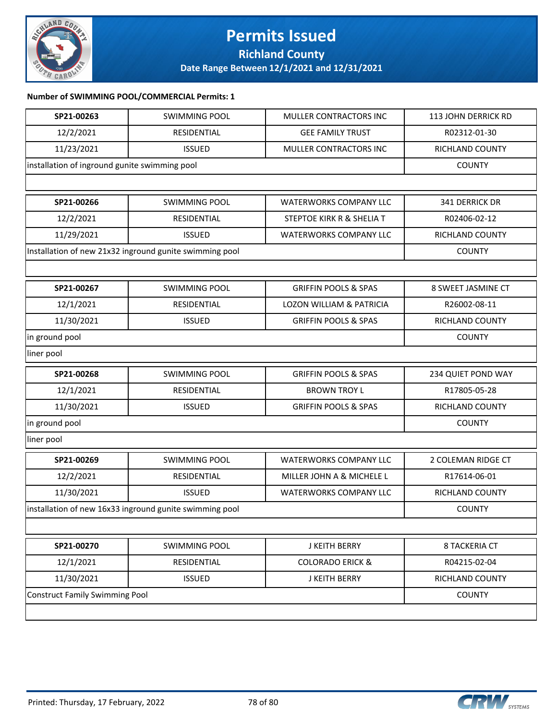

### **Permits Issued Richland County**

**Date Range Between 12/1/2021 and 12/31/2021**

### **Number of SWIMMING POOL/COMMERCIAL Permits: 1**

| SP21-00263                     | <b>SWIMMING POOL</b>                                    | MULLER CONTRACTORS INC               | 113 JOHN DERRICK RD  |  |
|--------------------------------|---------------------------------------------------------|--------------------------------------|----------------------|--|
| 12/2/2021                      | RESIDENTIAL                                             | <b>GEE FAMILY TRUST</b>              | R02312-01-30         |  |
| 11/23/2021                     | <b>ISSUED</b>                                           | MULLER CONTRACTORS INC               | RICHLAND COUNTY      |  |
|                                | installation of inground gunite swimming pool           |                                      |                      |  |
|                                |                                                         |                                      |                      |  |
| SP21-00266                     | <b>SWIMMING POOL</b>                                    | <b>WATERWORKS COMPANY LLC</b>        | 341 DERRICK DR       |  |
| 12/2/2021                      | RESIDENTIAL                                             | <b>STEPTOE KIRK R &amp; SHELIA T</b> | R02406-02-12         |  |
| 11/29/2021                     | <b>ISSUED</b>                                           | <b>WATERWORKS COMPANY LLC</b>        | RICHLAND COUNTY      |  |
|                                | Installation of new 21x32 inground gunite swimming pool |                                      | <b>COUNTY</b>        |  |
|                                |                                                         |                                      |                      |  |
| SP21-00267                     | <b>SWIMMING POOL</b>                                    | <b>GRIFFIN POOLS &amp; SPAS</b>      | 8 SWEET JASMINE CT   |  |
| 12/1/2021                      | RESIDENTIAL                                             | <b>LOZON WILLIAM &amp; PATRICIA</b>  | R26002-08-11         |  |
| 11/30/2021                     | <b>ISSUED</b>                                           | <b>GRIFFIN POOLS &amp; SPAS</b>      | RICHLAND COUNTY      |  |
| in ground pool                 |                                                         |                                      | <b>COUNTY</b>        |  |
| liner pool                     |                                                         |                                      |                      |  |
| SP21-00268                     | <b>SWIMMING POOL</b>                                    | <b>GRIFFIN POOLS &amp; SPAS</b>      | 234 QUIET POND WAY   |  |
| 12/1/2021                      | RESIDENTIAL                                             | <b>BROWN TROY L</b>                  | R17805-05-28         |  |
| 11/30/2021                     | <b>ISSUED</b>                                           | <b>GRIFFIN POOLS &amp; SPAS</b>      | RICHLAND COUNTY      |  |
| in ground pool                 |                                                         |                                      | <b>COUNTY</b>        |  |
| liner pool                     |                                                         |                                      |                      |  |
| SP21-00269                     | <b>SWIMMING POOL</b>                                    | <b>WATERWORKS COMPANY LLC</b>        | 2 COLEMAN RIDGE CT   |  |
| 12/2/2021                      | RESIDENTIAL                                             | MILLER JOHN A & MICHELE L            | R17614-06-01         |  |
| 11/30/2021                     | <b>ISSUED</b>                                           | <b>WATERWORKS COMPANY LLC</b>        | RICHLAND COUNTY      |  |
|                                | installation of new 16x33 inground gunite swimming pool |                                      | <b>COUNTY</b>        |  |
|                                |                                                         |                                      |                      |  |
| SP21-00270                     | <b>SWIMMING POOL</b>                                    | J KEITH BERRY                        | <b>8 TACKERIA CT</b> |  |
| 12/1/2021                      | RESIDENTIAL                                             | <b>COLORADO ERICK &amp;</b>          | R04215-02-04         |  |
| 11/30/2021                     | <b>ISSUED</b>                                           | J KEITH BERRY                        | RICHLAND COUNTY      |  |
| Construct Family Swimming Pool |                                                         |                                      | <b>COUNTY</b>        |  |
|                                |                                                         |                                      |                      |  |

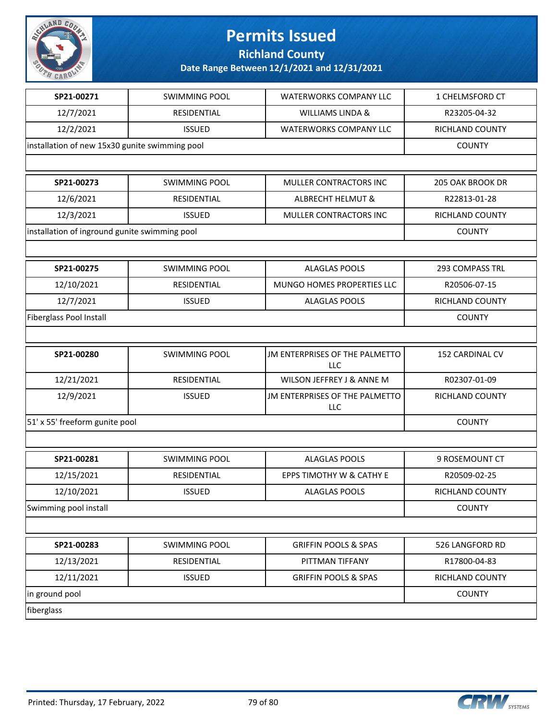

**Richland County**

| SP21-00271                                     | <b>SWIMMING POOL</b> | WATERWORKS COMPANY LLC                | 1 CHELMSFORD CT        |
|------------------------------------------------|----------------------|---------------------------------------|------------------------|
| 12/7/2021                                      | RESIDENTIAL          | <b>WILLIAMS LINDA &amp;</b>           | R23205-04-32           |
| 12/2/2021                                      | <b>ISSUED</b>        | <b>WATERWORKS COMPANY LLC</b>         | RICHLAND COUNTY        |
| installation of new 15x30 gunite swimming pool |                      |                                       | <b>COUNTY</b>          |
|                                                |                      |                                       |                        |
| SP21-00273                                     | <b>SWIMMING POOL</b> | MULLER CONTRACTORS INC                | 205 OAK BROOK DR       |
| 12/6/2021                                      | RESIDENTIAL          | ALBRECHT HELMUT &                     | R22813-01-28           |
| 12/3/2021                                      | <b>ISSUED</b>        | MULLER CONTRACTORS INC                | RICHLAND COUNTY        |
| installation of inground gunite swimming pool  |                      |                                       | <b>COUNTY</b>          |
|                                                |                      |                                       |                        |
| SP21-00275                                     | <b>SWIMMING POOL</b> | <b>ALAGLAS POOLS</b>                  | 293 COMPASS TRL        |
| 12/10/2021                                     | RESIDENTIAL          | MUNGO HOMES PROPERTIES LLC            | R20506-07-15           |
| 12/7/2021                                      | <b>ISSUED</b>        | <b>ALAGLAS POOLS</b>                  | <b>RICHLAND COUNTY</b> |
| Fiberglass Pool Install                        |                      |                                       | <b>COUNTY</b>          |
|                                                |                      |                                       |                        |
| SP21-00280                                     | <b>SWIMMING POOL</b> | JM ENTERPRISES OF THE PALMETTO<br>LLC | 152 CARDINAL CV        |
| 12/21/2021                                     | RESIDENTIAL          | WILSON JEFFREY J & ANNE M             | R02307-01-09           |
| 12/9/2021                                      | <b>ISSUED</b>        | JM ENTERPRISES OF THE PALMETTO<br>LLC | RICHLAND COUNTY        |
| 51' x 55' freeform gunite pool                 |                      |                                       | <b>COUNTY</b>          |
|                                                |                      |                                       |                        |
| SP21-00281                                     | <b>SWIMMING POOL</b> | <b>ALAGLAS POOLS</b>                  | 9 ROSEMOUNT CT         |
| 12/15/2021                                     | RESIDENTIAL          | EPPS TIMOTHY W & CATHY E              | R20509-02-25           |
| 12/10/2021                                     | <b>ISSUED</b>        | <b>ALAGLAS POOLS</b>                  | RICHLAND COUNTY        |
| Swimming pool install                          |                      |                                       | <b>COUNTY</b>          |
|                                                |                      |                                       |                        |
| SP21-00283                                     | <b>SWIMMING POOL</b> | <b>GRIFFIN POOLS &amp; SPAS</b>       | 526 LANGFORD RD        |
| 12/13/2021                                     | RESIDENTIAL          | PITTMAN TIFFANY                       | R17800-04-83           |
| 12/11/2021                                     | <b>ISSUED</b>        | <b>GRIFFIN POOLS &amp; SPAS</b>       | RICHLAND COUNTY        |
| in ground pool                                 |                      |                                       | <b>COUNTY</b>          |
| fiberglass                                     |                      |                                       |                        |